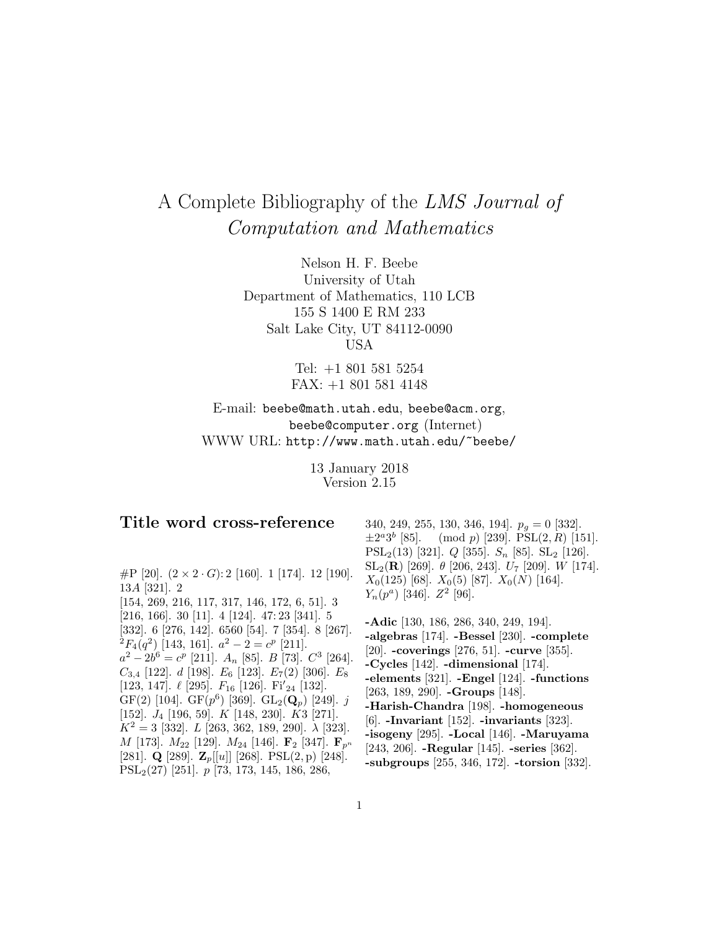# A Complete Bibliography of the LMS Journal of Computation and Mathematics

Nelson H. F. Beebe University of Utah Department of Mathematics, 110 LCB 155 S 1400 E RM 233 Salt Lake City, UT 84112-0090 USA

> Tel: +1 801 581 5254 FAX: +1 801 581 4148

E-mail: beebe@math.utah.edu, beebe@acm.org, beebe@computer.org (Internet) WWW URL: http://www.math.utah.edu/~beebe/

> 13 January 2018 Version 2.15

## **Title word cross-reference**

#P [20].  $(2 \times 2 \cdot G): 2$  [160]. 1 [174]. 12 [190]. 13A [321]. 2 [154, 269, 216, 117, 317, 146, 172, 6, 51]. 3 [216, 166]. 30 [11]. 4 [124]. 47: 23 [341]. 5 [332]. 6 [276, 142]. 6560 [54]. 7 [354]. 8 [267].  ${}^{\frac{5}{2}}F_4(q^2)$  [143, 161].  $a^2 - 2 = c^p$  [211].  $a^2 - 2b^6 = c^p$  [211].  $A_n$  [85].  $B$  [73].  $C^3$  [264].  $C_{3,4}$  [122]. d [198].  $E_6$  [123].  $E_7(2)$  [306].  $E_8$ [123, 147].  $\ell$  [295].  $F_{16}$  [126]. Fi'<sub>24</sub> [132]. GF(2) [104]. GF( $p^6$ ) [369]. GL<sub>2</sub>( $\mathbf{Q}_p$ ) [249]. j [152].  $J_4$  [196, 59].  $K$  [148, 230].  $K3$  [271].  $K^2 = 3$  [332]. L [263, 362, 189, 290].  $\lambda$  [323].  $M$  [173].  $M_{22}$  [129].  $M_{24}$  [146].  $\mathbf{F}_2$  [347].  $\mathbf{F}_{p^n}$ [281]. **Q** [289]. **Z**p[[u]] [268]. PSL(2, p) [248]. PSL2(27) [251]. p [73, 173, 145, 186, 286,

340, 249, 255, 130, 346, 194].  $p_q = 0$  [332].  $\pm 2^a 3^b$  [85]. (mod p) [239]. PSL(2, R) [151]. PSL<sub>2</sub>(13) [321]. *Q* [355]. *S<sub>n</sub>* [85]. SL<sub>2</sub> [126]. SL<sub>2</sub>(**R**) [269].  $\theta$  [206, 243].  $U_7$  [209]. *W* [174].  $X_0(125)$  [68].  $X_0(5)$  [87].  $X_0(N)$  [164].  $Y_n(p^a)$  [346].  $Z^2$  [96].

**-Adic** [130, 186, 286, 340, 249, 194]. **-algebras** [174]. **-Bessel** [230]. **-complete** [20]. **-coverings** [276, 51]. **-curve** [355]. **-Cycles** [142]. **-dimensional** [174]. **-elements** [321]. **-Engel** [124]. **-functions** [263, 189, 290]. **-Groups** [148]. **-Harish-Chandra** [198]. **-homogeneous** [6]. **-Invariant** [152]. **-invariants** [323]. **-isogeny** [295]. **-Local** [146]. **-Maruyama** [243, 206]. **-Regular** [145]. **-series** [362]. **-subgroups** [255, 346, 172]. **-torsion** [332].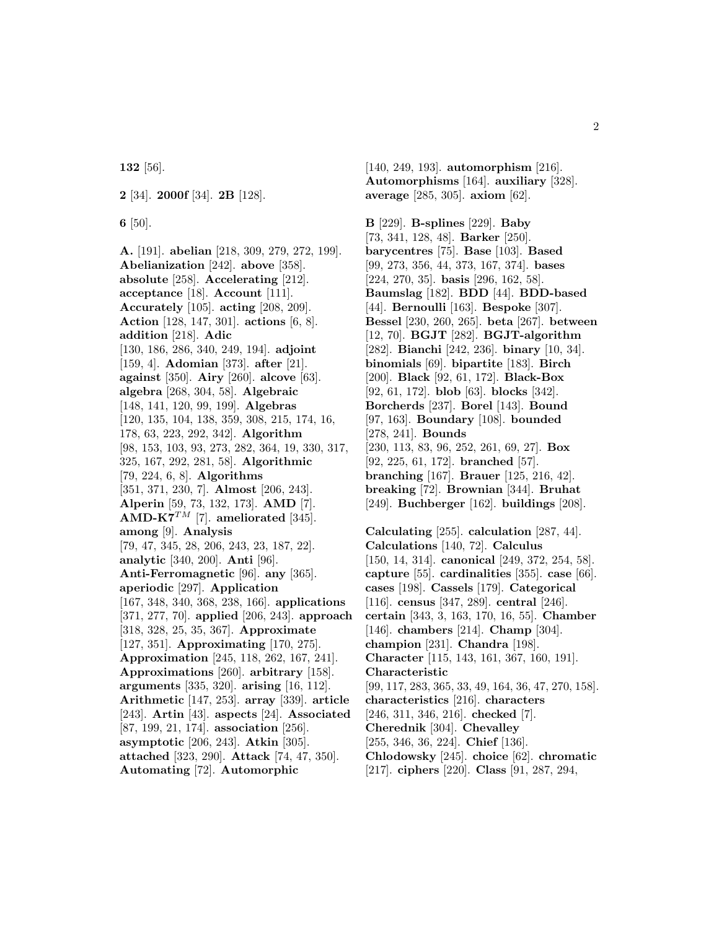**132** [56].

**2** [34]. **2000f** [34]. **2B** [128].

**6** [50].

**A.** [191]. **abelian** [218, 309, 279, 272, 199]. **Abelianization** [242]. **above** [358]. **absolute** [258]. **Accelerating** [212]. **acceptance** [18]. **Account** [111]. **Accurately** [105]. **acting** [208, 209]. **Action** [128, 147, 301]. **actions** [6, 8]. **addition** [218]. **Adic** [130, 186, 286, 340, 249, 194]. **adjoint** [159, 4]. **Adomian** [373]. **after** [21]. **against** [350]. **Airy** [260]. **alcove** [63]. **algebra** [268, 304, 58]. **Algebraic** [148, 141, 120, 99, 199]. **Algebras** [120, 135, 104, 138, 359, 308, 215, 174, 16, 178, 63, 223, 292, 342]. **Algorithm** [98, 153, 103, 93, 273, 282, 364, 19, 330, 317, 325, 167, 292, 281, 58]. **Algorithmic** [79, 224, 6, 8]. **Algorithms** [351, 371, 230, 7]. **Almost** [206, 243]. **Alperin** [59, 73, 132, 173]. **AMD** [7]. **AMD-K7**<sup>TM</sup> [7]. **ameliorated** [345]. **among** [9]. **Analysis** [79, 47, 345, 28, 206, 243, 23, 187, 22]. **analytic** [340, 200]. **Anti** [96]. **Anti-Ferromagnetic** [96]. **any** [365]. **aperiodic** [297]. **Application** [167, 348, 340, 368, 238, 166]. **applications** [371, 277, 70]. **applied** [206, 243]. **approach** [318, 328, 25, 35, 367]. **Approximate** [127, 351]. **Approximating** [170, 275]. **Approximation** [245, 118, 262, 167, 241]. **Approximations** [260]. **arbitrary** [158]. **arguments** [335, 320]. **arising** [16, 112]. **Arithmetic** [147, 253]. **array** [339]. **article** [243]. **Artin** [43]. **aspects** [24]. **Associated** [87, 199, 21, 174]. **association** [256]. **asymptotic** [206, 243]. **Atkin** [305]. **attached** [323, 290]. **Attack** [74, 47, 350]. **Automating** [72]. **Automorphic**

[140, 249, 193]. **automorphism** [216]. **Automorphisms** [164]. **auxiliary** [328]. **average** [285, 305]. **axiom** [62].

**B** [229]. **B-splines** [229]. **Baby** [73, 341, 128, 48]. **Barker** [250]. **barycentres** [75]. **Base** [103]. **Based** [99, 273, 356, 44, 373, 167, 374]. **bases** [224, 270, 35]. **basis** [296, 162, 58]. **Baumslag** [182]. **BDD** [44]. **BDD-based** [44]. **Bernoulli** [163]. **Bespoke** [307]. **Bessel** [230, 260, 265]. **beta** [267]. **between** [12, 70]. **BGJT** [282]. **BGJT-algorithm** [282]. **Bianchi** [242, 236]. **binary** [10, 34]. **binomials** [69]. **bipartite** [183]. **Birch** [200]. **Black** [92, 61, 172]. **Black-Box** [92, 61, 172]. **blob** [63]. **blocks** [342]. **Borcherds** [237]. **Borel** [143]. **Bound** [97, 163]. **Boundary** [108]. **bounded** [278, 241]. **Bounds** [230, 113, 83, 96, 252, 261, 69, 27]. **Box** [92, 225, 61, 172]. **branched** [57]. **branching** [167]. **Brauer** [125, 216, 42]. **breaking** [72]. **Brownian** [344]. **Bruhat** [249]. **Buchberger** [162]. **buildings** [208]. **Calculating** [255]. **calculation** [287, 44]. **Calculations** [140, 72]. **Calculus** [150, 14, 314]. **canonical** [249, 372, 254, 58]. **capture** [55]. **cardinalities** [355]. **case** [66]. **cases** [198]. **Cassels** [179]. **Categorical** [116]. **census** [347, 289]. **central** [246]. **certain** [343, 3, 163, 170, 16, 55]. **Chamber** [146]. **chambers** [214]. **Champ** [304]. **champion** [231]. **Chandra** [198]. **Character** [115, 143, 161, 367, 160, 191]. **Characteristic** [99, 117, 283, 365, 33, 49, 164, 36, 47, 270, 158]. **characteristics** [216]. **characters** [246, 311, 346, 216]. **checked** [7].

**Cherednik** [304]. **Chevalley**

[255, 346, 36, 224]. **Chief** [136].

**Chlodowsky** [245]. **choice** [62]. **chromatic**

[217]. **ciphers** [220]. **Class** [91, 287, 294,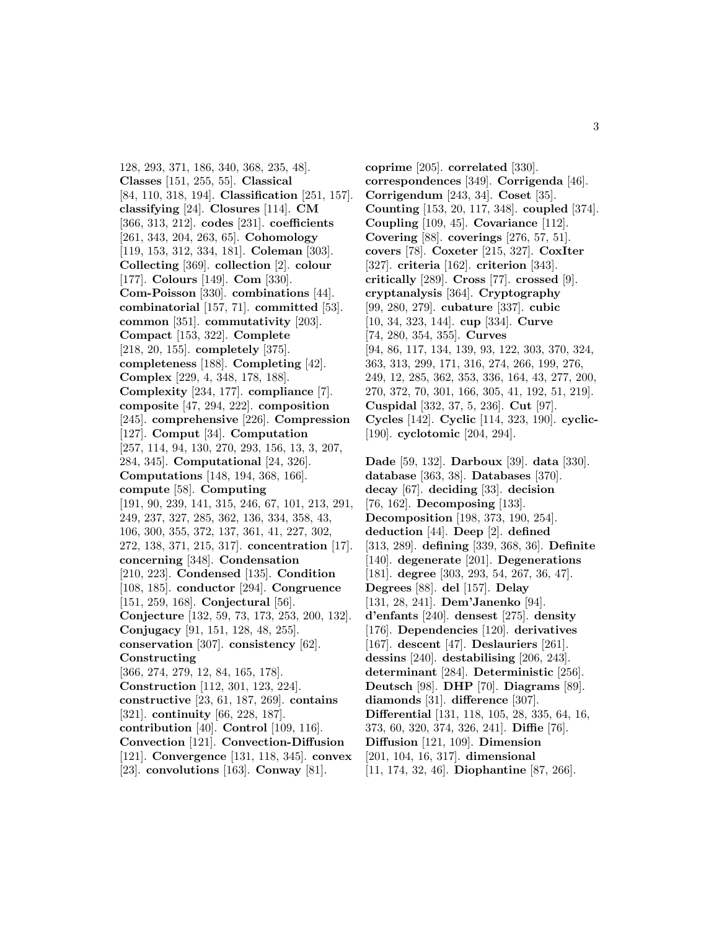128, 293, 371, 186, 340, 368, 235, 48]. **Classes** [151, 255, 55]. **Classical** [84, 110, 318, 194]. **Classification** [251, 157]. **classifying** [24]. **Closures** [114]. **CM** [366, 313, 212]. **codes** [231]. **coefficients** [261, 343, 204, 263, 65]. **Cohomology** [119, 153, 312, 334, 181]. **Coleman** [303]. **Collecting** [369]. **collection** [2]. **colour** [177]. **Colours** [149]. **Com** [330]. **Com-Poisson** [330]. **combinations** [44]. **combinatorial** [157, 71]. **committed** [53]. **common** [351]. **commutativity** [203]. **Compact** [153, 322]. **Complete** [218, 20, 155]. **completely** [375]. **completeness** [188]. **Completing** [42]. **Complex** [229, 4, 348, 178, 188]. **Complexity** [234, 177]. **compliance** [7]. **composite** [47, 294, 222]. **composition** [245]. **comprehensive** [226]. **Compression** [127]. **Comput** [34]. **Computation** [257, 114, 94, 130, 270, 293, 156, 13, 3, 207, 284, 345]. **Computational** [24, 326]. **Computations** [148, 194, 368, 166]. **compute** [58]. **Computing** [191, 90, 239, 141, 315, 246, 67, 101, 213, 291, 249, 237, 327, 285, 362, 136, 334, 358, 43, 106, 300, 355, 372, 137, 361, 41, 227, 302, 272, 138, 371, 215, 317]. **concentration** [17]. **concerning** [348]. **Condensation** [210, 223]. **Condensed** [135]. **Condition** [108, 185]. **conductor** [294]. **Congruence** [151, 259, 168]. **Conjectural** [56]. **Conjecture** [132, 59, 73, 173, 253, 200, 132]. **Conjugacy** [91, 151, 128, 48, 255]. **conservation** [307]. **consistency** [62]. **Constructing** [366, 274, 279, 12, 84, 165, 178]. **Construction** [112, 301, 123, 224]. **constructive** [23, 61, 187, 269]. **contains** [321]. **continuity** [66, 228, 187]. **contribution** [40]. **Control** [109, 116]. **Convection** [121]. **Convection-Diffusion** [121]. **Convergence** [131, 118, 345]. **convex** [23]. **convolutions** [163]. **Conway** [81].

**coprime** [205]. **correlated** [330]. **correspondences** [349]. **Corrigenda** [46]. **Corrigendum** [243, 34]. **Coset** [35]. **Counting** [153, 20, 117, 348]. **coupled** [374]. **Coupling** [109, 45]. **Covariance** [112]. **Covering** [88]. **coverings** [276, 57, 51]. **covers** [78]. **Coxeter** [215, 327]. **CoxIter** [327]. **criteria** [162]. **criterion** [343]. **critically** [289]. **Cross** [77]. **crossed** [9]. **cryptanalysis** [364]. **Cryptography** [99, 280, 279]. **cubature** [337]. **cubic** [10, 34, 323, 144]. **cup** [334]. **Curve** [74, 280, 354, 355]. **Curves** [94, 86, 117, 134, 139, 93, 122, 303, 370, 324, 363, 313, 299, 171, 316, 274, 266, 199, 276, 249, 12, 285, 362, 353, 336, 164, 43, 277, 200, 270, 372, 70, 301, 166, 305, 41, 192, 51, 219]. **Cuspidal** [332, 37, 5, 236]. **Cut** [97]. **Cycles** [142]. **Cyclic** [114, 323, 190]. **cyclic-** [190]. **cyclotomic** [204, 294].

**Dade** [59, 132]. **Darboux** [39]. **data** [330]. **database** [363, 38]. **Databases** [370]. **decay** [67]. **deciding** [33]. **decision** [76, 162]. **Decomposing** [133]. **Decomposition** [198, 373, 190, 254]. **deduction** [44]. **Deep** [2]. **defined** [313, 289]. **defining** [339, 368, 36]. **Definite** [140]. **degenerate** [201]. **Degenerations** [181]. **degree** [303, 293, 54, 267, 36, 47]. **Degrees** [88]. **del** [157]. **Delay** [131, 28, 241]. **Dem'Janenko** [94]. **d'enfants** [240]. **densest** [275]. **density** [176]. **Dependencies** [120]. **derivatives** [167]. **descent** [47]. **Deslauriers** [261]. **dessins** [240]. **destabilising** [206, 243]. **determinant** [284]. **Deterministic** [256]. **Deutsch** [98]. **DHP** [70]. **Diagrams** [89]. **diamonds** [31]. **difference** [307]. **Differential** [131, 118, 105, 28, 335, 64, 16, 373, 60, 320, 374, 326, 241]. **Diffie** [76]. **Diffusion** [121, 109]. **Dimension** [201, 104, 16, 317]. **dimensional** [11, 174, 32, 46]. **Diophantine** [87, 266].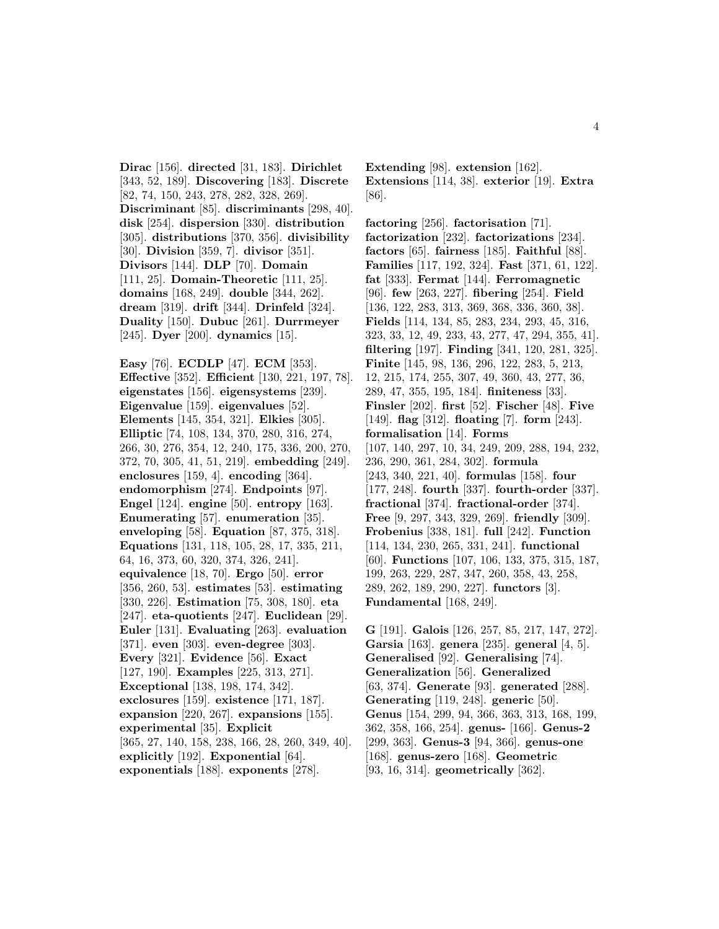**Dirac** [156]. **directed** [31, 183]. **Dirichlet** [343, 52, 189]. **Discovering** [183]. **Discrete** [82, 74, 150, 243, 278, 282, 328, 269]. **Discriminant** [85]. **discriminants** [298, 40]. **disk** [254]. **dispersion** [330]. **distribution** [305]. **distributions** [370, 356]. **divisibility** [30]. **Division** [359, 7]. **divisor** [351]. **Divisors** [144]. **DLP** [70]. **Domain** [111, 25]. **Domain-Theoretic** [111, 25]. **domains** [168, 249]. **double** [344, 262]. **dream** [319]. **drift** [344]. **Drinfeld** [324]. **Duality** [150]. **Dubuc** [261]. **Durrmeyer** [245]. **Dyer** [200]. **dynamics** [15].

**Easy** [76]. **ECDLP** [47]. **ECM** [353]. **Effective** [352]. **Efficient** [130, 221, 197, 78]. **eigenstates** [156]. **eigensystems** [239]. **Eigenvalue** [159]. **eigenvalues** [52]. **Elements** [145, 354, 321]. **Elkies** [305]. **Elliptic** [74, 108, 134, 370, 280, 316, 274, 266, 30, 276, 354, 12, 240, 175, 336, 200, 270, 372, 70, 305, 41, 51, 219]. **embedding** [249]. **enclosures** [159, 4]. **encoding** [364]. **endomorphism** [274]. **Endpoints** [97]. **Engel** [124]. **engine** [50]. **entropy** [163]. **Enumerating** [57]. **enumeration** [35]. **enveloping** [58]. **Equation** [87, 375, 318]. **Equations** [131, 118, 105, 28, 17, 335, 211, 64, 16, 373, 60, 320, 374, 326, 241]. **equivalence** [18, 70]. **Ergo** [50]. **error** [356, 260, 53]. **estimates** [53]. **estimating** [330, 226]. **Estimation** [75, 308, 180]. **eta** [247]. **eta-quotients** [247]. **Euclidean** [29]. **Euler** [131]. **Evaluating** [263]. **evaluation** [371]. **even** [303]. **even-degree** [303]. **Every** [321]. **Evidence** [56]. **Exact** [127, 190]. **Examples** [225, 313, 271]. **Exceptional** [138, 198, 174, 342]. **exclosures** [159]. **existence** [171, 187]. **expansion** [220, 267]. **expansions** [155]. **experimental** [35]. **Explicit** [365, 27, 140, 158, 238, 166, 28, 260, 349, 40]. **explicitly** [192]. **Exponential** [64]. **exponentials** [188]. **exponents** [278].

**Extending** [98]. **extension** [162]. **Extensions** [114, 38]. **exterior** [19]. **Extra** [86].

**factoring** [256]. **factorisation** [71]. **factorization** [232]. **factorizations** [234]. **factors** [65]. **fairness** [185]. **Faithful** [88]. **Families** [117, 192, 324]. **Fast** [371, 61, 122]. **fat** [333]. **Fermat** [144]. **Ferromagnetic** [96]. **few** [263, 227]. **fibering** [254]. **Field** [136, 122, 283, 313, 369, 368, 336, 360, 38]. **Fields** [114, 134, 85, 283, 234, 293, 45, 316, 323, 33, 12, 49, 233, 43, 277, 47, 294, 355, 41]. **filtering** [197]. **Finding** [341, 120, 281, 325]. **Finite** [145, 98, 136, 296, 122, 283, 5, 213, 12, 215, 174, 255, 307, 49, 360, 43, 277, 36, 289, 47, 355, 195, 184]. **finiteness** [33]. **Finsler** [202]. **first** [52]. **Fischer** [48]. **Five** [149]. **flag** [312]. **floating** [7]. **form** [243]. **formalisation** [14]. **Forms** [107, 140, 297, 10, 34, 249, 209, 288, 194, 232, 236, 290, 361, 284, 302]. **formula** [243, 340, 221, 40]. **formulas** [158]. **four** [177, 248]. **fourth** [337]. **fourth-order** [337]. **fractional** [374]. **fractional-order** [374]. **Free** [9, 297, 343, 329, 269]. **friendly** [309]. **Frobenius** [338, 181]. **full** [242]. **Function** [114, 134, 230, 265, 331, 241]. **functional** [60]. **Functions** [107, 106, 133, 375, 315, 187, 199, 263, 229, 287, 347, 260, 358, 43, 258, 289, 262, 189, 290, 227]. **functors** [3]. **Fundamental** [168, 249].

**G** [191]. **Galois** [126, 257, 85, 217, 147, 272]. **Garsia** [163]. **genera** [235]. **general** [4, 5]. **Generalised** [92]. **Generalising** [74]. **Generalization** [56]. **Generalized** [63, 374]. **Generate** [93]. **generated** [288]. **Generating** [119, 248]. **generic** [50]. **Genus** [154, 299, 94, 366, 363, 313, 168, 199, 362, 358, 166, 254]. **genus-** [166]. **Genus-2** [299, 363]. **Genus-3** [94, 366]. **genus-one** [168]. **genus-zero** [168]. **Geometric** [93, 16, 314]. **geometrically** [362].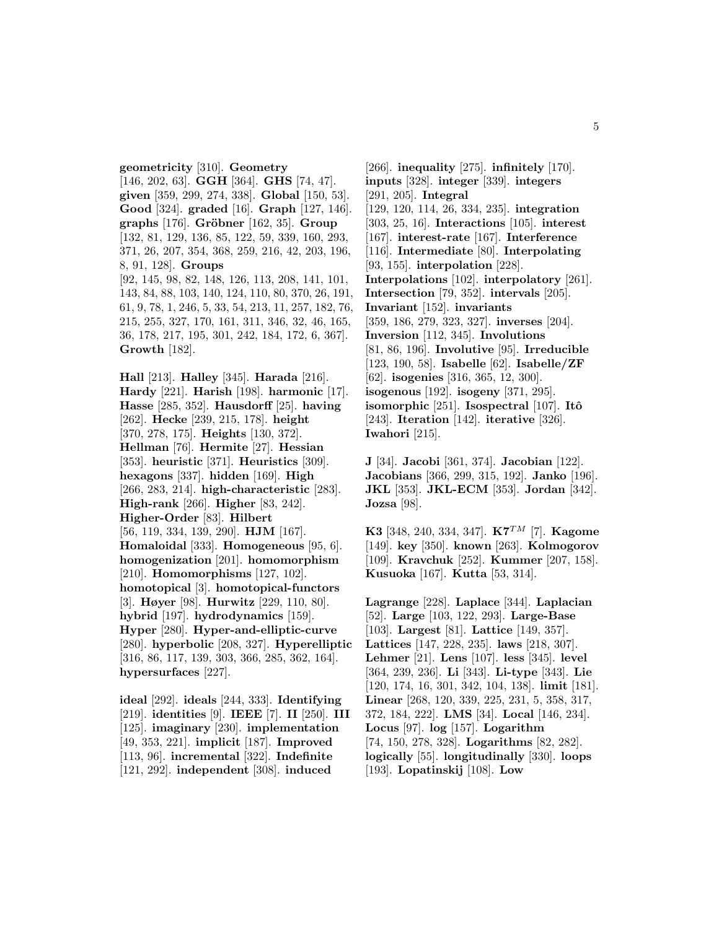**geometricity** [310]. **Geometry** [146, 202, 63]. **GGH** [364]. **GHS** [74, 47]. **given** [359, 299, 274, 338]. **Global** [150, 53]. **Good** [324]. **graded** [16]. **Graph** [127, 146]. **graphs** [176]. **Gröbner** [162, 35]. **Group** [132, 81, 129, 136, 85, 122, 59, 339, 160, 293, 371, 26, 207, 354, 368, 259, 216, 42, 203, 196, 8, 91, 128]. **Groups** [92, 145, 98, 82, 148, 126, 113, 208, 141, 101, 143, 84, 88, 103, 140, 124, 110, 80, 370, 26, 191, 61, 9, 78, 1, 246, 5, 33, 54, 213, 11, 257, 182, 76, 215, 255, 327, 170, 161, 311, 346, 32, 46, 165, 36, 178, 217, 195, 301, 242, 184, 172, 6, 367]. **Growth** [182].

**Hall** [213]. **Halley** [345]. **Harada** [216]. **Hardy** [221]. **Harish** [198]. **harmonic** [17]. **Hasse** [285, 352]. **Hausdorff** [25]. **having** [262]. **Hecke** [239, 215, 178]. **height** [370, 278, 175]. **Heights** [130, 372]. **Hellman** [76]. **Hermite** [27]. **Hessian** [353]. **heuristic** [371]. **Heuristics** [309]. **hexagons** [337]. **hidden** [169]. **High** [266, 283, 214]. **high-characteristic** [283]. **High-rank** [266]. **Higher** [83, 242]. **Higher-Order** [83]. **Hilbert** [56, 119, 334, 139, 290]. **HJM** [167]. **Homaloidal** [333]. **Homogeneous** [95, 6]. **homogenization** [201]. **homomorphism** [210]. **Homomorphisms** [127, 102]. **homotopical** [3]. **homotopical-functors** [3]. **Høyer** [98]. **Hurwitz** [229, 110, 80]. **hybrid** [197]. **hydrodynamics** [159]. **Hyper** [280]. **Hyper-and-elliptic-curve** [280]. **hyperbolic** [208, 327]. **Hyperelliptic** [316, 86, 117, 139, 303, 366, 285, 362, 164]. **hypersurfaces** [227].

**ideal** [292]. **ideals** [244, 333]. **Identifying** [219]. **identities** [9]. **IEEE** [7]. **II** [250]. **III** [125]. **imaginary** [230]. **implementation** [49, 353, 221]. **implicit** [187]. **Improved** [113, 96]. **incremental** [322]. **Indefinite** [121, 292]. **independent** [308]. **induced**

[266]. **inequality** [275]. **infinitely** [170]. **inputs** [328]. **integer** [339]. **integers** [291, 205]. **Integral** [129, 120, 114, 26, 334, 235]. **integration** [303, 25, 16]. **Interactions** [105]. **interest** [167]. **interest-rate** [167]. **Interference** [116]. **Intermediate** [80]. **Interpolating** [93, 155]. **interpolation** [228]. **Interpolations** [102]. **interpolatory** [261]. **Intersection** [79, 352]. **intervals** [205]. **Invariant** [152]. **invariants** [359, 186, 279, 323, 327]. **inverses** [204]. **Inversion** [112, 345]. **Involutions** [81, 86, 196]. **Involutive** [95]. **Irreducible** [123, 190, 58]. **Isabelle** [62]. **Isabelle/ZF** [62]. **isogenies** [316, 365, 12, 300]. **isogenous** [192]. **isogeny** [371, 295]. **isomorphic** [251]. **Isospectral** [107]. **Itô** [243]. **Iteration** [142]. **iterative** [326]. **Iwahori** [215].

**J** [34]. **Jacobi** [361, 374]. **Jacobian** [122]. **Jacobians** [366, 299, 315, 192]. **Janko** [196]. **JKL** [353]. **JKL-ECM** [353]. **Jordan** [342]. **Jozsa** [98].

**K3** [348, 240, 334, 347]. **K7**TM [7]. **Kagome** [149]. **key** [350]. **known** [263]. **Kolmogorov** [109]. **Kravchuk** [252]. **Kummer** [207, 158]. **Kusuoka** [167]. **Kutta** [53, 314].

**Lagrange** [228]. **Laplace** [344]. **Laplacian** [52]. **Large** [103, 122, 293]. **Large-Base** [103]. **Largest** [81]. **Lattice** [149, 357]. **Lattices** [147, 228, 235]. **laws** [218, 307]. **Lehmer** [21]. **Lens** [107]. **less** [345]. **level** [364, 239, 236]. **Li** [343]. **Li-type** [343]. **Lie** [120, 174, 16, 301, 342, 104, 138]. **limit** [181]. **Linear** [268, 120, 339, 225, 231, 5, 358, 317, 372, 184, 222]. **LMS** [34]. **Local** [146, 234]. **Locus** [97]. **log** [157]. **Logarithm** [74, 150, 278, 328]. **Logarithms** [82, 282]. **logically** [55]. **longitudinally** [330]. **loops** [193]. **Lopatinskij** [108]. **Low**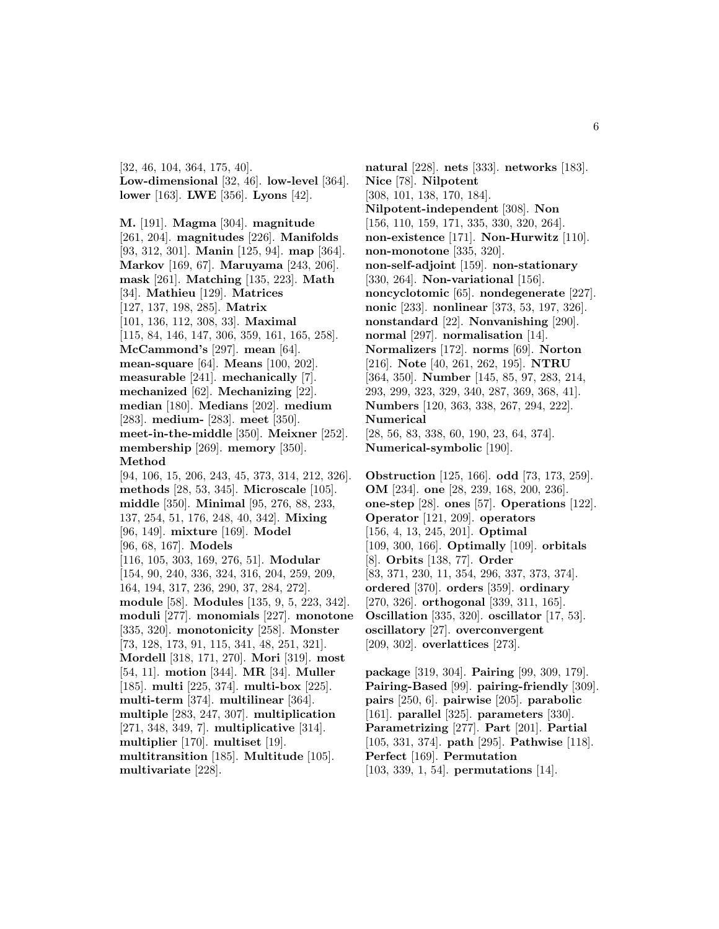[32, 46, 104, 364, 175, 40]. **Low-dimensional** [32, 46]. **low-level** [364]. **lower** [163]. **LWE** [356]. **Lyons** [42].

**M.** [191]. **Magma** [304]. **magnitude** [261, 204]. **magnitudes** [226]. **Manifolds** [93, 312, 301]. **Manin** [125, 94]. **map** [364]. **Markov** [169, 67]. **Maruyama** [243, 206]. **mask** [261]. **Matching** [135, 223]. **Math** [34]. **Mathieu** [129]. **Matrices** [127, 137, 198, 285]. **Matrix** [101, 136, 112, 308, 33]. **Maximal** [115, 84, 146, 147, 306, 359, 161, 165, 258]. **McCammond's** [297]. **mean** [64]. **mean-square** [64]. **Means** [100, 202]. **measurable** [241]. **mechanically** [7]. **mechanized** [62]. **Mechanizing** [22]. **median** [180]. **Medians** [202]. **medium** [283]. **medium-** [283]. **meet** [350]. **meet-in-the-middle** [350]. **Meixner** [252]. **membership** [269]. **memory** [350]. **Method** [94, 106, 15, 206, 243, 45, 373, 314, 212, 326]. **methods** [28, 53, 345]. **Microscale** [105]. **middle** [350]. **Minimal** [95, 276, 88, 233, 137, 254, 51, 176, 248, 40, 342]. **Mixing** [96, 149]. **mixture** [169]. **Model** [96, 68, 167]. **Models** [116, 105, 303, 169, 276, 51]. **Modular** [154, 90, 240, 336, 324, 316, 204, 259, 209, 164, 194, 317, 236, 290, 37, 284, 272]. **module** [58]. **Modules** [135, 9, 5, 223, 342]. **moduli** [277]. **monomials** [227]. **monotone** [335, 320]. **monotonicity** [258]. **Monster** [73, 128, 173, 91, 115, 341, 48, 251, 321]. **Mordell** [318, 171, 270]. **Mori** [319]. **most** [54, 11]. **motion** [344]. **MR** [34]. **Muller** [185]. **multi** [225, 374]. **multi-box** [225]. **multi-term** [374]. **multilinear** [364]. **multiple** [283, 247, 307]. **multiplication** [271, 348, 349, 7]. **multiplicative** [314]. **multiplier** [170]. **multiset** [19]. **multitransition** [185]. **Multitude** [105]. **multivariate** [228].

**natural** [228]. **nets** [333]. **networks** [183]. **Nice** [78]. **Nilpotent** [308, 101, 138, 170, 184]. **Nilpotent-independent** [308]. **Non** [156, 110, 159, 171, 335, 330, 320, 264]. **non-existence** [171]. **Non-Hurwitz** [110]. **non-monotone** [335, 320]. **non-self-adjoint** [159]. **non-stationary** [330, 264]. **Non-variational** [156]. **noncyclotomic** [65]. **nondegenerate** [227]. **nonic** [233]. **nonlinear** [373, 53, 197, 326]. **nonstandard** [22]. **Nonvanishing** [290]. **normal** [297]. **normalisation** [14]. **Normalizers** [172]. **norms** [69]. **Norton** [216]. **Note** [40, 261, 262, 195]. **NTRU** [364, 350]. **Number** [145, 85, 97, 283, 214, 293, 299, 323, 329, 340, 287, 369, 368, 41]. **Numbers** [120, 363, 338, 267, 294, 222]. **Numerical** [28, 56, 83, 338, 60, 190, 23, 64, 374]. **Numerical-symbolic** [190].

**Obstruction** [125, 166]. **odd** [73, 173, 259]. **OM** [234]. **one** [28, 239, 168, 200, 236]. **one-step** [28]. **ones** [57]. **Operations** [122]. **Operator** [121, 209]. **operators** [156, 4, 13, 245, 201]. **Optimal** [109, 300, 166]. **Optimally** [109]. **orbitals** [8]. **Orbits** [138, 77]. **Order** [83, 371, 230, 11, 354, 296, 337, 373, 374]. **ordered** [370]. **orders** [359]. **ordinary** [270, 326]. **orthogonal** [339, 311, 165]. **Oscillation** [335, 320]. **oscillator** [17, 53]. **oscillatory** [27]. **overconvergent** [209, 302]. **overlattices** [273].

**package** [319, 304]. **Pairing** [99, 309, 179]. **Pairing-Based** [99]. **pairing-friendly** [309]. **pairs** [250, 6]. **pairwise** [205]. **parabolic** [161]. **parallel** [325]. **parameters** [330]. **Parametrizing** [277]. **Part** [201]. **Partial** [105, 331, 374]. **path** [295]. **Pathwise** [118]. **Perfect** [169]. **Permutation** [103, 339, 1, 54]. **permutations** [14].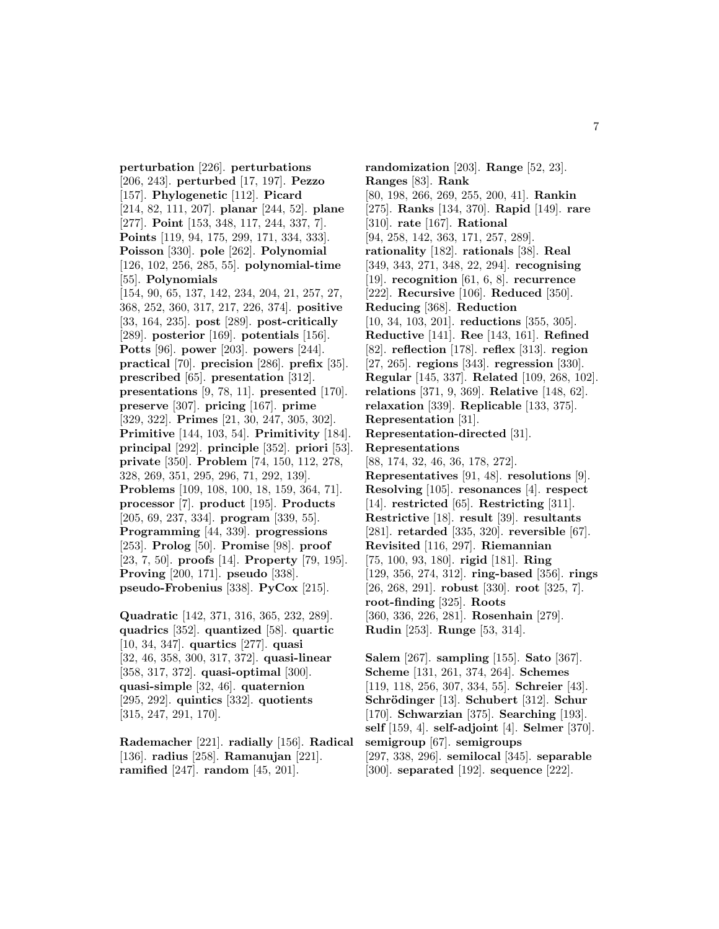**perturbation** [226]. **perturbations** [206, 243]. **perturbed** [17, 197]. **Pezzo** [157]. **Phylogenetic** [112]. **Picard** [214, 82, 111, 207]. **planar** [244, 52]. **plane** [277]. **Point** [153, 348, 117, 244, 337, 7]. **Points** [119, 94, 175, 299, 171, 334, 333]. **Poisson** [330]. **pole** [262]. **Polynomial** [126, 102, 256, 285, 55]. **polynomial-time** [55]. **Polynomials** [154, 90, 65, 137, 142, 234, 204, 21, 257, 27, 368, 252, 360, 317, 217, 226, 374]. **positive** [33, 164, 235]. **post** [289]. **post-critically** [289]. **posterior** [169]. **potentials** [156]. **Potts** [96]. **power** [203]. **powers** [244]. **practical** [70]. **precision** [286]. **prefix** [35]. **prescribed** [65]. **presentation** [312]. **presentations** [9, 78, 11]. **presented** [170]. **preserve** [307]. **pricing** [167]. **prime** [329, 322]. **Primes** [21, 30, 247, 305, 302]. **Primitive** [144, 103, 54]. **Primitivity** [184]. **principal** [292]. **principle** [352]. **priori** [53]. **private** [350]. **Problem** [74, 150, 112, 278, 328, 269, 351, 295, 296, 71, 292, 139]. **Problems** [109, 108, 100, 18, 159, 364, 71]. **processor** [7]. **product** [195]. **Products** [205, 69, 237, 334]. **program** [339, 55]. **Programming** [44, 339]. **progressions** [253]. **Prolog** [50]. **Promise** [98]. **proof** [23, 7, 50]. **proofs** [14]. **Property** [79, 195]. **Proving** [200, 171]. **pseudo** [338]. **pseudo-Frobenius** [338]. **PyCox** [215].

**Quadratic** [142, 371, 316, 365, 232, 289]. **quadrics** [352]. **quantized** [58]. **quartic** [10, 34, 347]. **quartics** [277]. **quasi** [32, 46, 358, 300, 317, 372]. **quasi-linear** [358, 317, 372]. **quasi-optimal** [300]. **quasi-simple** [32, 46]. **quaternion** [295, 292]. **quintics** [332]. **quotients** [315, 247, 291, 170].

**Rademacher** [221]. **radially** [156]. **Radical** [136]. **radius** [258]. **Ramanujan** [221]. **ramified** [247]. **random** [45, 201].

**randomization** [203]. **Range** [52, 23]. **Ranges** [83]. **Rank** [80, 198, 266, 269, 255, 200, 41]. **Rankin** [275]. **Ranks** [134, 370]. **Rapid** [149]. **rare** [310]. **rate** [167]. **Rational** [94, 258, 142, 363, 171, 257, 289]. **rationality** [182]. **rationals** [38]. **Real** [349, 343, 271, 348, 22, 294]. **recognising** [19]. **recognition** [61, 6, 8]. **recurrence** [222]. **Recursive** [106]. **Reduced** [350]. **Reducing** [368]. **Reduction** [10, 34, 103, 201]. **reductions** [355, 305]. **Reductive** [141]. **Ree** [143, 161]. **Refined** [82]. **reflection** [178]. **reflex** [313]. **region** [27, 265]. **regions** [343]. **regression** [330]. **Regular** [145, 337]. **Related** [109, 268, 102]. **relations** [371, 9, 369]. **Relative** [148, 62]. **relaxation** [339]. **Replicable** [133, 375]. **Representation** [31]. **Representation-directed** [31]. **Representations** [88, 174, 32, 46, 36, 178, 272]. **Representatives** [91, 48]. **resolutions** [9]. **Resolving** [105]. **resonances** [4]. **respect** [14]. **restricted** [65]. **Restricting** [311]. **Restrictive** [18]. **result** [39]. **resultants** [281]. **retarded** [335, 320]. **reversible** [67]. **Revisited** [116, 297]. **Riemannian** [75, 100, 93, 180]. **rigid** [181]. **Ring** [129, 356, 274, 312]. **ring-based** [356]. **rings** [26, 268, 291]. **robust** [330]. **root** [325, 7]. **root-finding** [325]. **Roots** [360, 336, 226, 281]. **Rosenhain** [279]. **Rudin** [253]. **Runge** [53, 314].

**Salem** [267]. **sampling** [155]. **Sato** [367]. **Scheme** [131, 261, 374, 264]. **Schemes** [119, 118, 256, 307, 334, 55]. **Schreier** [43]. **Schrödinger** [13]. **Schubert** [312]. **Schur** [170]. **Schwarzian** [375]. **Searching** [193]. **self** [159, 4]. **self-adjoint** [4]. **Selmer** [370]. **semigroup** [67]. **semigroups** [297, 338, 296]. **semilocal** [345]. **separable** [300]. **separated** [192]. **sequence** [222].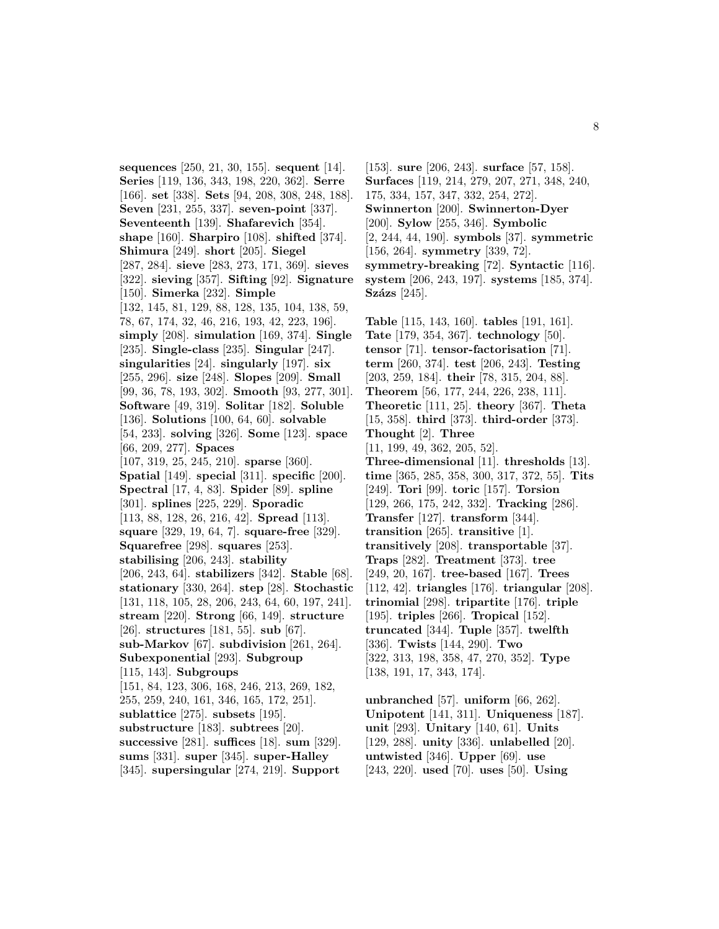**sequences** [250, 21, 30, 155]. **sequent** [14]. **Series** [119, 136, 343, 198, 220, 362]. **Serre** [166]. **set** [338]. **Sets** [94, 208, 308, 248, 188]. **Seven** [231, 255, 337]. **seven-point** [337]. **Seventeenth** [139]. **Shafarevich** [354]. **shape** [160]. **Sharpiro** [108]. **shifted** [374]. **Shimura** [249]. **short** [205]. **Siegel** [287, 284]. **sieve** [283, 273, 171, 369]. **sieves** [322]. **sieving** [357]. **Sifting** [92]. **Signature** [150]. **Simerka** [232]. **Simple** [132, 145, 81, 129, 88, 128, 135, 104, 138, 59, 78, 67, 174, 32, 46, 216, 193, 42, 223, 196]. **simply** [208]. **simulation** [169, 374]. **Single** [235]. **Single-class** [235]. **Singular** [247]. **singularities** [24]. **singularly** [197]. **six** [255, 296]. **size** [248]. **Slopes** [209]. **Small** [99, 36, 78, 193, 302]. **Smooth** [93, 277, 301]. **Software** [49, 319]. **Solitar** [182]. **Soluble** [136]. **Solutions** [100, 64, 60]. **solvable** [54, 233]. **solving** [326]. **Some** [123]. **space** [66, 209, 277]. **Spaces** [107, 319, 25, 245, 210]. **sparse** [360]. **Spatial** [149]. **special** [311]. **specific** [200]. **Spectral** [17, 4, 83]. **Spider** [89]. **spline** [301]. **splines** [225, 229]. **Sporadic** [113, 88, 128, 26, 216, 42]. **Spread** [113]. **square** [329, 19, 64, 7]. **square-free** [329]. **Squarefree** [298]. **squares** [253]. **stabilising** [206, 243]. **stability** [206, 243, 64]. **stabilizers** [342]. **Stable** [68]. **stationary** [330, 264]. **step** [28]. **Stochastic** [131, 118, 105, 28, 206, 243, 64, 60, 197, 241]. **stream** [220]. **Strong** [66, 149]. **structure** [26]. **structures** [181, 55]. **sub** [67]. **sub-Markov** [67]. **subdivision** [261, 264]. **Subexponential** [293]. **Subgroup** [115, 143]. **Subgroups** [151, 84, 123, 306, 168, 246, 213, 269, 182, 255, 259, 240, 161, 346, 165, 172, 251]. **sublattice** [275]. **subsets** [195]. **substructure** [183]. **subtrees** [20]. **successive** [281]. **suffices** [18]. **sum** [329]. **sums** [331]. **super** [345]. **super-Halley** [345]. **supersingular** [274, 219]. **Support**

[153]. **sure** [206, 243]. **surface** [57, 158]. **Surfaces** [119, 214, 279, 207, 271, 348, 240, 175, 334, 157, 347, 332, 254, 272]. **Swinnerton** [200]. **Swinnerton-Dyer** [200]. **Sylow** [255, 346]. **Symbolic** [2, 244, 44, 190]. **symbols** [37]. **symmetric** [156, 264]. **symmetry** [339, 72]. **symmetry-breaking** [72]. **Syntactic** [116]. **system** [206, 243, 197]. **systems** [185, 374]. **Százs** [245].

**Table** [115, 143, 160]. **tables** [191, 161]. **Tate** [179, 354, 367]. **technology** [50]. **tensor** [71]. **tensor-factorisation** [71]. **term** [260, 374]. **test** [206, 243]. **Testing** [203, 259, 184]. **their** [78, 315, 204, 88]. **Theorem** [56, 177, 244, 226, 238, 111]. **Theoretic** [111, 25]. **theory** [367]. **Theta** [15, 358]. **third** [373]. **third-order** [373]. **Thought** [2]. **Three** [11, 199, 49, 362, 205, 52]. **Three-dimensional** [11]. **thresholds** [13]. **time** [365, 285, 358, 300, 317, 372, 55]. **Tits** [249]. **Tori** [99]. **toric** [157]. **Torsion** [129, 266, 175, 242, 332]. **Tracking** [286]. **Transfer** [127]. **transform** [344]. **transition** [265]. **transitive** [1]. **transitively** [208]. **transportable** [37]. **Traps** [282]. **Treatment** [373]. **tree** [249, 20, 167]. **tree-based** [167]. **Trees** [112, 42]. **triangles** [176]. **triangular** [208]. **trinomial** [298]. **tripartite** [176]. **triple** [195]. **triples** [266]. **Tropical** [152]. **truncated** [344]. **Tuple** [357]. **twelfth** [336]. **Twists** [144, 290]. **Two** [322, 313, 198, 358, 47, 270, 352]. **Type** [138, 191, 17, 343, 174].

**unbranched** [57]. **uniform** [66, 262]. **Unipotent** [141, 311]. **Uniqueness** [187]. **unit** [293]. **Unitary** [140, 61]. **Units** [129, 288]. **unity** [336]. **unlabelled** [20]. **untwisted** [346]. **Upper** [69]. **use** [243, 220]. **used** [70]. **uses** [50]. **Using**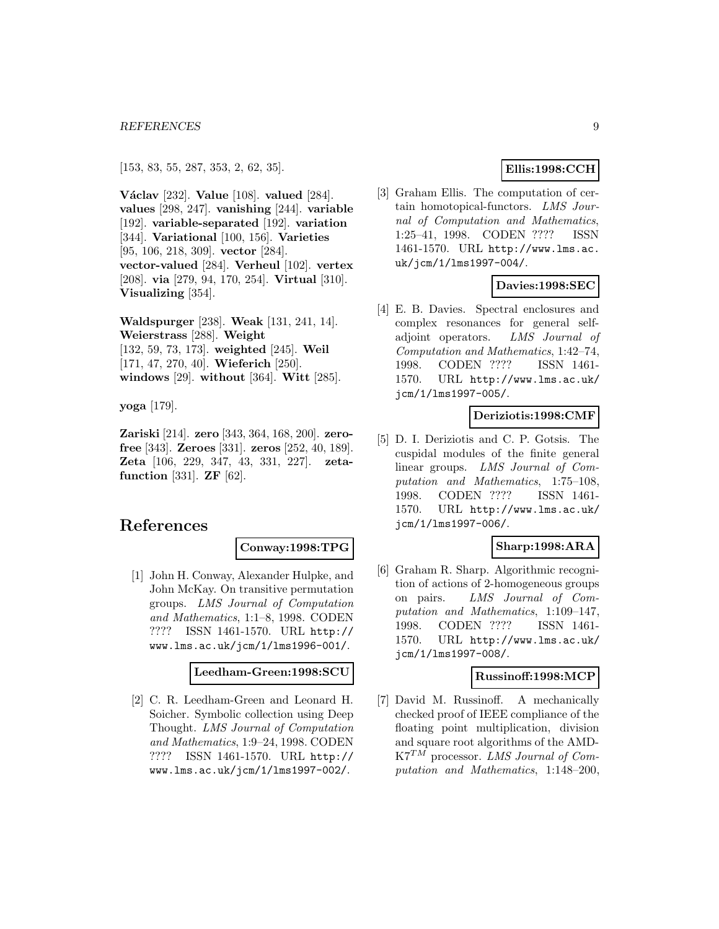[153, 83, 55, 287, 353, 2, 62, 35].

**V´aclav** [232]. **Value** [108]. **valued** [284]. **values** [298, 247]. **vanishing** [244]. **variable** [192]. **variable-separated** [192]. **variation** [344]. **Variational** [100, 156]. **Varieties** [95, 106, 218, 309]. **vector** [284]. **vector-valued** [284]. **Verheul** [102]. **vertex** [208]. **via** [279, 94, 170, 254]. **Virtual** [310]. **Visualizing** [354].

**Waldspurger** [238]. **Weak** [131, 241, 14]. **Weierstrass** [288]. **Weight** [132, 59, 73, 173]. **weighted** [245]. **Weil** [171, 47, 270, 40]. **Wieferich** [250]. **windows** [29]. **without** [364]. **Witt** [285].

**yoga** [179].

**Zariski** [214]. **zero** [343, 364, 168, 200]. **zerofree** [343]. **Zeroes** [331]. **zeros** [252, 40, 189]. **Zeta** [106, 229, 347, 43, 331, 227]. **zetafunction** [331]. **ZF** [62].

## **References**

#### **Conway:1998:TPG**

[1] John H. Conway, Alexander Hulpke, and John McKay. On transitive permutation groups. LMS Journal of Computation and Mathematics, 1:1–8, 1998. CODEN ???? ISSN 1461-1570. URL http:// www.lms.ac.uk/jcm/1/lms1996-001/.

#### **Leedham-Green:1998:SCU**

[2] C. R. Leedham-Green and Leonard H. Soicher. Symbolic collection using Deep Thought. LMS Journal of Computation and Mathematics, 1:9–24, 1998. CODEN ???? ISSN 1461-1570. URL http:// www.lms.ac.uk/jcm/1/lms1997-002/.

## **Ellis:1998:CCH**

[3] Graham Ellis. The computation of certain homotopical-functors. LMS Journal of Computation and Mathematics, 1:25–41, 1998. CODEN ???? ISSN 1461-1570. URL http://www.lms.ac. uk/jcm/1/lms1997-004/.

## **Davies:1998:SEC**

[4] E. B. Davies. Spectral enclosures and complex resonances for general selfadjoint operators. LMS Journal of Computation and Mathematics, 1:42–74, 1998. CODEN ???? ISSN 1461- 1570. URL http://www.lms.ac.uk/ jcm/1/lms1997-005/.

#### **Deriziotis:1998:CMF**

[5] D. I. Deriziotis and C. P. Gotsis. The cuspidal modules of the finite general linear groups. LMS Journal of Computation and Mathematics, 1:75–108, 1998. CODEN ???? ISSN 1461- 1570. URL http://www.lms.ac.uk/ jcm/1/lms1997-006/.

#### **Sharp:1998:ARA**

[6] Graham R. Sharp. Algorithmic recognition of actions of 2-homogeneous groups on pairs. LMS Journal of Computation and Mathematics, 1:109–147, 1998. CODEN ???? ISSN 1461- 1570. URL http://www.lms.ac.uk/ jcm/1/lms1997-008/.

#### **Russinoff:1998:MCP**

[7] David M. Russinoff. A mechanically checked proof of IEEE compliance of the floating point multiplication, division and square root algorithms of the AMD- $K7^{TM}$  processor. LMS Journal of Computation and Mathematics, 1:148–200,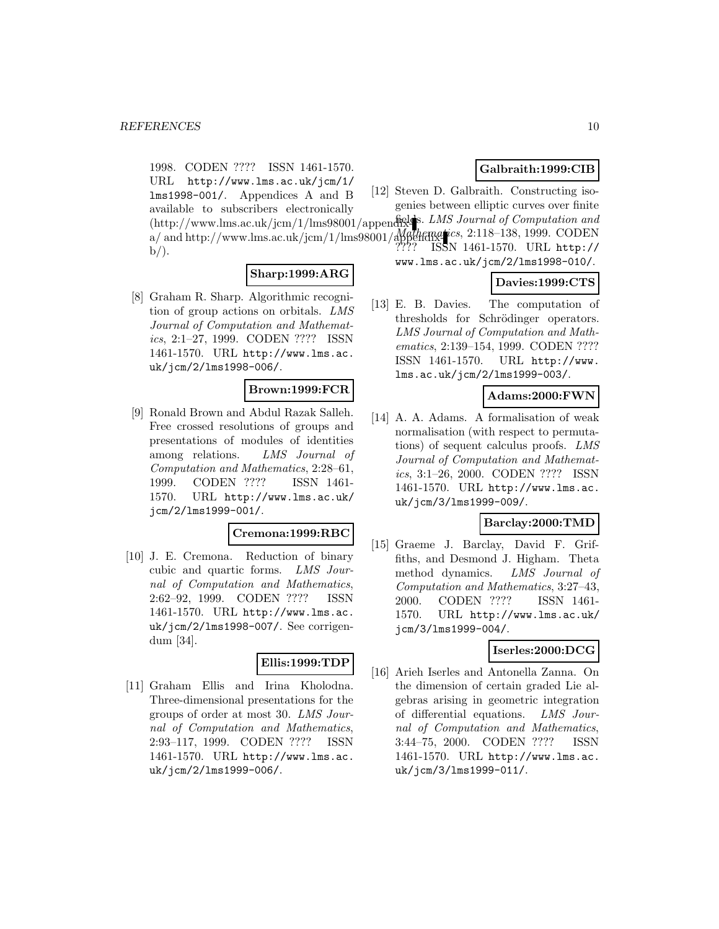1998. CODEN ???? ISSN 1461-1570. URL http://www.lms.ac.uk/jcm/1/ lms1998-001/. Appendices A and B available to subscribers electronically (http://www.lms.ac.uk/jcm/1/lms98001/appendix-fields. LMS Journal of Computation and  $a/$  and http://www.lms.ac.uk/jcm/1/lms98001/appendixe\_ics, 2:118–138, 1999. CODEN  $b$ .

## **Sharp:1999:ARG**

[8] Graham R. Sharp. Algorithmic recognition of group actions on orbitals. LMS Journal of Computation and Mathematics, 2:1–27, 1999. CODEN ???? ISSN 1461-1570. URL http://www.lms.ac. uk/jcm/2/lms1998-006/.

## **Brown:1999:FCR**

[9] Ronald Brown and Abdul Razak Salleh. Free crossed resolutions of groups and presentations of modules of identities among relations. LMS Journal of Computation and Mathematics, 2:28–61, 1999. CODEN ???? ISSN 1461- 1570. URL http://www.lms.ac.uk/ jcm/2/lms1999-001/.

#### **Cremona:1999:RBC**

[10] J. E. Cremona. Reduction of binary cubic and quartic forms. LMS Journal of Computation and Mathematics, 2:62–92, 1999. CODEN ???? ISSN 1461-1570. URL http://www.lms.ac. uk/jcm/2/lms1998-007/. See corrigendum [34].

### **Ellis:1999:TDP**

[11] Graham Ellis and Irina Kholodna. Three-dimensional presentations for the groups of order at most 30. LMS Journal of Computation and Mathematics, 2:93–117, 1999. CODEN ???? ISSN 1461-1570. URL http://www.lms.ac. uk/jcm/2/lms1999-006/.

## **Galbraith:1999:CIB**

[12] Steven D. Galbraith. Constructing isogenies between elliptic curves over finite

???? ISSN 1461-1570. URL http://

www.lms.ac.uk/jcm/2/lms1998-010/.

### **Davies:1999:CTS**

[13] E. B. Davies. The computation of thresholds for Schrödinger operators. LMS Journal of Computation and Mathematics, 2:139–154, 1999. CODEN ???? ISSN 1461-1570. URL http://www. lms.ac.uk/jcm/2/lms1999-003/.

#### **Adams:2000:FWN**

[14] A. A. Adams. A formalisation of weak normalisation (with respect to permutations) of sequent calculus proofs. LMS Journal of Computation and Mathematics, 3:1–26, 2000. CODEN ???? ISSN 1461-1570. URL http://www.lms.ac. uk/jcm/3/lms1999-009/.

## **Barclay:2000:TMD**

[15] Graeme J. Barclay, David F. Griffiths, and Desmond J. Higham. Theta method dynamics. LMS Journal of Computation and Mathematics, 3:27–43, 2000. CODEN ???? ISSN 1461- 1570. URL http://www.lms.ac.uk/ jcm/3/lms1999-004/.

## **Iserles:2000:DCG**

[16] Arieh Iserles and Antonella Zanna. On the dimension of certain graded Lie algebras arising in geometric integration of differential equations. LMS Journal of Computation and Mathematics, 3:44–75, 2000. CODEN ???? ISSN 1461-1570. URL http://www.lms.ac. uk/jcm/3/lms1999-011/.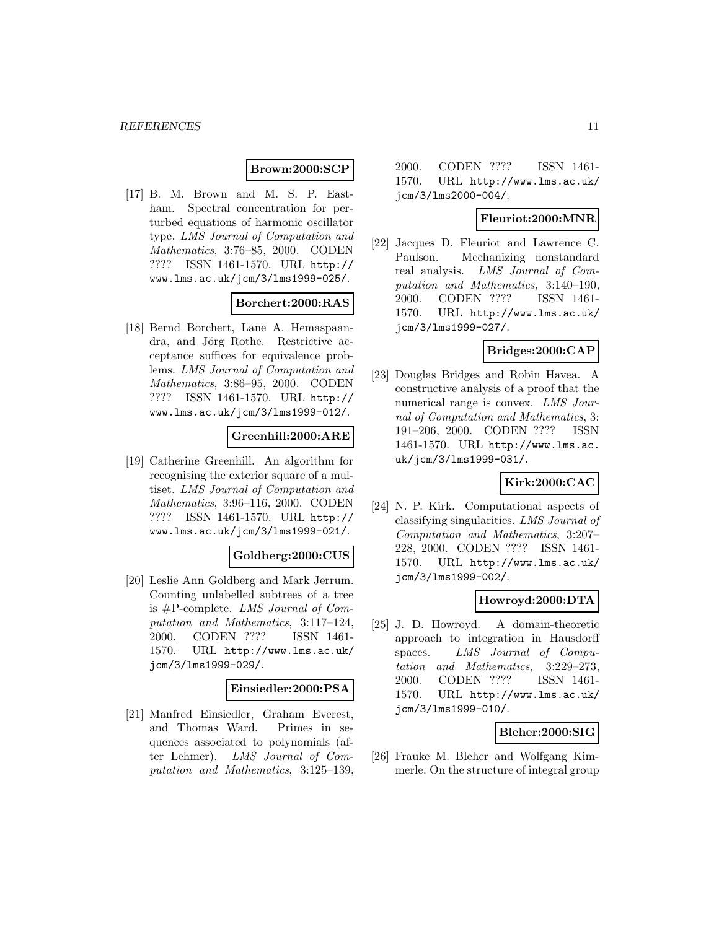## **Brown:2000:SCP**

[17] B. M. Brown and M. S. P. Eastham. Spectral concentration for perturbed equations of harmonic oscillator type. LMS Journal of Computation and Mathematics, 3:76–85, 2000. CODEN ???? ISSN 1461-1570. URL http:// www.lms.ac.uk/jcm/3/lms1999-025/.

### **Borchert:2000:RAS**

[18] Bernd Borchert, Lane A. Hemaspaandra, and Jörg Rothe. Restrictive acceptance suffices for equivalence problems. LMS Journal of Computation and Mathematics, 3:86–95, 2000. CODEN ???? ISSN 1461-1570. URL http:// www.lms.ac.uk/jcm/3/lms1999-012/.

### **Greenhill:2000:ARE**

[19] Catherine Greenhill. An algorithm for recognising the exterior square of a multiset. LMS Journal of Computation and Mathematics, 3:96–116, 2000. CODEN ???? ISSN 1461-1570. URL http:// www.lms.ac.uk/jcm/3/lms1999-021/.

#### **Goldberg:2000:CUS**

[20] Leslie Ann Goldberg and Mark Jerrum. Counting unlabelled subtrees of a tree is #P-complete. LMS Journal of Computation and Mathematics, 3:117–124, 2000. CODEN ???? ISSN 1461- 1570. URL http://www.lms.ac.uk/ jcm/3/lms1999-029/.

#### **Einsiedler:2000:PSA**

[21] Manfred Einsiedler, Graham Everest, and Thomas Ward. Primes in sequences associated to polynomials (after Lehmer). LMS Journal of Computation and Mathematics, 3:125–139, 2000. CODEN ???? ISSN 1461- 1570. URL http://www.lms.ac.uk/ jcm/3/lms2000-004/.

#### **Fleuriot:2000:MNR**

[22] Jacques D. Fleuriot and Lawrence C. Paulson. Mechanizing nonstandard real analysis. LMS Journal of Computation and Mathematics, 3:140–190, 2000. CODEN ???? ISSN 1461- 1570. URL http://www.lms.ac.uk/ jcm/3/lms1999-027/.

### **Bridges:2000:CAP**

[23] Douglas Bridges and Robin Havea. A constructive analysis of a proof that the numerical range is convex. LMS Journal of Computation and Mathematics, 3: 191–206, 2000. CODEN ???? ISSN 1461-1570. URL http://www.lms.ac. uk/jcm/3/lms1999-031/.

## **Kirk:2000:CAC**

[24] N. P. Kirk. Computational aspects of classifying singularities. LMS Journal of Computation and Mathematics, 3:207– 228, 2000. CODEN ???? ISSN 1461- 1570. URL http://www.lms.ac.uk/ jcm/3/lms1999-002/.

## **Howroyd:2000:DTA**

[25] J. D. Howroyd. A domain-theoretic approach to integration in Hausdorff spaces. LMS Journal of Computation and Mathematics, 3:229–273, 2000. CODEN ???? ISSN 1461- 1570. URL http://www.lms.ac.uk/ jcm/3/lms1999-010/.

#### **Bleher:2000:SIG**

[26] Frauke M. Bleher and Wolfgang Kimmerle. On the structure of integral group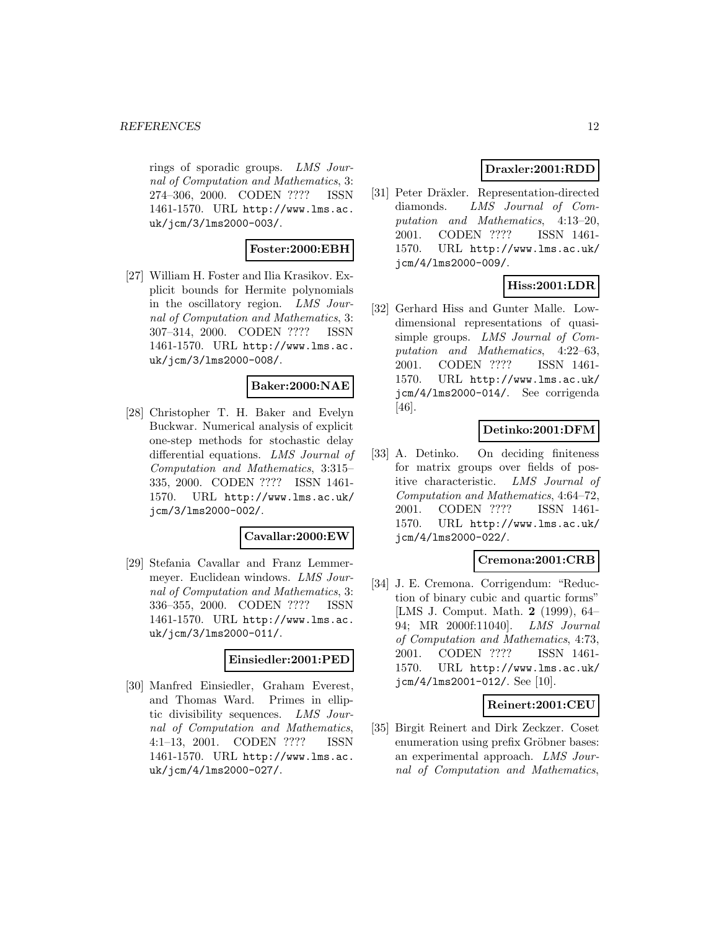rings of sporadic groups. LMS Journal of Computation and Mathematics, 3: 274–306, 2000. CODEN ???? ISSN 1461-1570. URL http://www.lms.ac. uk/jcm/3/lms2000-003/.

## **Foster:2000:EBH**

[27] William H. Foster and Ilia Krasikov. Explicit bounds for Hermite polynomials in the oscillatory region. LMS Journal of Computation and Mathematics, 3: 307–314, 2000. CODEN ???? ISSN 1461-1570. URL http://www.lms.ac. uk/jcm/3/lms2000-008/.

## **Baker:2000:NAE**

[28] Christopher T. H. Baker and Evelyn Buckwar. Numerical analysis of explicit one-step methods for stochastic delay differential equations. LMS Journal of Computation and Mathematics, 3:315– 335, 2000. CODEN ???? ISSN 1461- 1570. URL http://www.lms.ac.uk/ jcm/3/lms2000-002/.

#### **Cavallar:2000:EW**

[29] Stefania Cavallar and Franz Lemmermeyer. Euclidean windows. LMS Journal of Computation and Mathematics, 3: 336–355, 2000. CODEN ???? ISSN 1461-1570. URL http://www.lms.ac. uk/jcm/3/lms2000-011/.

#### **Einsiedler:2001:PED**

[30] Manfred Einsiedler, Graham Everest, and Thomas Ward. Primes in elliptic divisibility sequences. LMS Journal of Computation and Mathematics, 4:1–13, 2001. CODEN ???? ISSN 1461-1570. URL http://www.lms.ac. uk/jcm/4/lms2000-027/.

## **Draxler:2001:RDD**

[31] Peter Dräxler. Representation-directed diamonds. LMS Journal of Computation and Mathematics, 4:13–20, 2001. CODEN ???? ISSN 1461- 1570. URL http://www.lms.ac.uk/ jcm/4/lms2000-009/.

## **Hiss:2001:LDR**

[32] Gerhard Hiss and Gunter Malle. Lowdimensional representations of quasisimple groups. LMS Journal of Computation and Mathematics, 4:22–63, 2001. CODEN ???? ISSN 1461- 1570. URL http://www.lms.ac.uk/ jcm/4/lms2000-014/. See corrigenda [46].

## **Detinko:2001:DFM**

[33] A. Detinko. On deciding finiteness for matrix groups over fields of positive characteristic. LMS Journal of Computation and Mathematics, 4:64–72, 2001. CODEN ???? ISSN 1461- 1570. URL http://www.lms.ac.uk/ jcm/4/lms2000-022/.

#### **Cremona:2001:CRB**

[34] J. E. Cremona. Corrigendum: "Reduction of binary cubic and quartic forms" [LMS J. Comput. Math. **2** (1999), 64– 94; MR 2000f:11040]. LMS Journal of Computation and Mathematics, 4:73, 2001. CODEN ???? ISSN 1461- 1570. URL http://www.lms.ac.uk/ jcm/4/lms2001-012/. See [10].

#### **Reinert:2001:CEU**

[35] Birgit Reinert and Dirk Zeckzer. Coset enumeration using prefix Gröbner bases: an experimental approach. LMS Journal of Computation and Mathematics,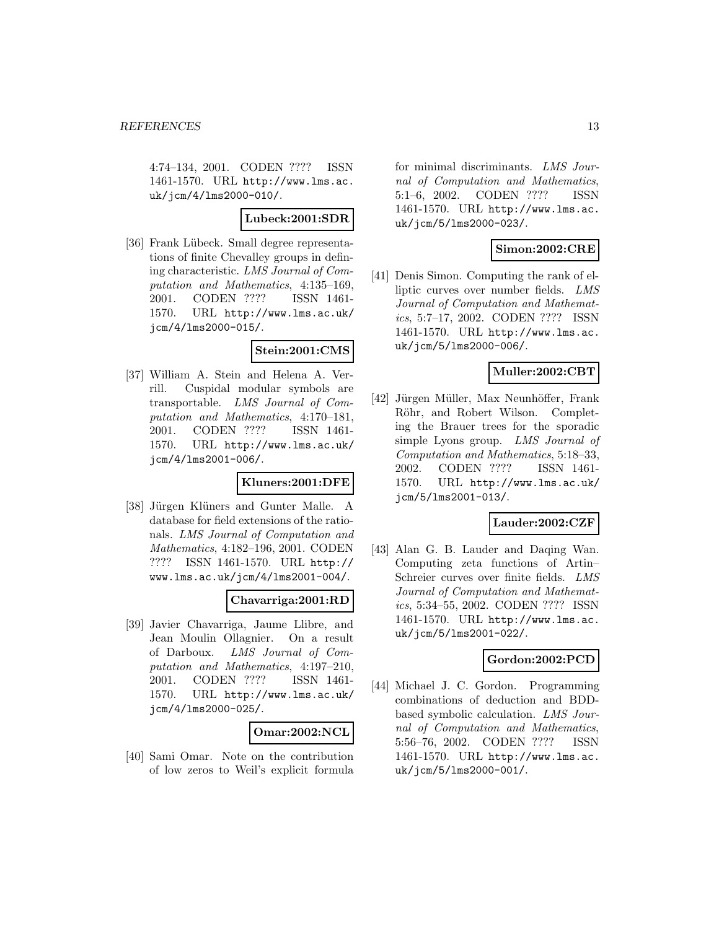4:74–134, 2001. CODEN ???? ISSN 1461-1570. URL http://www.lms.ac. uk/jcm/4/lms2000-010/.

### **Lubeck:2001:SDR**

[36] Frank Lübeck. Small degree representations of finite Chevalley groups in defining characteristic. LMS Journal of Computation and Mathematics, 4:135–169, 2001. CODEN ???? ISSN 1461- 1570. URL http://www.lms.ac.uk/ jcm/4/lms2000-015/.

#### **Stein:2001:CMS**

[37] William A. Stein and Helena A. Verrill. Cuspidal modular symbols are transportable. LMS Journal of Computation and Mathematics, 4:170–181, 2001. CODEN ???? ISSN 1461- 1570. URL http://www.lms.ac.uk/ jcm/4/lms2001-006/.

#### **Kluners:2001:DFE**

[38] Jürgen Klüners and Gunter Malle. A database for field extensions of the rationals. LMS Journal of Computation and Mathematics, 4:182–196, 2001. CODEN ???? ISSN 1461-1570. URL http:// www.lms.ac.uk/jcm/4/lms2001-004/.

#### **Chavarriga:2001:RD**

[39] Javier Chavarriga, Jaume Llibre, and Jean Moulin Ollagnier. On a result of Darboux. LMS Journal of Computation and Mathematics, 4:197–210, 2001. CODEN ???? ISSN 1461- 1570. URL http://www.lms.ac.uk/ jcm/4/lms2000-025/.

#### **Omar:2002:NCL**

[40] Sami Omar. Note on the contribution of low zeros to Weil's explicit formula for minimal discriminants. LMS Journal of Computation and Mathematics, 5:1–6, 2002. CODEN ???? ISSN 1461-1570. URL http://www.lms.ac. uk/jcm/5/lms2000-023/.

#### **Simon:2002:CRE**

[41] Denis Simon. Computing the rank of elliptic curves over number fields. LMS Journal of Computation and Mathematics, 5:7–17, 2002. CODEN ???? ISSN 1461-1570. URL http://www.lms.ac. uk/jcm/5/lms2000-006/.

### **Muller:2002:CBT**

[42] Jürgen Müller, Max Neunhöffer, Frank Röhr, and Robert Wilson. Completing the Brauer trees for the sporadic simple Lyons group. LMS Journal of Computation and Mathematics, 5:18–33, 2002. CODEN ???? ISSN 1461- 1570. URL http://www.lms.ac.uk/ jcm/5/lms2001-013/.

## **Lauder:2002:CZF**

[43] Alan G. B. Lauder and Daqing Wan. Computing zeta functions of Artin– Schreier curves over finite fields. LMS Journal of Computation and Mathematics, 5:34–55, 2002. CODEN ???? ISSN 1461-1570. URL http://www.lms.ac. uk/jcm/5/lms2001-022/.

#### **Gordon:2002:PCD**

[44] Michael J. C. Gordon. Programming combinations of deduction and BDDbased symbolic calculation. LMS Journal of Computation and Mathematics, 5:56–76, 2002. CODEN ???? ISSN 1461-1570. URL http://www.lms.ac. uk/jcm/5/lms2000-001/.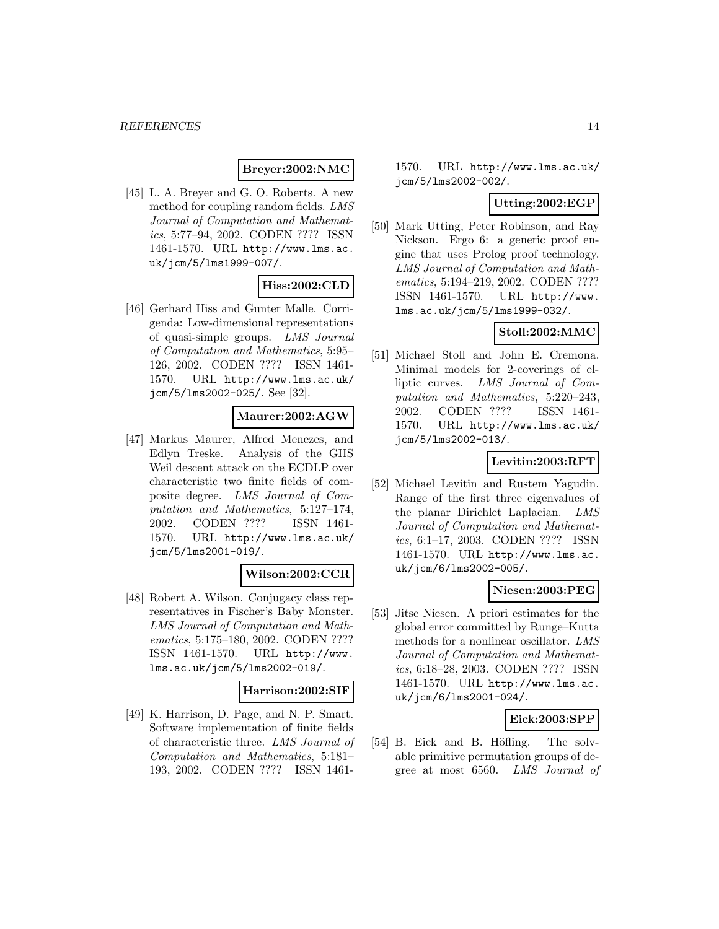### **Breyer:2002:NMC**

[45] L. A. Breyer and G. O. Roberts. A new method for coupling random fields. LMS Journal of Computation and Mathematics, 5:77–94, 2002. CODEN ???? ISSN 1461-1570. URL http://www.lms.ac. uk/jcm/5/lms1999-007/.

## **Hiss:2002:CLD**

[46] Gerhard Hiss and Gunter Malle. Corrigenda: Low-dimensional representations of quasi-simple groups. LMS Journal of Computation and Mathematics, 5:95– 126, 2002. CODEN ???? ISSN 1461- 1570. URL http://www.lms.ac.uk/ jcm/5/lms2002-025/. See [32].

### **Maurer:2002:AGW**

[47] Markus Maurer, Alfred Menezes, and Edlyn Treske. Analysis of the GHS Weil descent attack on the ECDLP over characteristic two finite fields of composite degree. LMS Journal of Computation and Mathematics, 5:127–174, 2002. CODEN ???? ISSN 1461- 1570. URL http://www.lms.ac.uk/ jcm/5/lms2001-019/.

## **Wilson:2002:CCR**

[48] Robert A. Wilson. Conjugacy class representatives in Fischer's Baby Monster. LMS Journal of Computation and Mathematics, 5:175–180, 2002. CODEN ???? ISSN 1461-1570. URL http://www. lms.ac.uk/jcm/5/lms2002-019/.

### **Harrison:2002:SIF**

[49] K. Harrison, D. Page, and N. P. Smart. Software implementation of finite fields of characteristic three. LMS Journal of Computation and Mathematics, 5:181– 193, 2002. CODEN ???? ISSN 14611570. URL http://www.lms.ac.uk/ jcm/5/lms2002-002/.

### **Utting:2002:EGP**

[50] Mark Utting, Peter Robinson, and Ray Nickson. Ergo 6: a generic proof engine that uses Prolog proof technology. LMS Journal of Computation and Mathematics, 5:194–219, 2002. CODEN ???? ISSN 1461-1570. URL http://www. lms.ac.uk/jcm/5/lms1999-032/.

## **Stoll:2002:MMC**

[51] Michael Stoll and John E. Cremona. Minimal models for 2-coverings of elliptic curves. LMS Journal of Computation and Mathematics, 5:220–243, 2002. CODEN ???? ISSN 1461- 1570. URL http://www.lms.ac.uk/ jcm/5/lms2002-013/.

## **Levitin:2003:RFT**

[52] Michael Levitin and Rustem Yagudin. Range of the first three eigenvalues of the planar Dirichlet Laplacian. LMS Journal of Computation and Mathematics, 6:1–17, 2003. CODEN ???? ISSN 1461-1570. URL http://www.lms.ac. uk/jcm/6/lms2002-005/.

#### **Niesen:2003:PEG**

[53] Jitse Niesen. A priori estimates for the global error committed by Runge–Kutta methods for a nonlinear oscillator. LMS Journal of Computation and Mathematics, 6:18–28, 2003. CODEN ???? ISSN 1461-1570. URL http://www.lms.ac. uk/jcm/6/lms2001-024/.

## **Eick:2003:SPP**

[54] B. Eick and B. Höfling. The solvable primitive permutation groups of degree at most 6560. LMS Journal of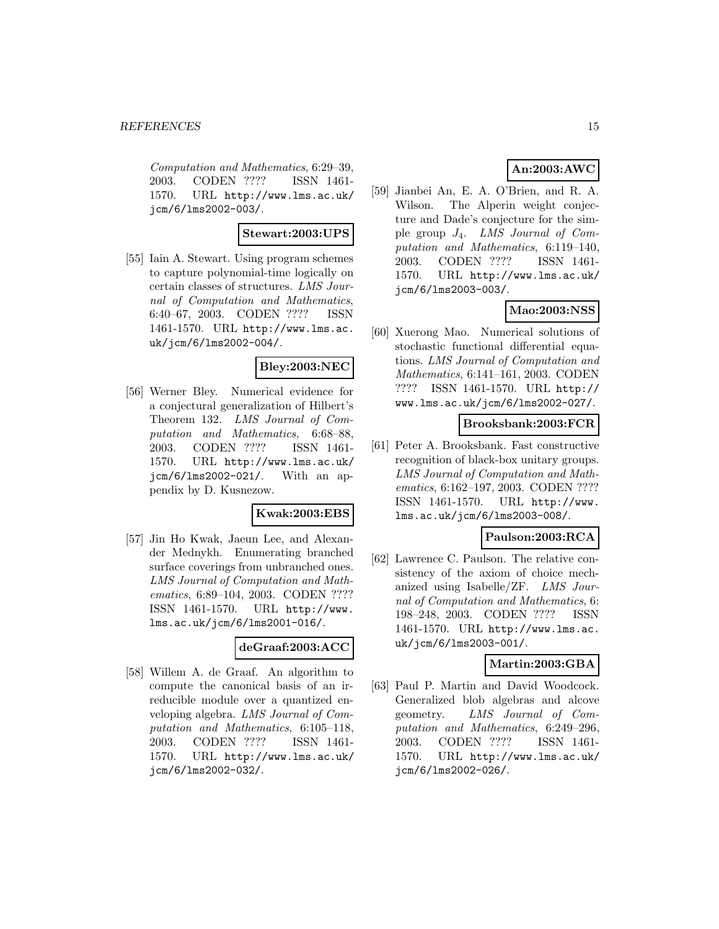Computation and Mathematics, 6:29–39, 2003. CODEN ???? ISSN 1461- 1570. URL http://www.lms.ac.uk/ jcm/6/lms2002-003/.

### **Stewart:2003:UPS**

[55] Iain A. Stewart. Using program schemes to capture polynomial-time logically on certain classes of structures. LMS Journal of Computation and Mathematics, 6:40–67, 2003. CODEN ???? ISSN 1461-1570. URL http://www.lms.ac. uk/jcm/6/lms2002-004/.

## **Bley:2003:NEC**

[56] Werner Bley. Numerical evidence for a conjectural generalization of Hilbert's Theorem 132. LMS Journal of Computation and Mathematics, 6:68–88, 2003. CODEN ???? ISSN 1461- 1570. URL http://www.lms.ac.uk/ jcm/6/lms2002-021/. With an appendix by D. Kusnezow.

#### **Kwak:2003:EBS**

[57] Jin Ho Kwak, Jaeun Lee, and Alexander Mednykh. Enumerating branched surface coverings from unbranched ones. LMS Journal of Computation and Mathematics, 6:89–104, 2003. CODEN ???? ISSN 1461-1570. URL http://www. lms.ac.uk/jcm/6/lms2001-016/.

#### **deGraaf:2003:ACC**

[58] Willem A. de Graaf. An algorithm to compute the canonical basis of an irreducible module over a quantized enveloping algebra. LMS Journal of Computation and Mathematics, 6:105–118, 2003. CODEN ???? ISSN 1461- 1570. URL http://www.lms.ac.uk/ jcm/6/lms2002-032/.

## **An:2003:AWC**

[59] Jianbei An, E. A. O'Brien, and R. A. Wilson. The Alperin weight conjecture and Dade's conjecture for the simple group J4. LMS Journal of Computation and Mathematics, 6:119–140, 2003. CODEN ???? ISSN 1461- 1570. URL http://www.lms.ac.uk/ jcm/6/lms2003-003/.

## **Mao:2003:NSS**

[60] Xuerong Mao. Numerical solutions of stochastic functional differential equations. LMS Journal of Computation and Mathematics, 6:141–161, 2003. CODEN ???? ISSN 1461-1570. URL http:// www.lms.ac.uk/jcm/6/lms2002-027/.

### **Brooksbank:2003:FCR**

[61] Peter A. Brooksbank. Fast constructive recognition of black-box unitary groups. LMS Journal of Computation and Mathematics, 6:162–197, 2003. CODEN ???? ISSN 1461-1570. URL http://www. lms.ac.uk/jcm/6/lms2003-008/.

## **Paulson:2003:RCA**

[62] Lawrence C. Paulson. The relative consistency of the axiom of choice mechanized using Isabelle/ZF. LMS Journal of Computation and Mathematics, 6: 198–248, 2003. CODEN ???? ISSN 1461-1570. URL http://www.lms.ac. uk/jcm/6/lms2003-001/.

#### **Martin:2003:GBA**

[63] Paul P. Martin and David Woodcock. Generalized blob algebras and alcove geometry. LMS Journal of Computation and Mathematics, 6:249–296, 2003. CODEN ???? ISSN 1461- 1570. URL http://www.lms.ac.uk/ jcm/6/lms2002-026/.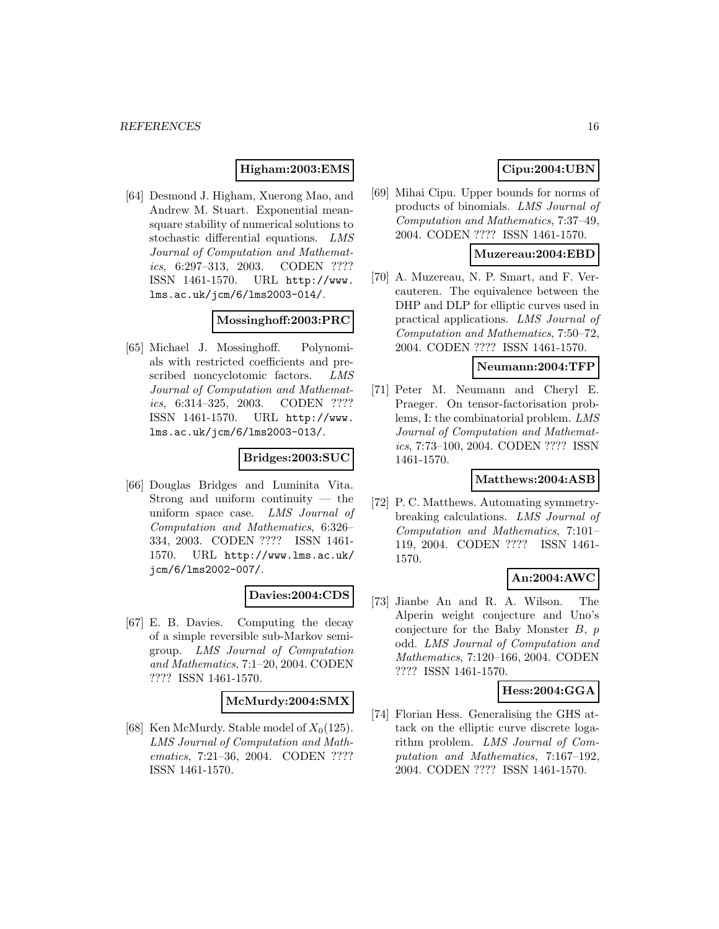### **Higham:2003:EMS**

[64] Desmond J. Higham, Xuerong Mao, and Andrew M. Stuart. Exponential meansquare stability of numerical solutions to stochastic differential equations. LMS Journal of Computation and Mathematics, 6:297–313, 2003. CODEN ???? ISSN 1461-1570. URL http://www. lms.ac.uk/jcm/6/lms2003-014/.

#### **Mossinghoff:2003:PRC**

[65] Michael J. Mossinghoff. Polynomials with restricted coefficients and prescribed noncyclotomic factors. LMS Journal of Computation and Mathematics, 6:314–325, 2003. CODEN ???? ISSN 1461-1570. URL http://www. lms.ac.uk/jcm/6/lms2003-013/.

## **Bridges:2003:SUC**

[66] Douglas Bridges and Luminita Vita. Strong and uniform continuity — the uniform space case. LMS Journal of Computation and Mathematics, 6:326– 334, 2003. CODEN ???? ISSN 1461- 1570. URL http://www.lms.ac.uk/ jcm/6/lms2002-007/.

## **Davies:2004:CDS**

[67] E. B. Davies. Computing the decay of a simple reversible sub-Markov semigroup. LMS Journal of Computation and Mathematics, 7:1–20, 2004. CODEN ???? ISSN 1461-1570.

### **McMurdy:2004:SMX**

[68] Ken McMurdy. Stable model of  $X_0(125)$ . LMS Journal of Computation and Mathematics, 7:21–36, 2004. CODEN ???? ISSN 1461-1570.

## **Cipu:2004:UBN**

[69] Mihai Cipu. Upper bounds for norms of products of binomials. LMS Journal of Computation and Mathematics, 7:37–49, 2004. CODEN ???? ISSN 1461-1570.

#### **Muzereau:2004:EBD**

[70] A. Muzereau, N. P. Smart, and F. Vercauteren. The equivalence between the DHP and DLP for elliptic curves used in practical applications. LMS Journal of Computation and Mathematics, 7:50–72, 2004. CODEN ???? ISSN 1461-1570.

## **Neumann:2004:TFP**

[71] Peter M. Neumann and Cheryl E. Praeger. On tensor-factorisation problems, I: the combinatorial problem. LMS Journal of Computation and Mathematics, 7:73–100, 2004. CODEN ???? ISSN 1461-1570.

### **Matthews:2004:ASB**

[72] P. C. Matthews. Automating symmetrybreaking calculations. LMS Journal of Computation and Mathematics, 7:101– 119, 2004. CODEN ???? ISSN 1461- 1570.

#### **An:2004:AWC**

[73] Jianbe An and R. A. Wilson. The Alperin weight conjecture and Uno's conjecture for the Baby Monster  $B, p$ odd. LMS Journal of Computation and Mathematics, 7:120–166, 2004. CODEN ???? ISSN 1461-1570.

#### **Hess:2004:GGA**

[74] Florian Hess. Generalising the GHS attack on the elliptic curve discrete logarithm problem. LMS Journal of Computation and Mathematics, 7:167–192, 2004. CODEN ???? ISSN 1461-1570.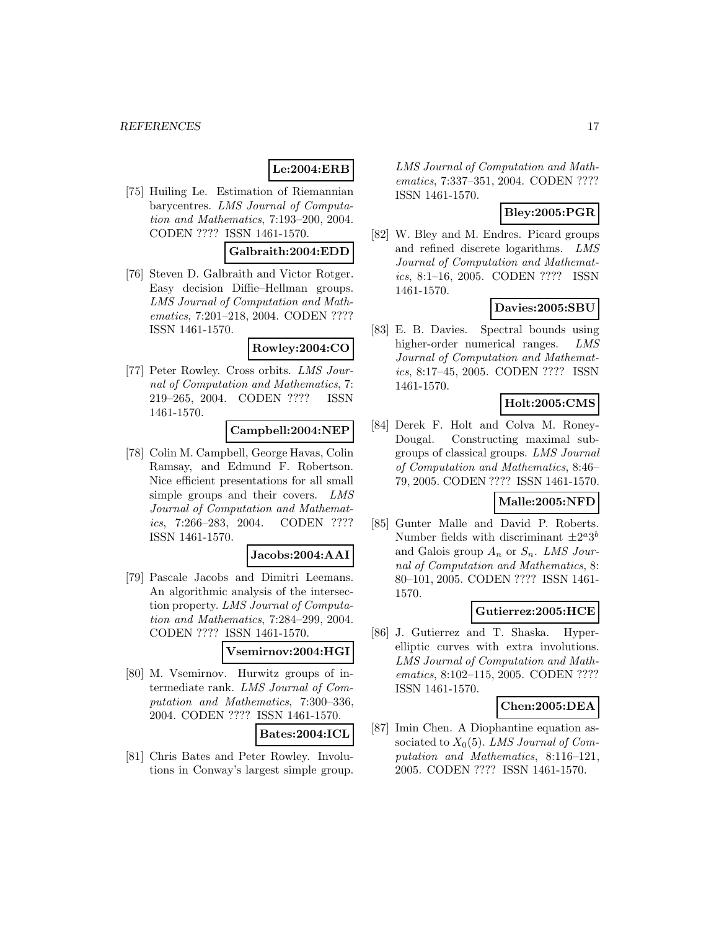## **Le:2004:ERB**

[75] Huiling Le. Estimation of Riemannian barycentres. LMS Journal of Computation and Mathematics, 7:193–200, 2004. CODEN ???? ISSN 1461-1570.

#### **Galbraith:2004:EDD**

[76] Steven D. Galbraith and Victor Rotger. Easy decision Diffie–Hellman groups. LMS Journal of Computation and Mathematics, 7:201–218, 2004. CODEN ???? ISSN 1461-1570.

### **Rowley:2004:CO**

[77] Peter Rowley. Cross orbits. LMS Journal of Computation and Mathematics, 7: 219–265, 2004. CODEN ???? ISSN 1461-1570.

## **Campbell:2004:NEP**

[78] Colin M. Campbell, George Havas, Colin Ramsay, and Edmund F. Robertson. Nice efficient presentations for all small simple groups and their covers. LMS Journal of Computation and Mathematics, 7:266–283, 2004. CODEN ???? ISSN 1461-1570.

#### **Jacobs:2004:AAI**

[79] Pascale Jacobs and Dimitri Leemans. An algorithmic analysis of the intersection property. LMS Journal of Computation and Mathematics, 7:284–299, 2004. CODEN ???? ISSN 1461-1570.

#### **Vsemirnov:2004:HGI**

[80] M. Vsemirnov. Hurwitz groups of intermediate rank. LMS Journal of Computation and Mathematics, 7:300–336, 2004. CODEN ???? ISSN 1461-1570.

**Bates:2004:ICL**

[81] Chris Bates and Peter Rowley. Involutions in Conway's largest simple group. LMS Journal of Computation and Mathematics, 7:337–351, 2004. CODEN ???? ISSN 1461-1570.

## **Bley:2005:PGR**

[82] W. Bley and M. Endres. Picard groups and refined discrete logarithms. LMS Journal of Computation and Mathematics, 8:1–16, 2005. CODEN ???? ISSN 1461-1570.

#### **Davies:2005:SBU**

[83] E. B. Davies. Spectral bounds using higher-order numerical ranges. LMS Journal of Computation and Mathematics, 8:17–45, 2005. CODEN ???? ISSN 1461-1570.

### **Holt:2005:CMS**

[84] Derek F. Holt and Colva M. Roney-Dougal. Constructing maximal subgroups of classical groups. LMS Journal of Computation and Mathematics, 8:46– 79, 2005. CODEN ???? ISSN 1461-1570.

## **Malle:2005:NFD**

[85] Gunter Malle and David P. Roberts. Number fields with discriminant  $\pm 2^a 3^b$ and Galois group  $A_n$  or  $S_n$ . LMS Journal of Computation and Mathematics, 8: 80–101, 2005. CODEN ???? ISSN 1461- 1570.

## **Gutierrez:2005:HCE**

[86] J. Gutierrez and T. Shaska. Hyperelliptic curves with extra involutions. LMS Journal of Computation and Mathematics, 8:102–115, 2005. CODEN ???? ISSN 1461-1570.

### **Chen:2005:DEA**

[87] Imin Chen. A Diophantine equation associated to  $X_0(5)$ . LMS Journal of Computation and Mathematics, 8:116–121, 2005. CODEN ???? ISSN 1461-1570.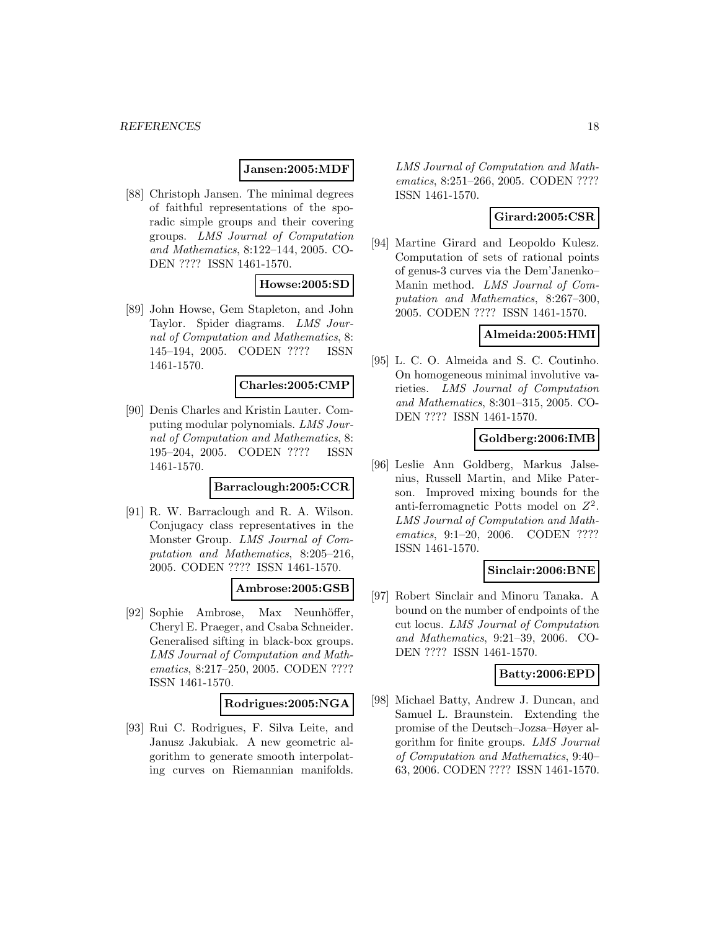### **Jansen:2005:MDF**

[88] Christoph Jansen. The minimal degrees of faithful representations of the sporadic simple groups and their covering groups. LMS Journal of Computation and Mathematics, 8:122–144, 2005. CO-DEN ???? ISSN 1461-1570.

#### **Howse:2005:SD**

[89] John Howse, Gem Stapleton, and John Taylor. Spider diagrams. LMS Journal of Computation and Mathematics, 8: 145–194, 2005. CODEN ???? ISSN 1461-1570.

### **Charles:2005:CMP**

[90] Denis Charles and Kristin Lauter. Computing modular polynomials. LMS Journal of Computation and Mathematics, 8: 195–204, 2005. CODEN ???? ISSN 1461-1570.

#### **Barraclough:2005:CCR**

[91] R. W. Barraclough and R. A. Wilson. Conjugacy class representatives in the Monster Group. LMS Journal of Computation and Mathematics, 8:205–216, 2005. CODEN ???? ISSN 1461-1570.

#### **Ambrose:2005:GSB**

[92] Sophie Ambrose, Max Neunhöffer, Cheryl E. Praeger, and Csaba Schneider. Generalised sifting in black-box groups. LMS Journal of Computation and Mathematics, 8:217–250, 2005. CODEN ???? ISSN 1461-1570.

#### **Rodrigues:2005:NGA**

[93] Rui C. Rodrigues, F. Silva Leite, and Janusz Jakubiak. A new geometric algorithm to generate smooth interpolating curves on Riemannian manifolds.

LMS Journal of Computation and Mathematics, 8:251–266, 2005. CODEN ???? ISSN 1461-1570.

## **Girard:2005:CSR**

[94] Martine Girard and Leopoldo Kulesz. Computation of sets of rational points of genus-3 curves via the Dem'Janenko– Manin method. LMS Journal of Computation and Mathematics, 8:267–300, 2005. CODEN ???? ISSN 1461-1570.

## **Almeida:2005:HMI**

[95] L. C. O. Almeida and S. C. Coutinho. On homogeneous minimal involutive varieties. LMS Journal of Computation and Mathematics, 8:301–315, 2005. CO-DEN ???? ISSN 1461-1570.

### **Goldberg:2006:IMB**

[96] Leslie Ann Goldberg, Markus Jalsenius, Russell Martin, and Mike Paterson. Improved mixing bounds for the anti-ferromagnetic Potts model on  $Z^2$ . LMS Journal of Computation and Mathematics, 9:1-20, 2006. CODEN ???? ISSN 1461-1570.

#### **Sinclair:2006:BNE**

[97] Robert Sinclair and Minoru Tanaka. A bound on the number of endpoints of the cut locus. LMS Journal of Computation and Mathematics, 9:21–39, 2006. CO-DEN ???? ISSN 1461-1570.

#### **Batty:2006:EPD**

[98] Michael Batty, Andrew J. Duncan, and Samuel L. Braunstein. Extending the promise of the Deutsch–Jozsa–Høyer algorithm for finite groups. LMS Journal of Computation and Mathematics, 9:40– 63, 2006. CODEN ???? ISSN 1461-1570.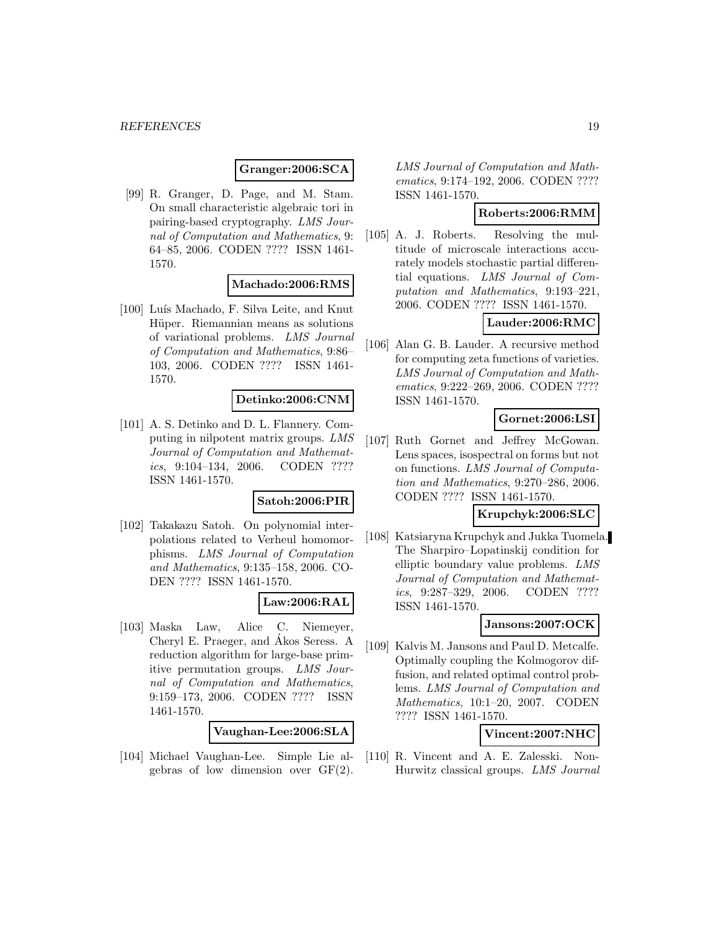#### **Granger:2006:SCA**

[99] R. Granger, D. Page, and M. Stam. On small characteristic algebraic tori in pairing-based cryptography. LMS Journal of Computation and Mathematics, 9: 64–85, 2006. CODEN ???? ISSN 1461- 1570.

### **Machado:2006:RMS**

[100] Luís Machado, F. Silva Leite, and Knut Hüper. Riemannian means as solutions of variational problems. LMS Journal of Computation and Mathematics, 9:86– 103, 2006. CODEN ???? ISSN 1461- 1570.

#### **Detinko:2006:CNM**

[101] A. S. Detinko and D. L. Flannery. Computing in nilpotent matrix groups. LMS Journal of Computation and Mathematics, 9:104–134, 2006. CODEN ???? ISSN 1461-1570.

#### **Satoh:2006:PIR**

[102] Takakazu Satoh. On polynomial interpolations related to Verheul homomorphisms. LMS Journal of Computation and Mathematics, 9:135–158, 2006. CO-DEN ???? ISSN 1461-1570.

## **Law:2006:RAL**

[103] Maska Law, Alice C. Niemeyer, Cheryl E. Praeger, and Akos Seress. A ´ reduction algorithm for large-base primitive permutation groups. LMS Journal of Computation and Mathematics, 9:159–173, 2006. CODEN ???? ISSN 1461-1570.

**Vaughan-Lee:2006:SLA**

[104] Michael Vaughan-Lee. Simple Lie algebras of low dimension over GF(2).

LMS Journal of Computation and Mathematics, 9:174–192, 2006. CODEN ???? ISSN 1461-1570.

## **Roberts:2006:RMM**

[105] A. J. Roberts. Resolving the multitude of microscale interactions accurately models stochastic partial differential equations. LMS Journal of Computation and Mathematics, 9:193–221, 2006. CODEN ???? ISSN 1461-1570.

## **Lauder:2006:RMC**

[106] Alan G. B. Lauder. A recursive method for computing zeta functions of varieties. LMS Journal of Computation and Mathematics, 9:222–269, 2006. CODEN ???? ISSN 1461-1570.

### **Gornet:2006:LSI**

[107] Ruth Gornet and Jeffrey McGowan. Lens spaces, isospectral on forms but not on functions. LMS Journal of Computation and Mathematics, 9:270–286, 2006. CODEN ???? ISSN 1461-1570.

#### **Krupchyk:2006:SLC**

[108] Katsiaryna Krupchyk and Jukka Tuomela. The Sharpiro–Lopatinskij condition for elliptic boundary value problems. LMS Journal of Computation and Mathematics, 9:287–329, 2006. CODEN ???? ISSN 1461-1570.

#### **Jansons:2007:OCK**

[109] Kalvis M. Jansons and Paul D. Metcalfe. Optimally coupling the Kolmogorov diffusion, and related optimal control problems. LMS Journal of Computation and Mathematics, 10:1–20, 2007. CODEN ???? ISSN 1461-1570.

### **Vincent:2007:NHC**

[110] R. Vincent and A. E. Zalesski. Non-Hurwitz classical groups. LMS Journal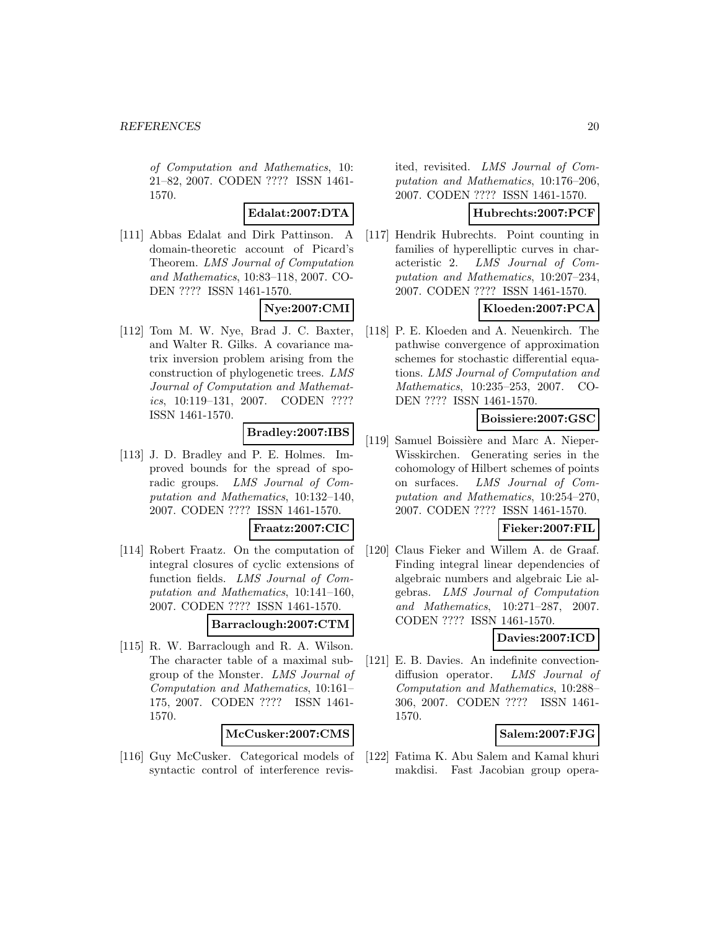of Computation and Mathematics, 10: 21–82, 2007. CODEN ???? ISSN 1461- 1570.

## **Edalat:2007:DTA**

[111] Abbas Edalat and Dirk Pattinson. A domain-theoretic account of Picard's Theorem. LMS Journal of Computation and Mathematics, 10:83–118, 2007. CO-DEN ???? ISSN 1461-1570.

### **Nye:2007:CMI**

[112] Tom M. W. Nye, Brad J. C. Baxter, and Walter R. Gilks. A covariance matrix inversion problem arising from the construction of phylogenetic trees. LMS Journal of Computation and Mathematics, 10:119–131, 2007. CODEN ???? ISSN 1461-1570.

### **Bradley:2007:IBS**

[113] J. D. Bradley and P. E. Holmes. Improved bounds for the spread of sporadic groups. LMS Journal of Computation and Mathematics, 10:132–140, 2007. CODEN ???? ISSN 1461-1570.

#### **Fraatz:2007:CIC**

[114] Robert Fraatz. On the computation of integral closures of cyclic extensions of function fields. LMS Journal of Computation and Mathematics, 10:141–160, 2007. CODEN ???? ISSN 1461-1570.

## **Barraclough:2007:CTM**

[115] R. W. Barraclough and R. A. Wilson. The character table of a maximal subgroup of the Monster. LMS Journal of Computation and Mathematics, 10:161– 175, 2007. CODEN ???? ISSN 1461- 1570.

## **McCusker:2007:CMS**

[116] Guy McCusker. Categorical models of syntactic control of interference revisited, revisited. LMS Journal of Computation and Mathematics, 10:176–206, 2007. CODEN ???? ISSN 1461-1570.

### **Hubrechts:2007:PCF**

[117] Hendrik Hubrechts. Point counting in families of hyperelliptic curves in characteristic 2. LMS Journal of Computation and Mathematics, 10:207–234, 2007. CODEN ???? ISSN 1461-1570.

## **Kloeden:2007:PCA**

[118] P. E. Kloeden and A. Neuenkirch. The pathwise convergence of approximation schemes for stochastic differential equations. LMS Journal of Computation and Mathematics, 10:235–253, 2007. CO-DEN ???? ISSN 1461-1570.

### **Boissiere:2007:GSC**

[119] Samuel Boissière and Marc A. Nieper-Wisskirchen. Generating series in the cohomology of Hilbert schemes of points on surfaces. LMS Journal of Computation and Mathematics, 10:254–270, 2007. CODEN ???? ISSN 1461-1570.

## **Fieker:2007:FIL**

[120] Claus Fieker and Willem A. de Graaf. Finding integral linear dependencies of algebraic numbers and algebraic Lie algebras. LMS Journal of Computation and Mathematics, 10:271–287, 2007. CODEN ???? ISSN 1461-1570.

## **Davies:2007:ICD**

[121] E. B. Davies. An indefinite convectiondiffusion operator. LMS Journal of Computation and Mathematics, 10:288– 306, 2007. CODEN ???? ISSN 1461- 1570.

## **Salem:2007:FJG**

[122] Fatima K. Abu Salem and Kamal khuri makdisi. Fast Jacobian group opera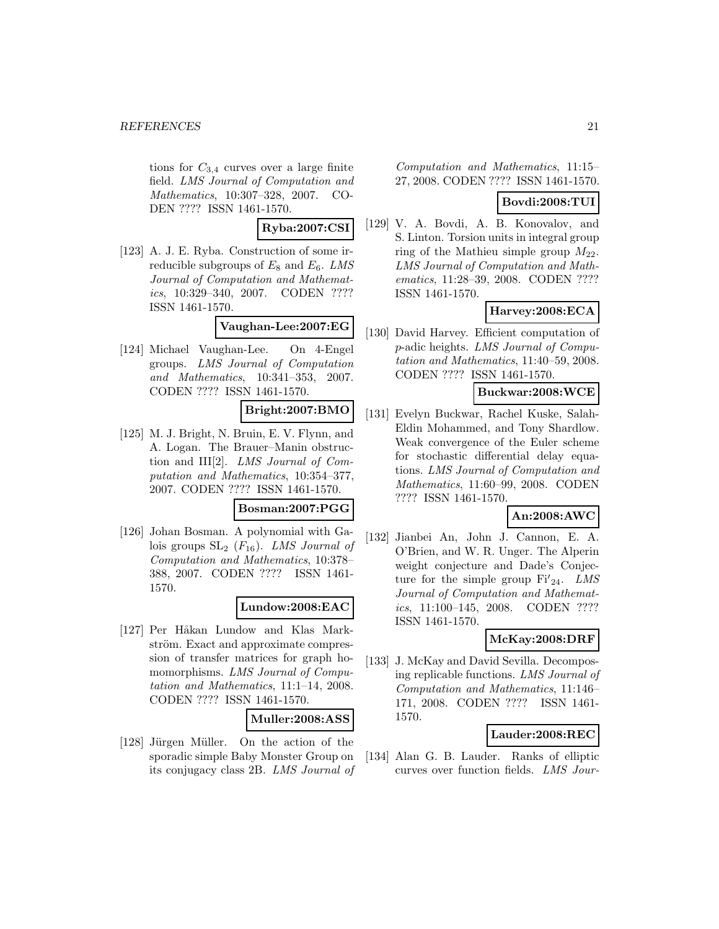tions for  $C_{3,4}$  curves over a large finite field. LMS Journal of Computation and Mathematics, 10:307–328, 2007. CO-DEN ???? ISSN 1461-1570.

### **Ryba:2007:CSI**

[123] A. J. E. Ryba. Construction of some irreducible subgroups of  $E_8$  and  $E_6$ . LMS Journal of Computation and Mathematics, 10:329–340, 2007. CODEN ???? ISSN 1461-1570.

## **Vaughan-Lee:2007:EG**

[124] Michael Vaughan-Lee. On 4-Engel groups. LMS Journal of Computation and Mathematics, 10:341–353, 2007. CODEN ???? ISSN 1461-1570.

## **Bright:2007:BMO**

[125] M. J. Bright, N. Bruin, E. V. Flynn, and A. Logan. The Brauer–Manin obstruction and III[2]. LMS Journal of Computation and Mathematics, 10:354–377, 2007. CODEN ???? ISSN 1461-1570.

### **Bosman:2007:PGG**

[126] Johan Bosman. A polynomial with Galois groups  $SL_2$  ( $F_{16}$ ). LMS Journal of Computation and Mathematics, 10:378– 388, 2007. CODEN ???? ISSN 1461- 1570.

#### **Lundow:2008:EAC**

[127] Per Håkan Lundow and Klas Markström. Exact and approximate compression of transfer matrices for graph homomorphisms. LMS Journal of Computation and Mathematics, 11:1–14, 2008. CODEN ???? ISSN 1461-1570.

#### **Muller:2008:ASS**

[128] Jürgen Müller. On the action of the sporadic simple Baby Monster Group on its conjugacy class 2B. LMS Journal of Computation and Mathematics, 11:15– 27, 2008. CODEN ???? ISSN 1461-1570.

#### **Bovdi:2008:TUI**

[129] V. A. Bovdi, A. B. Konovalov, and S. Linton. Torsion units in integral group ring of the Mathieu simple group  $M_{22}$ . LMS Journal of Computation and Mathematics, 11:28–39, 2008. CODEN ???? ISSN 1461-1570.

## **Harvey:2008:ECA**

[130] David Harvey. Efficient computation of p-adic heights. LMS Journal of Computation and Mathematics, 11:40–59, 2008. CODEN ???? ISSN 1461-1570.

#### **Buckwar:2008:WCE**

[131] Evelyn Buckwar, Rachel Kuske, Salah-Eldin Mohammed, and Tony Shardlow. Weak convergence of the Euler scheme for stochastic differential delay equations. LMS Journal of Computation and Mathematics, 11:60–99, 2008. CODEN ???? ISSN 1461-1570.

## **An:2008:AWC**

[132] Jianbei An, John J. Cannon, E. A. O'Brien, and W. R. Unger. The Alperin weight conjecture and Dade's Conjecture for the simple group  $Fi'_{24}$ . LMS Journal of Computation and Mathematics, 11:100–145, 2008. CODEN ???? ISSN 1461-1570.

## **McKay:2008:DRF**

[133] J. McKay and David Sevilla. Decomposing replicable functions. LMS Journal of Computation and Mathematics, 11:146– 171, 2008. CODEN ???? ISSN 1461- 1570.

## **Lauder:2008:REC**

[134] Alan G. B. Lauder. Ranks of elliptic curves over function fields. LMS Jour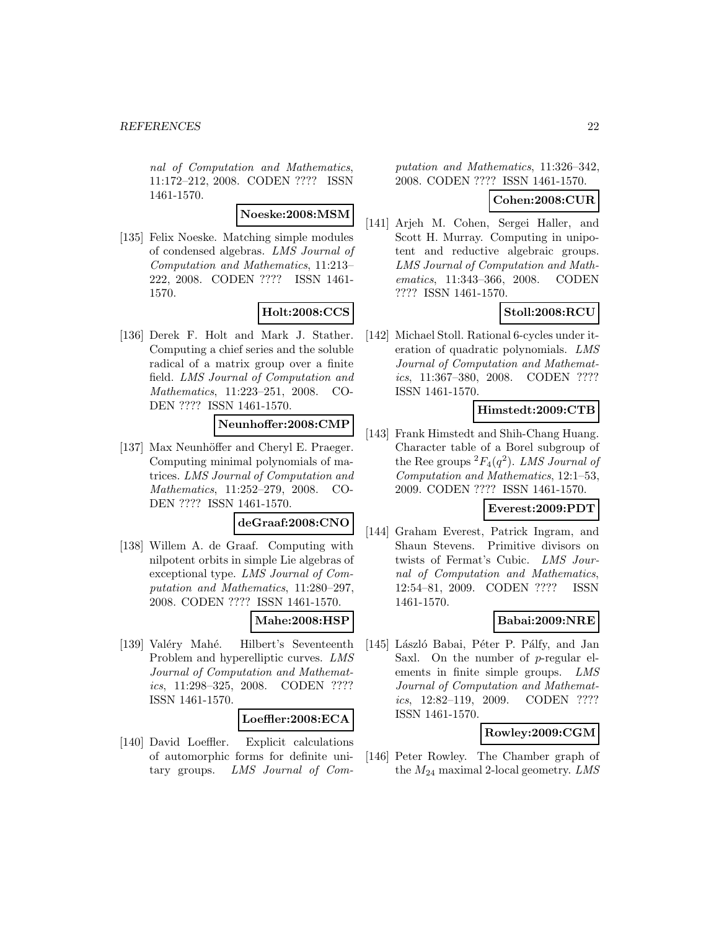nal of Computation and Mathematics, 11:172–212, 2008. CODEN ???? ISSN 1461-1570.

#### **Noeske:2008:MSM**

[135] Felix Noeske. Matching simple modules of condensed algebras. LMS Journal of Computation and Mathematics, 11:213– 222, 2008. CODEN ???? ISSN 1461- 1570.

#### **Holt:2008:CCS**

[136] Derek F. Holt and Mark J. Stather. Computing a chief series and the soluble radical of a matrix group over a finite field. LMS Journal of Computation and Mathematics, 11:223–251, 2008. CO-DEN ???? ISSN 1461-1570.

## **Neunhoffer:2008:CMP**

[137] Max Neunhöffer and Cheryl E. Praeger. Computing minimal polynomials of matrices. LMS Journal of Computation and Mathematics, 11:252–279, 2008. CO-DEN ???? ISSN 1461-1570.

### **deGraaf:2008:CNO**

[138] Willem A. de Graaf. Computing with nilpotent orbits in simple Lie algebras of exceptional type. LMS Journal of Computation and Mathematics, 11:280–297, 2008. CODEN ???? ISSN 1461-1570.

#### **Mahe:2008:HSP**

[139] Valéry Mahé. Hilbert's Seventeenth Problem and hyperelliptic curves. LMS Journal of Computation and Mathematics, 11:298–325, 2008. CODEN ???? ISSN 1461-1570.

#### **Loeffler:2008:ECA**

[140] David Loeffler. Explicit calculations of automorphic forms for definite unitary groups. LMS Journal of Computation and Mathematics, 11:326–342, 2008. CODEN ???? ISSN 1461-1570.

### **Cohen:2008:CUR**

[141] Arjeh M. Cohen, Sergei Haller, and Scott H. Murray. Computing in unipotent and reductive algebraic groups. LMS Journal of Computation and Mathematics, 11:343–366, 2008. CODEN ???? ISSN 1461-1570.

## **Stoll:2008:RCU**

[142] Michael Stoll. Rational 6-cycles under iteration of quadratic polynomials. LMS Journal of Computation and Mathematics, 11:367–380, 2008. CODEN ???? ISSN 1461-1570.

### **Himstedt:2009:CTB**

[143] Frank Himstedt and Shih-Chang Huang. Character table of a Borel subgroup of the Ree groups  ${}^2F_4(q^2)$ . LMS Journal of Computation and Mathematics, 12:1–53, 2009. CODEN ???? ISSN 1461-1570.

## **Everest:2009:PDT**

[144] Graham Everest, Patrick Ingram, and Shaun Stevens. Primitive divisors on twists of Fermat's Cubic. LMS Journal of Computation and Mathematics, 12:54–81, 2009. CODEN ???? ISSN 1461-1570.

## **Babai:2009:NRE**

[145] László Babai, Péter P. Pálfy, and Jan Saxl. On the number of p-regular elements in finite simple groups. LMS Journal of Computation and Mathematics, 12:82–119, 2009. CODEN ???? ISSN 1461-1570.

#### **Rowley:2009:CGM**

[146] Peter Rowley. The Chamber graph of the  $M_{24}$  maximal 2-local geometry. LMS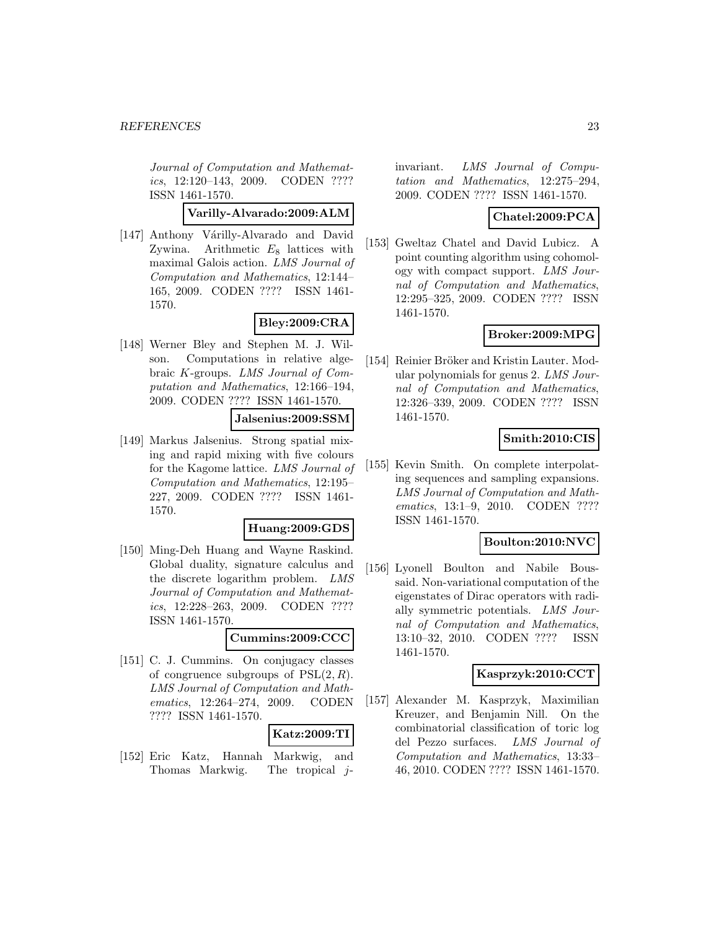Journal of Computation and Mathematics, 12:120–143, 2009. CODEN ???? ISSN 1461-1570.

**Varilly-Alvarado:2009:ALM**

[147] Anthony Várilly-Alvarado and David Zywina. Arithmetic  $E_8$  lattices with maximal Galois action. LMS Journal of Computation and Mathematics, 12:144– 165, 2009. CODEN ???? ISSN 1461- 1570.

## **Bley:2009:CRA**

[148] Werner Bley and Stephen M. J. Wilson. Computations in relative algebraic K-groups. LMS Journal of Computation and Mathematics, 12:166–194, 2009. CODEN ???? ISSN 1461-1570.

#### **Jalsenius:2009:SSM**

[149] Markus Jalsenius. Strong spatial mixing and rapid mixing with five colours for the Kagome lattice. LMS Journal of Computation and Mathematics, 12:195– 227, 2009. CODEN ???? ISSN 1461- 1570.

#### **Huang:2009:GDS**

[150] Ming-Deh Huang and Wayne Raskind. Global duality, signature calculus and the discrete logarithm problem. LMS Journal of Computation and Mathematics, 12:228–263, 2009. CODEN ???? ISSN 1461-1570.

## **Cummins:2009:CCC**

[151] C. J. Cummins. On conjugacy classes of congruence subgroups of  $PSL(2, R)$ . LMS Journal of Computation and Mathematics, 12:264–274, 2009. CODEN ???? ISSN 1461-1570.

### **Katz:2009:TI**

[152] Eric Katz, Hannah Markwig, and Thomas Markwig. The tropical jinvariant. LMS Journal of Computation and Mathematics, 12:275–294, 2009. CODEN ???? ISSN 1461-1570.

### **Chatel:2009:PCA**

[153] Gweltaz Chatel and David Lubicz. A point counting algorithm using cohomology with compact support. LMS Journal of Computation and Mathematics, 12:295–325, 2009. CODEN ???? ISSN 1461-1570.

## **Broker:2009:MPG**

[154] Reinier Bröker and Kristin Lauter. Modular polynomials for genus 2. LMS Journal of Computation and Mathematics, 12:326–339, 2009. CODEN ???? ISSN 1461-1570.

### **Smith:2010:CIS**

[155] Kevin Smith. On complete interpolating sequences and sampling expansions. LMS Journal of Computation and Mathematics, 13:1-9, 2010. CODEN ???? ISSN 1461-1570.

### **Boulton:2010:NVC**

[156] Lyonell Boulton and Nabile Boussaid. Non-variational computation of the eigenstates of Dirac operators with radially symmetric potentials. LMS Journal of Computation and Mathematics, 13:10–32, 2010. CODEN ???? ISSN 1461-1570.

#### **Kasprzyk:2010:CCT**

[157] Alexander M. Kasprzyk, Maximilian Kreuzer, and Benjamin Nill. On the combinatorial classification of toric log del Pezzo surfaces. LMS Journal of Computation and Mathematics, 13:33– 46, 2010. CODEN ???? ISSN 1461-1570.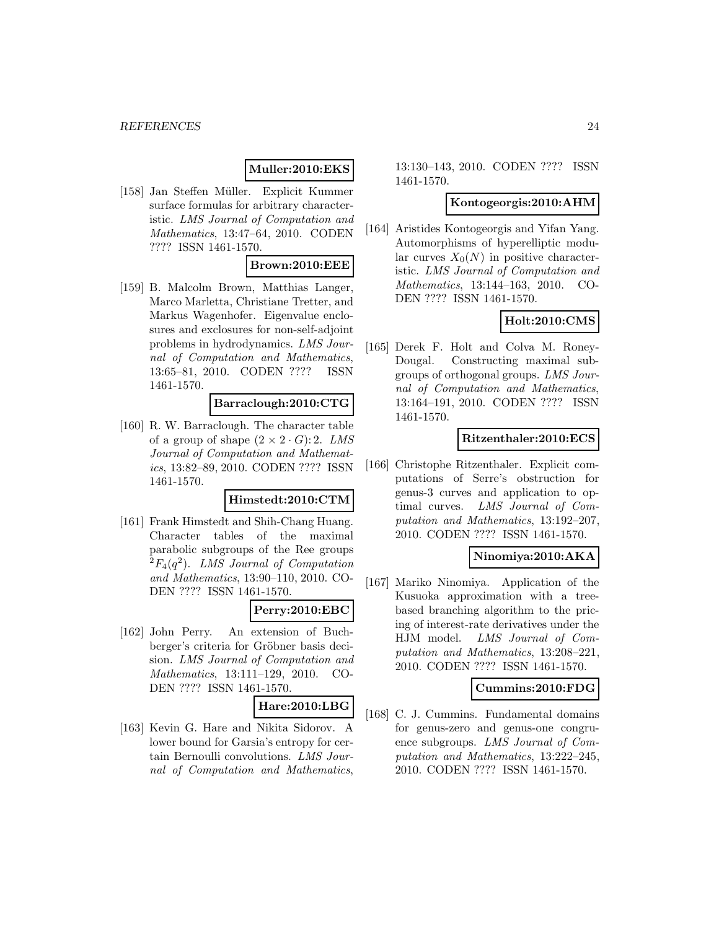## **Muller:2010:EKS**

[158] Jan Steffen Müller. Explicit Kummer surface formulas for arbitrary characteristic. LMS Journal of Computation and Mathematics, 13:47–64, 2010. CODEN ???? ISSN 1461-1570.

## **Brown:2010:EEE**

[159] B. Malcolm Brown, Matthias Langer, Marco Marletta, Christiane Tretter, and Markus Wagenhofer. Eigenvalue enclosures and exclosures for non-self-adjoint problems in hydrodynamics. LMS Journal of Computation and Mathematics, 13:65–81, 2010. CODEN ???? ISSN 1461-1570.

## **Barraclough:2010:CTG**

[160] R. W. Barraclough. The character table of a group of shape  $(2 \times 2 \cdot G)$ : 2. LMS Journal of Computation and Mathematics, 13:82–89, 2010. CODEN ???? ISSN 1461-1570.

### **Himstedt:2010:CTM**

[161] Frank Himstedt and Shih-Chang Huang. Character tables of the maximal parabolic subgroups of the Ree groups  ${}^{2}F_{4}(q^{2})$ . LMS Journal of Computation and Mathematics, 13:90–110, 2010. CO-DEN ???? ISSN 1461-1570.

## **Perry:2010:EBC**

[162] John Perry. An extension of Buchberger's criteria for Gröbner basis decision. LMS Journal of Computation and Mathematics, 13:111–129, 2010. CO-DEN ???? ISSN 1461-1570.

#### **Hare:2010:LBG**

[163] Kevin G. Hare and Nikita Sidorov. A lower bound for Garsia's entropy for certain Bernoulli convolutions. LMS Journal of Computation and Mathematics,

13:130–143, 2010. CODEN ???? ISSN 1461-1570.

#### **Kontogeorgis:2010:AHM**

[164] Aristides Kontogeorgis and Yifan Yang. Automorphisms of hyperelliptic modular curves  $X_0(N)$  in positive characteristic. LMS Journal of Computation and Mathematics, 13:144–163, 2010. CO-DEN ???? ISSN 1461-1570.

### **Holt:2010:CMS**

[165] Derek F. Holt and Colva M. Roney-Dougal. Constructing maximal subgroups of orthogonal groups. LMS Journal of Computation and Mathematics, 13:164–191, 2010. CODEN ???? ISSN 1461-1570.

#### **Ritzenthaler:2010:ECS**

[166] Christophe Ritzenthaler. Explicit computations of Serre's obstruction for genus-3 curves and application to optimal curves. LMS Journal of Computation and Mathematics, 13:192–207, 2010. CODEN ???? ISSN 1461-1570.

#### **Ninomiya:2010:AKA**

[167] Mariko Ninomiya. Application of the Kusuoka approximation with a treebased branching algorithm to the pricing of interest-rate derivatives under the HJM model. LMS Journal of Computation and Mathematics, 13:208–221, 2010. CODEN ???? ISSN 1461-1570.

### **Cummins:2010:FDG**

[168] C. J. Cummins. Fundamental domains for genus-zero and genus-one congruence subgroups. LMS Journal of Computation and Mathematics, 13:222–245, 2010. CODEN ???? ISSN 1461-1570.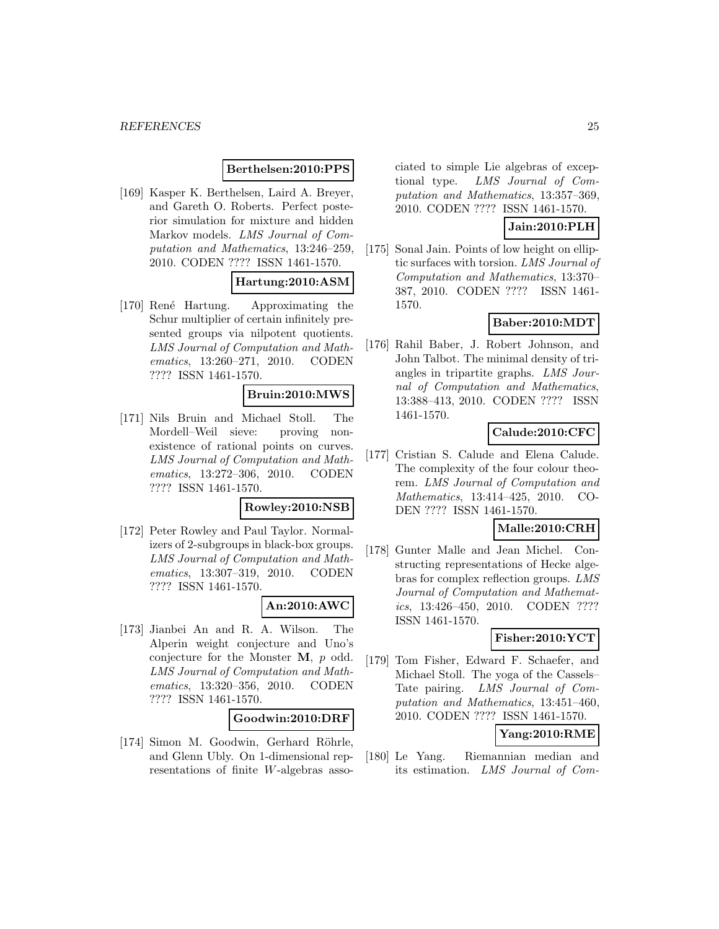### **Berthelsen:2010:PPS**

[169] Kasper K. Berthelsen, Laird A. Breyer, and Gareth O. Roberts. Perfect posterior simulation for mixture and hidden Markov models. LMS Journal of Computation and Mathematics, 13:246–259, 2010. CODEN ???? ISSN 1461-1570.

## **Hartung:2010:ASM**

[170] René Hartung. Approximating the Schur multiplier of certain infinitely presented groups via nilpotent quotients. LMS Journal of Computation and Mathematics, 13:260–271, 2010. CODEN ???? ISSN 1461-1570.

#### **Bruin:2010:MWS**

[171] Nils Bruin and Michael Stoll. The Mordell–Weil sieve: proving nonexistence of rational points on curves. LMS Journal of Computation and Mathematics, 13:272–306, 2010. CODEN ???? ISSN 1461-1570.

#### **Rowley:2010:NSB**

[172] Peter Rowley and Paul Taylor. Normalizers of 2-subgroups in black-box groups. LMS Journal of Computation and Mathematics, 13:307–319, 2010. CODEN ???? ISSN 1461-1570.

#### **An:2010:AWC**

[173] Jianbei An and R. A. Wilson. The Alperin weight conjecture and Uno's conjecture for the Monster **M**, p odd. LMS Journal of Computation and Mathematics, 13:320–356, 2010. CODEN ???? ISSN 1461-1570.

#### **Goodwin:2010:DRF**

[174] Simon M. Goodwin, Gerhard Röhrle, and Glenn Ubly. On 1-dimensional representations of finite W-algebras asso-

ciated to simple Lie algebras of exceptional type. LMS Journal of Computation and Mathematics, 13:357–369, 2010. CODEN ???? ISSN 1461-1570.

## **Jain:2010:PLH**

[175] Sonal Jain. Points of low height on elliptic surfaces with torsion. LMS Journal of Computation and Mathematics, 13:370– 387, 2010. CODEN ???? ISSN 1461- 1570.

## **Baber:2010:MDT**

[176] Rahil Baber, J. Robert Johnson, and John Talbot. The minimal density of triangles in tripartite graphs. LMS Journal of Computation and Mathematics, 13:388–413, 2010. CODEN ???? ISSN 1461-1570.

## **Calude:2010:CFC**

[177] Cristian S. Calude and Elena Calude. The complexity of the four colour theorem. LMS Journal of Computation and Mathematics, 13:414–425, 2010. CO-DEN ???? ISSN 1461-1570.

## **Malle:2010:CRH**

[178] Gunter Malle and Jean Michel. Constructing representations of Hecke algebras for complex reflection groups. LMS Journal of Computation and Mathematics, 13:426–450, 2010. CODEN ???? ISSN 1461-1570.

## **Fisher:2010:YCT**

[179] Tom Fisher, Edward F. Schaefer, and Michael Stoll. The yoga of the Cassels– Tate pairing. LMS Journal of Computation and Mathematics, 13:451–460, 2010. CODEN ???? ISSN 1461-1570.

## **Yang:2010:RME**

[180] Le Yang. Riemannian median and its estimation. LMS Journal of Com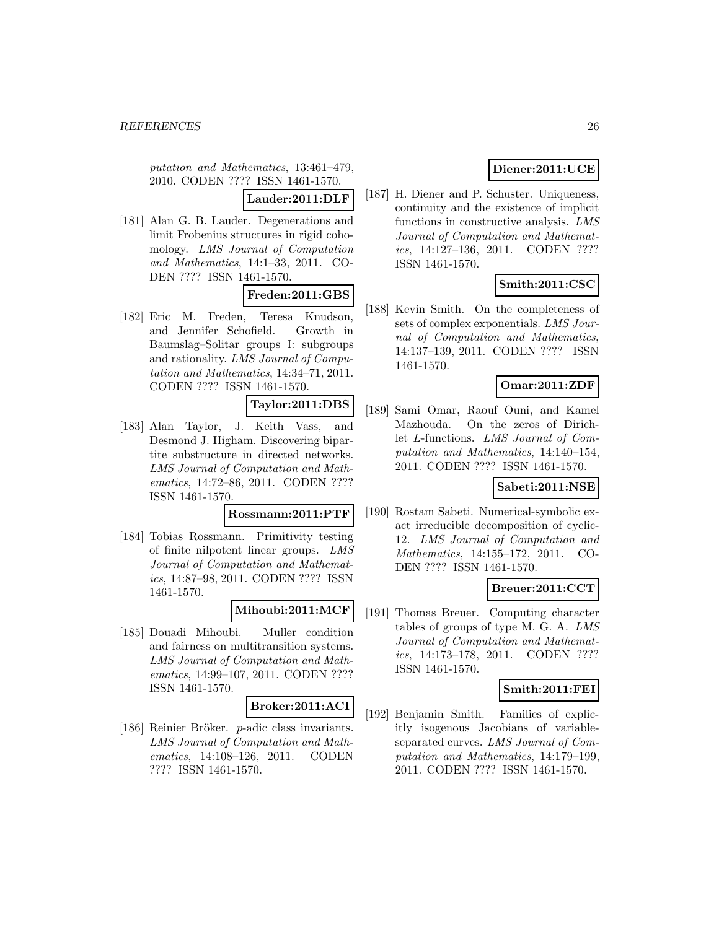putation and Mathematics, 13:461–479, 2010. CODEN ???? ISSN 1461-1570.

**Lauder:2011:DLF**

[181] Alan G. B. Lauder. Degenerations and limit Frobenius structures in rigid cohomology. LMS Journal of Computation and Mathematics, 14:1–33, 2011. CO-DEN ???? ISSN 1461-1570.

## **Freden:2011:GBS**

[182] Eric M. Freden, Teresa Knudson, and Jennifer Schofield. Growth in Baumslag–Solitar groups I: subgroups and rationality. LMS Journal of Computation and Mathematics, 14:34–71, 2011. CODEN ???? ISSN 1461-1570.

## **Taylor:2011:DBS**

[183] Alan Taylor, J. Keith Vass, and Desmond J. Higham. Discovering bipartite substructure in directed networks. LMS Journal of Computation and Mathematics, 14:72–86, 2011. CODEN ???? ISSN 1461-1570.

#### **Rossmann:2011:PTF**

[184] Tobias Rossmann. Primitivity testing of finite nilpotent linear groups. LMS Journal of Computation and Mathematics, 14:87–98, 2011. CODEN ???? ISSN 1461-1570.

#### **Mihoubi:2011:MCF**

[185] Douadi Mihoubi. Muller condition and fairness on multitransition systems. LMS Journal of Computation and Mathematics, 14:99–107, 2011. CODEN ???? ISSN 1461-1570.

#### **Broker:2011:ACI**

[186] Reinier Bröker. p-adic class invariants. LMS Journal of Computation and Mathematics, 14:108–126, 2011. CODEN ???? ISSN 1461-1570.

## **Diener:2011:UCE**

[187] H. Diener and P. Schuster. Uniqueness, continuity and the existence of implicit functions in constructive analysis. LMS Journal of Computation and Mathematics, 14:127–136, 2011. CODEN ???? ISSN 1461-1570.

## **Smith:2011:CSC**

[188] Kevin Smith. On the completeness of sets of complex exponentials. LMS Journal of Computation and Mathematics, 14:137–139, 2011. CODEN ???? ISSN 1461-1570.

## **Omar:2011:ZDF**

[189] Sami Omar, Raouf Ouni, and Kamel Mazhouda. On the zeros of Dirichlet L-functions. LMS Journal of Computation and Mathematics, 14:140–154, 2011. CODEN ???? ISSN 1461-1570.

## **Sabeti:2011:NSE**

[190] Rostam Sabeti. Numerical-symbolic exact irreducible decomposition of cyclic-12. LMS Journal of Computation and Mathematics, 14:155–172, 2011. CO-DEN ???? ISSN 1461-1570.

## **Breuer:2011:CCT**

[191] Thomas Breuer. Computing character tables of groups of type M. G. A. LMS Journal of Computation and Mathematics, 14:173–178, 2011. CODEN ???? ISSN 1461-1570.

## **Smith:2011:FEI**

[192] Benjamin Smith. Families of explicitly isogenous Jacobians of variableseparated curves. LMS Journal of Computation and Mathematics, 14:179–199, 2011. CODEN ???? ISSN 1461-1570.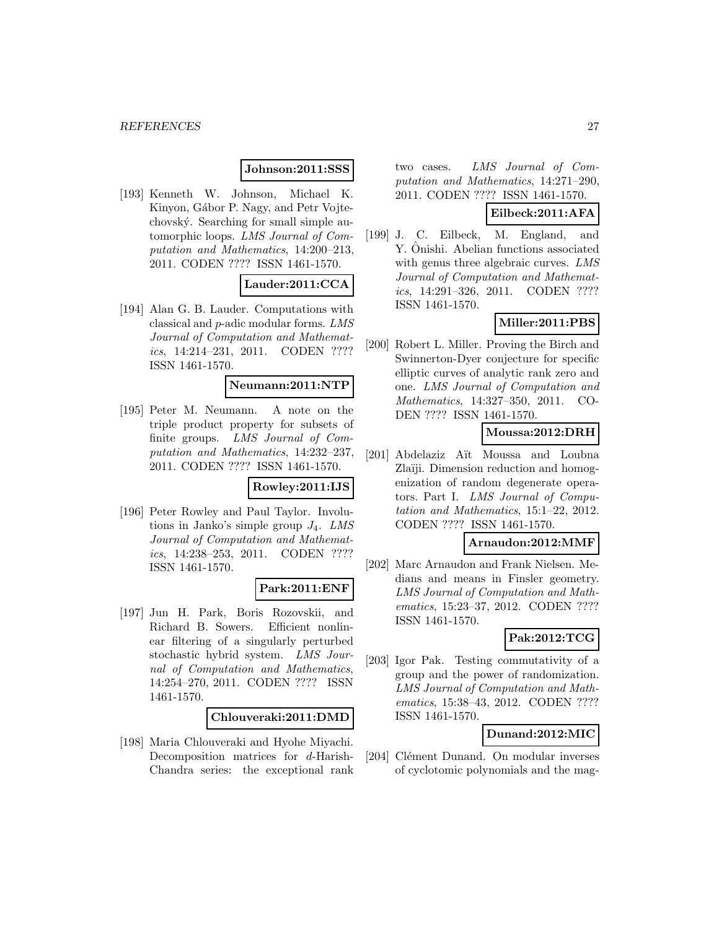### **Johnson:2011:SSS**

[193] Kenneth W. Johnson, Michael K. Kinyon, Gábor P. Nagy, and Petr Vojtechovsk´y. Searching for small simple automorphic loops. LMS Journal of Computation and Mathematics, 14:200–213, 2011. CODEN ???? ISSN 1461-1570.

## **Lauder:2011:CCA**

[194] Alan G. B. Lauder. Computations with classical and p-adic modular forms. LMS Journal of Computation and Mathematics, 14:214–231, 2011. CODEN ???? ISSN 1461-1570.

#### **Neumann:2011:NTP**

[195] Peter M. Neumann. A note on the triple product property for subsets of finite groups. LMS Journal of Computation and Mathematics, 14:232–237, 2011. CODEN ???? ISSN 1461-1570.

### **Rowley:2011:IJS**

[196] Peter Rowley and Paul Taylor. Involutions in Janko's simple group  $J_4$ . LMS Journal of Computation and Mathematics, 14:238–253, 2011. CODEN ???? ISSN 1461-1570.

#### **Park:2011:ENF**

[197] Jun H. Park, Boris Rozovskii, and Richard B. Sowers. Efficient nonlinear filtering of a singularly perturbed stochastic hybrid system. LMS Journal of Computation and Mathematics, 14:254–270, 2011. CODEN ???? ISSN 1461-1570.

#### **Chlouveraki:2011:DMD**

[198] Maria Chlouveraki and Hyohe Miyachi. Decomposition matrices for d-Harish-Chandra series: the exceptional rank two cases. LMS Journal of Computation and Mathematics, 14:271–290, 2011. CODEN ???? ISSN 1461-1570.

## **Eilbeck:2011:AFA**

[199] J. C. Eilbeck, M. England, and Y. Onishi. Abelian functions associated with genus three algebraic curves. LMS Journal of Computation and Mathematics, 14:291–326, 2011. CODEN ???? ISSN 1461-1570.

## **Miller:2011:PBS**

[200] Robert L. Miller. Proving the Birch and Swinnerton-Dyer conjecture for specific elliptic curves of analytic rank zero and one. LMS Journal of Computation and Mathematics, 14:327–350, 2011. CO-DEN ???? ISSN 1461-1570.

### **Moussa:2012:DRH**

[201] Abdelaziz Aït Moussa and Loubna Zlaïji. Dimension reduction and homogenization of random degenerate operators. Part I. LMS Journal of Computation and Mathematics, 15:1–22, 2012. CODEN ???? ISSN 1461-1570.

### **Arnaudon:2012:MMF**

[202] Marc Arnaudon and Frank Nielsen. Medians and means in Finsler geometry. LMS Journal of Computation and Mathematics, 15:23–37, 2012. CODEN ???? ISSN 1461-1570.

## **Pak:2012:TCG**

[203] Igor Pak. Testing commutativity of a group and the power of randomization. LMS Journal of Computation and Mathematics, 15:38–43, 2012. CODEN ???? ISSN 1461-1570.

## **Dunand:2012:MIC**

[204] Clément Dunand. On modular inverses of cyclotomic polynomials and the mag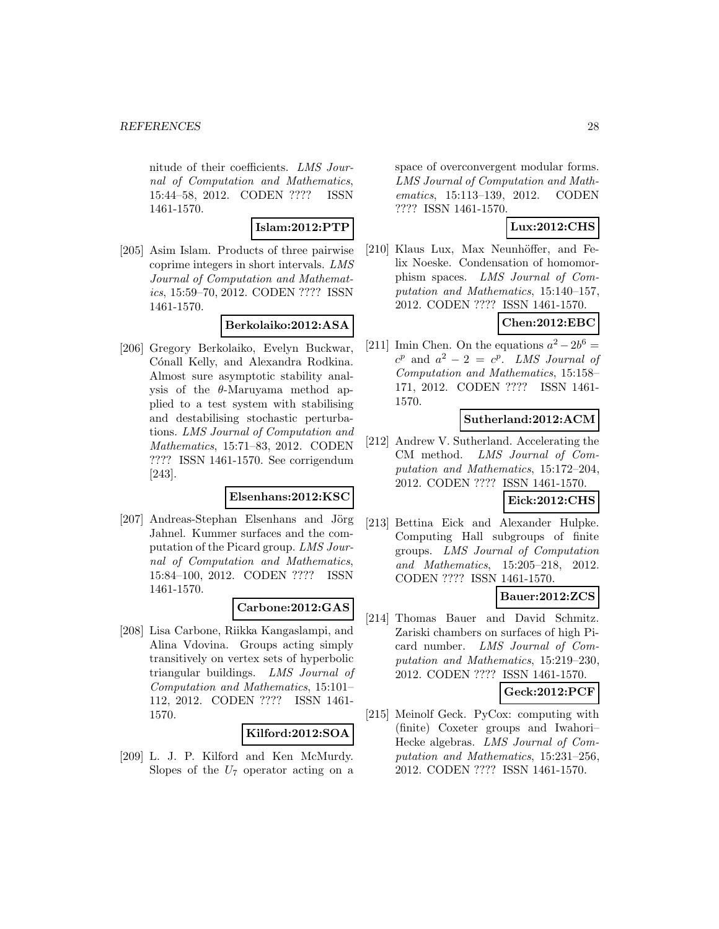nitude of their coefficients. LMS Journal of Computation and Mathematics, 15:44–58, 2012. CODEN ???? ISSN 1461-1570.

#### **Islam:2012:PTP**

[205] Asim Islam. Products of three pairwise coprime integers in short intervals. LMS Journal of Computation and Mathematics, 15:59–70, 2012. CODEN ???? ISSN 1461-1570.

#### **Berkolaiko:2012:ASA**

[206] Gregory Berkolaiko, Evelyn Buckwar, Cónall Kelly, and Alexandra Rodkina. Almost sure asymptotic stability analysis of the  $\theta$ -Maruyama method applied to a test system with stabilising and destabilising stochastic perturbations. LMS Journal of Computation and Mathematics, 15:71–83, 2012. CODEN ???? ISSN 1461-1570. See corrigendum [243].

#### **Elsenhans:2012:KSC**

[207] Andreas-Stephan Elsenhans and Jörg Jahnel. Kummer surfaces and the computation of the Picard group. LMS Journal of Computation and Mathematics, 15:84–100, 2012. CODEN ???? ISSN 1461-1570.

### **Carbone:2012:GAS**

[208] Lisa Carbone, Riikka Kangaslampi, and Alina Vdovina. Groups acting simply transitively on vertex sets of hyperbolic triangular buildings. LMS Journal of Computation and Mathematics, 15:101– 112, 2012. CODEN ???? ISSN 1461- 1570.

#### **Kilford:2012:SOA**

[209] L. J. P. Kilford and Ken McMurdy. Slopes of the  $U_7$  operator acting on a space of overconvergent modular forms. LMS Journal of Computation and Mathematics, 15:113–139, 2012. CODEN ???? ISSN 1461-1570.

### **Lux:2012:CHS**

[210] Klaus Lux, Max Neunhöffer, and Felix Noeske. Condensation of homomorphism spaces. LMS Journal of Computation and Mathematics, 15:140–157, 2012. CODEN ???? ISSN 1461-1570.

## **Chen:2012:EBC**

[211] Imin Chen. On the equations  $a^2 - 2b^6 =$  $c^p$  and  $a^2 - 2 = c^p$ . LMS Journal of Computation and Mathematics, 15:158– 171, 2012. CODEN ???? ISSN 1461- 1570.

#### **Sutherland:2012:ACM**

[212] Andrew V. Sutherland. Accelerating the CM method. LMS Journal of Computation and Mathematics, 15:172–204, 2012. CODEN ???? ISSN 1461-1570.

## **Eick:2012:CHS**

[213] Bettina Eick and Alexander Hulpke. Computing Hall subgroups of finite groups. LMS Journal of Computation and Mathematics, 15:205–218, 2012. CODEN ???? ISSN 1461-1570.

## **Bauer:2012:ZCS**

[214] Thomas Bauer and David Schmitz. Zariski chambers on surfaces of high Picard number. LMS Journal of Computation and Mathematics, 15:219–230, 2012. CODEN ???? ISSN 1461-1570.

# **Geck:2012:PCF**

[215] Meinolf Geck. PyCox: computing with (finite) Coxeter groups and Iwahori– Hecke algebras. LMS Journal of Computation and Mathematics, 15:231–256, 2012. CODEN ???? ISSN 1461-1570.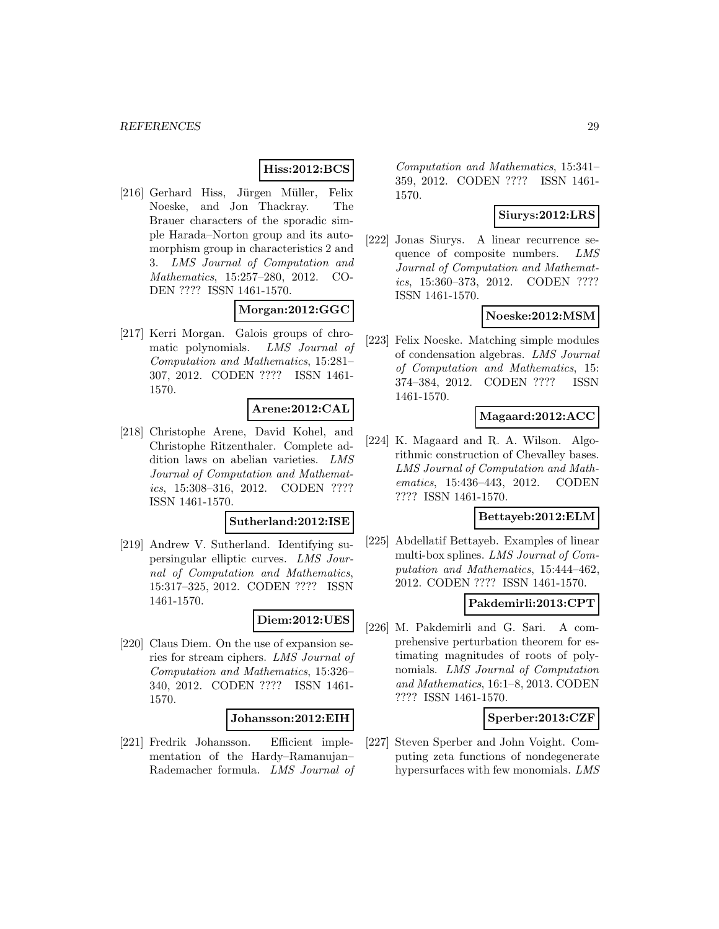## **Hiss:2012:BCS**

[216] Gerhard Hiss, Jürgen Müller, Felix Noeske, and Jon Thackray. The Brauer characters of the sporadic simple Harada–Norton group and its automorphism group in characteristics 2 and 3. LMS Journal of Computation and Mathematics, 15:257–280, 2012. CO-DEN ???? ISSN 1461-1570.

#### **Morgan:2012:GGC**

[217] Kerri Morgan. Galois groups of chromatic polynomials. LMS Journal of Computation and Mathematics, 15:281– 307, 2012. CODEN ???? ISSN 1461- 1570.

#### **Arene:2012:CAL**

[218] Christophe Arene, David Kohel, and Christophe Ritzenthaler. Complete addition laws on abelian varieties. LMS Journal of Computation and Mathematics, 15:308–316, 2012. CODEN ???? ISSN 1461-1570.

#### **Sutherland:2012:ISE**

[219] Andrew V. Sutherland. Identifying supersingular elliptic curves. LMS Journal of Computation and Mathematics, 15:317–325, 2012. CODEN ???? ISSN 1461-1570.

#### **Diem:2012:UES**

[220] Claus Diem. On the use of expansion series for stream ciphers. LMS Journal of Computation and Mathematics, 15:326– 340, 2012. CODEN ???? ISSN 1461- 1570.

#### **Johansson:2012:EIH**

[221] Fredrik Johansson. Efficient implementation of the Hardy–Ramanujan– Rademacher formula. LMS Journal of Computation and Mathematics, 15:341– 359, 2012. CODEN ???? ISSN 1461- 1570.

## **Siurys:2012:LRS**

[222] Jonas Siurys. A linear recurrence sequence of composite numbers. LMS Journal of Computation and Mathematics, 15:360–373, 2012. CODEN ???? ISSN 1461-1570.

#### **Noeske:2012:MSM**

[223] Felix Noeske. Matching simple modules of condensation algebras. LMS Journal of Computation and Mathematics, 15: 374–384, 2012. CODEN ???? ISSN 1461-1570.

#### **Magaard:2012:ACC**

[224] K. Magaard and R. A. Wilson. Algorithmic construction of Chevalley bases. LMS Journal of Computation and Mathematics, 15:436–443, 2012. CODEN ???? ISSN 1461-1570.

#### **Bettayeb:2012:ELM**

[225] Abdellatif Bettayeb. Examples of linear multi-box splines. LMS Journal of Computation and Mathematics, 15:444–462, 2012. CODEN ???? ISSN 1461-1570.

#### **Pakdemirli:2013:CPT**

[226] M. Pakdemirli and G. Sari. A comprehensive perturbation theorem for estimating magnitudes of roots of polynomials. LMS Journal of Computation and Mathematics, 16:1–8, 2013. CODEN ???? ISSN 1461-1570.

### **Sperber:2013:CZF**

[227] Steven Sperber and John Voight. Computing zeta functions of nondegenerate hypersurfaces with few monomials. LMS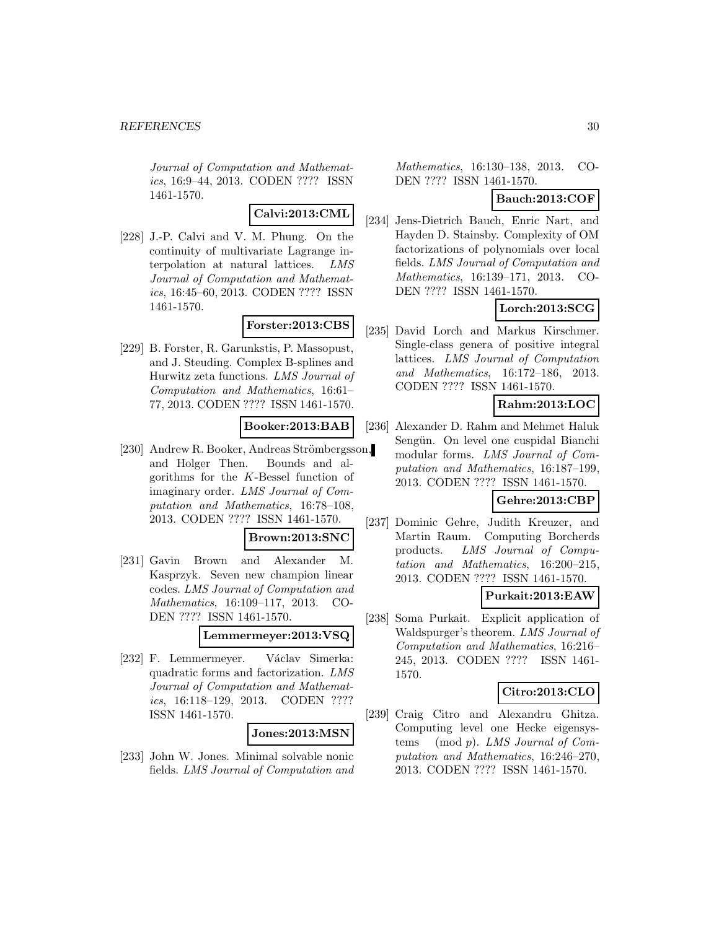Journal of Computation and Mathematics, 16:9–44, 2013. CODEN ???? ISSN 1461-1570.

## **Calvi:2013:CML**

[228] J.-P. Calvi and V. M. Phung. On the continuity of multivariate Lagrange interpolation at natural lattices. LMS Journal of Computation and Mathematics, 16:45–60, 2013. CODEN ???? ISSN 1461-1570.

## **Forster:2013:CBS**

[229] B. Forster, R. Garunkstis, P. Massopust, and J. Steuding. Complex B-splines and Hurwitz zeta functions. LMS Journal of Computation and Mathematics, 16:61– 77, 2013. CODEN ???? ISSN 1461-1570.

### **Booker:2013:BAB**

[230] Andrew R. Booker, Andreas Strömbergsson, and Holger Then. Bounds and algorithms for the K-Bessel function of imaginary order. LMS Journal of Computation and Mathematics, 16:78–108, 2013. CODEN ???? ISSN 1461-1570.

#### **Brown:2013:SNC**

[231] Gavin Brown and Alexander M. Kasprzyk. Seven new champion linear codes. LMS Journal of Computation and Mathematics, 16:109–117, 2013. CO-DEN ???? ISSN 1461-1570.

**Lemmermeyer:2013:VSQ**

[232] F. Lemmermeyer. Václav Simerka: quadratic forms and factorization. LMS Journal of Computation and Mathematics, 16:118–129, 2013. CODEN ???? ISSN 1461-1570.

#### **Jones:2013:MSN**

[233] John W. Jones. Minimal solvable nonic fields. LMS Journal of Computation and

Mathematics, 16:130–138, 2013. CO-DEN ???? ISSN 1461-1570.

## **Bauch:2013:COF**

[234] Jens-Dietrich Bauch, Enric Nart, and Hayden D. Stainsby. Complexity of OM factorizations of polynomials over local fields. LMS Journal of Computation and Mathematics, 16:139–171, 2013. CO-DEN ???? ISSN 1461-1570.

## **Lorch:2013:SCG**

[235] David Lorch and Markus Kirschmer. Single-class genera of positive integral lattices. LMS Journal of Computation and Mathematics, 16:172–186, 2013. CODEN ???? ISSN 1461-1570.

### **Rahm:2013:LOC**

[236] Alexander D. Rahm and Mehmet Haluk Sengün. On level one cuspidal Bianchi modular forms. LMS Journal of Computation and Mathematics, 16:187–199, 2013. CODEN ???? ISSN 1461-1570.

## **Gehre:2013:CBP**

[237] Dominic Gehre, Judith Kreuzer, and Martin Raum. Computing Borcherds products. LMS Journal of Computation and Mathematics, 16:200–215, 2013. CODEN ???? ISSN 1461-1570.

## **Purkait:2013:EAW**

[238] Soma Purkait. Explicit application of Waldspurger's theorem. LMS Journal of Computation and Mathematics, 16:216– 245, 2013. CODEN ???? ISSN 1461- 1570.

### **Citro:2013:CLO**

[239] Craig Citro and Alexandru Ghitza. Computing level one Hecke eigensystems (mod p). LMS Journal of Computation and Mathematics, 16:246–270, 2013. CODEN ???? ISSN 1461-1570.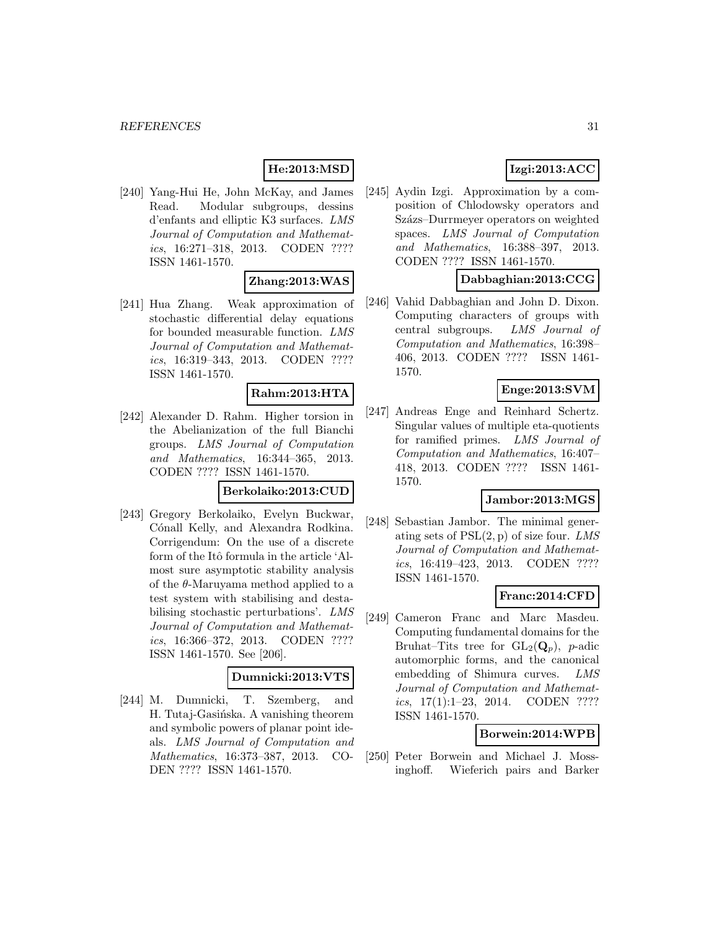## **He:2013:MSD**

[240] Yang-Hui He, John McKay, and James Read. Modular subgroups, dessins d'enfants and elliptic K3 surfaces. LMS Journal of Computation and Mathematics, 16:271–318, 2013. CODEN ???? ISSN 1461-1570.

## **Zhang:2013:WAS**

[241] Hua Zhang. Weak approximation of stochastic differential delay equations for bounded measurable function. LMS Journal of Computation and Mathematics, 16:319–343, 2013. CODEN ???? ISSN 1461-1570.

#### **Rahm:2013:HTA**

[242] Alexander D. Rahm. Higher torsion in the Abelianization of the full Bianchi groups. LMS Journal of Computation and Mathematics, 16:344–365, 2013. CODEN ???? ISSN 1461-1570.

#### **Berkolaiko:2013:CUD**

[243] Gregory Berkolaiko, Evelyn Buckwar, Cónall Kelly, and Alexandra Rodkina. Corrigendum: On the use of a discrete form of the Itô formula in the article 'Almost sure asymptotic stability analysis of the  $\theta$ -Maruyama method applied to a test system with stabilising and destabilising stochastic perturbations'. LMS Journal of Computation and Mathematics, 16:366–372, 2013. CODEN ???? ISSN 1461-1570. See [206].

### **Dumnicki:2013:VTS**

[244] M. Dumnicki, T. Szemberg, and H. Tutaj-Gasińska. A vanishing theorem and symbolic powers of planar point ideals. LMS Journal of Computation and Mathematics, 16:373–387, 2013. CO-DEN ???? ISSN 1461-1570.

## **Izgi:2013:ACC**

[245] Aydin Izgi. Approximation by a composition of Chlodowsky operators and Százs–Durrmeyer operators on weighted spaces. LMS Journal of Computation and Mathematics, 16:388–397, 2013. CODEN ???? ISSN 1461-1570.

### **Dabbaghian:2013:CCG**

[246] Vahid Dabbaghian and John D. Dixon. Computing characters of groups with central subgroups. LMS Journal of Computation and Mathematics, 16:398– 406, 2013. CODEN ???? ISSN 1461- 1570.

#### **Enge:2013:SVM**

[247] Andreas Enge and Reinhard Schertz. Singular values of multiple eta-quotients for ramified primes. LMS Journal of Computation and Mathematics, 16:407– 418, 2013. CODEN ???? ISSN 1461- 1570.

### **Jambor:2013:MGS**

[248] Sebastian Jambor. The minimal generating sets of  $PSL(2, p)$  of size four. LMS Journal of Computation and Mathematics, 16:419–423, 2013. CODEN ???? ISSN 1461-1570.

## **Franc:2014:CFD**

[249] Cameron Franc and Marc Masdeu. Computing fundamental domains for the Bruhat–Tits tree for  $GL_2(Q_n)$ , *p*-adic automorphic forms, and the canonical embedding of Shimura curves. LMS Journal of Computation and Mathematics, 17(1):1–23, 2014. CODEN ???? ISSN 1461-1570.

## **Borwein:2014:WPB**

[250] Peter Borwein and Michael J. Mossinghoff. Wieferich pairs and Barker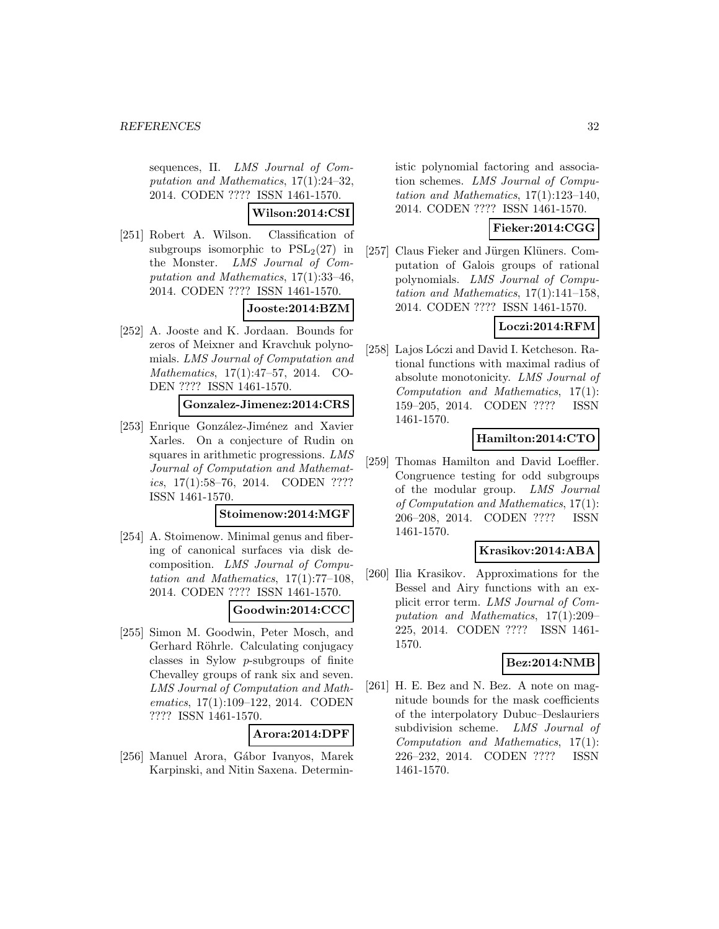sequences, II. LMS Journal of Computation and Mathematics, 17(1):24–32, 2014. CODEN ???? ISSN 1461-1570.

**Wilson:2014:CSI**

[251] Robert A. Wilson. Classification of subgroups isomorphic to  $PSL<sub>2</sub>(27)$  in the Monster. LMS Journal of Computation and Mathematics, 17(1):33–46, 2014. CODEN ???? ISSN 1461-1570.

## **Jooste:2014:BZM**

[252] A. Jooste and K. Jordaan. Bounds for zeros of Meixner and Kravchuk polynomials. LMS Journal of Computation and Mathematics, 17(1):47–57, 2014. CO-DEN ???? ISSN 1461-1570.

## **Gonzalez-Jimenez:2014:CRS**

[253] Enrique González-Jiménez and Xavier Xarles. On a conjecture of Rudin on squares in arithmetic progressions. LMS Journal of Computation and Mathematics, 17(1):58–76, 2014. CODEN ???? ISSN 1461-1570.

#### **Stoimenow:2014:MGF**

[254] A. Stoimenow. Minimal genus and fibering of canonical surfaces via disk decomposition. LMS Journal of Computation and Mathematics, 17(1):77–108, 2014. CODEN ???? ISSN 1461-1570.

## **Goodwin:2014:CCC**

[255] Simon M. Goodwin, Peter Mosch, and Gerhard Röhrle. Calculating conjugacy classes in Sylow p-subgroups of finite Chevalley groups of rank six and seven. LMS Journal of Computation and Mathematics, 17(1):109–122, 2014. CODEN ???? ISSN 1461-1570.

#### **Arora:2014:DPF**

[256] Manuel Arora, Gábor Ivanyos, Marek Karpinski, and Nitin Saxena. Deterministic polynomial factoring and association schemes. LMS Journal of Computation and Mathematics, 17(1):123–140, 2014. CODEN ???? ISSN 1461-1570.

### **Fieker:2014:CGG**

[257] Claus Fieker and Jürgen Klüners. Computation of Galois groups of rational polynomials. LMS Journal of Computation and Mathematics, 17(1):141–158, 2014. CODEN ???? ISSN 1461-1570.

## **Loczi:2014:RFM**

[258] Lajos Lóczi and David I. Ketcheson. Rational functions with maximal radius of absolute monotonicity. LMS Journal of Computation and Mathematics, 17(1): 159–205, 2014. CODEN ???? ISSN 1461-1570.

## **Hamilton:2014:CTO**

[259] Thomas Hamilton and David Loeffler. Congruence testing for odd subgroups of the modular group. LMS Journal of Computation and Mathematics, 17(1): 206–208, 2014. CODEN ???? ISSN 1461-1570.

### **Krasikov:2014:ABA**

[260] Ilia Krasikov. Approximations for the Bessel and Airy functions with an explicit error term. LMS Journal of Computation and Mathematics, 17(1):209– 225, 2014. CODEN ???? ISSN 1461- 1570.

## **Bez:2014:NMB**

[261] H. E. Bez and N. Bez. A note on magnitude bounds for the mask coefficients of the interpolatory Dubuc–Deslauriers subdivision scheme. LMS Journal of Computation and Mathematics, 17(1): 226–232, 2014. CODEN ???? ISSN 1461-1570.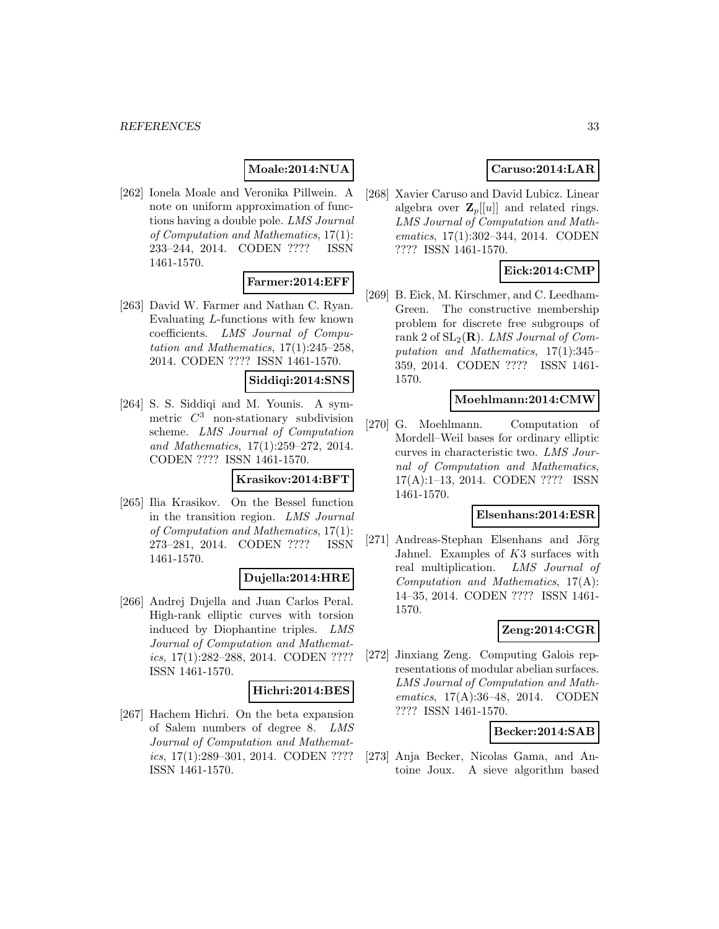## **Moale:2014:NUA**

[262] Ionela Moale and Veronika Pillwein. A note on uniform approximation of functions having a double pole. LMS Journal of Computation and Mathematics, 17(1): 233–244, 2014. CODEN ???? ISSN 1461-1570.

#### **Farmer:2014:EFF**

[263] David W. Farmer and Nathan C. Ryan. Evaluating L-functions with few known coefficients. LMS Journal of Computation and Mathematics, 17(1):245–258, 2014. CODEN ???? ISSN 1461-1570.

### **Siddiqi:2014:SNS**

[264] S. S. Siddiqi and M. Younis. A symmetric  $C^3$  non-stationary subdivision scheme. LMS Journal of Computation and Mathematics, 17(1):259–272, 2014. CODEN ???? ISSN 1461-1570.

#### **Krasikov:2014:BFT**

[265] Ilia Krasikov. On the Bessel function in the transition region. LMS Journal of Computation and Mathematics, 17(1): 273–281, 2014. CODEN ???? ISSN 1461-1570.

#### **Dujella:2014:HRE**

[266] Andrej Dujella and Juan Carlos Peral. High-rank elliptic curves with torsion induced by Diophantine triples. LMS Journal of Computation and Mathematics, 17(1):282–288, 2014. CODEN ???? ISSN 1461-1570.

#### **Hichri:2014:BES**

[267] Hachem Hichri. On the beta expansion of Salem numbers of degree 8. LMS Journal of Computation and Mathematics, 17(1):289–301, 2014. CODEN ???? ISSN 1461-1570.

## **Caruso:2014:LAR**

[268] Xavier Caruso and David Lubicz. Linear algebra over  $\mathbf{Z}_p[[u]]$  and related rings. LMS Journal of Computation and Mathematics, 17(1):302–344, 2014. CODEN ???? ISSN 1461-1570.

## **Eick:2014:CMP**

[269] B. Eick, M. Kirschmer, and C. Leedham-Green. The constructive membership problem for discrete free subgroups of rank 2 of  $SL_2(\mathbf{R})$ . LMS Journal of Computation and Mathematics, 17(1):345– 359, 2014. CODEN ???? ISSN 1461- 1570.

#### **Moehlmann:2014:CMW**

[270] G. Moehlmann. Computation of Mordell–Weil bases for ordinary elliptic curves in characteristic two. LMS Journal of Computation and Mathematics, 17(A):1–13, 2014. CODEN ???? ISSN 1461-1570.

#### **Elsenhans:2014:ESR**

[271] Andreas-Stephan Elsenhans and Jörg Jahnel. Examples of K3 surfaces with real multiplication. LMS Journal of Computation and Mathematics, 17(A): 14–35, 2014. CODEN ???? ISSN 1461- 1570.

## **Zeng:2014:CGR**

[272] Jinxiang Zeng. Computing Galois representations of modular abelian surfaces. LMS Journal of Computation and Mathematics, 17(A):36–48, 2014. CODEN ???? ISSN 1461-1570.

#### **Becker:2014:SAB**

[273] Anja Becker, Nicolas Gama, and Antoine Joux. A sieve algorithm based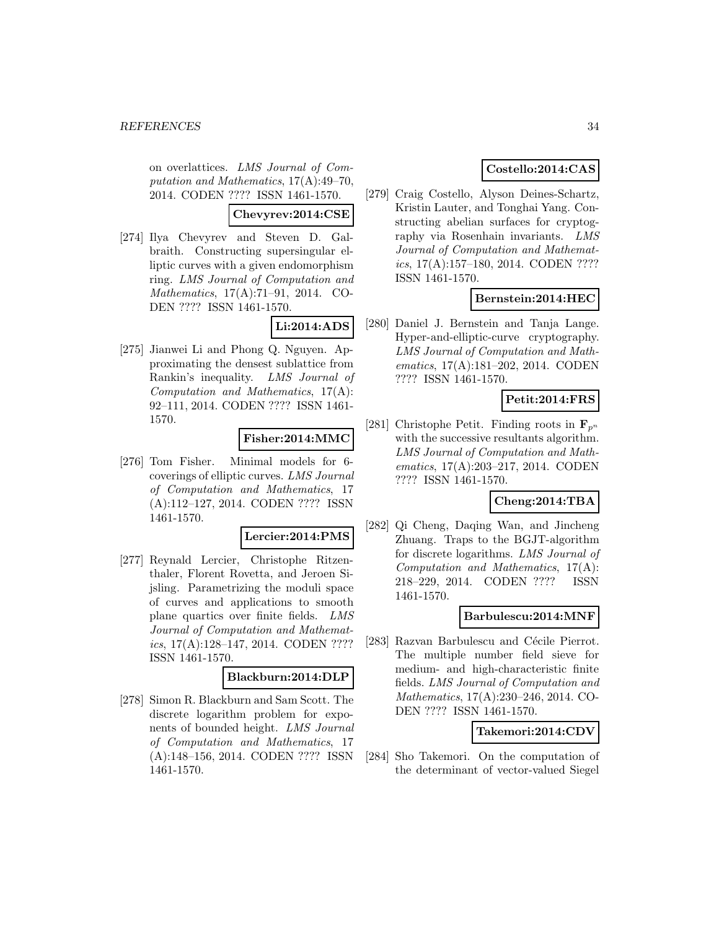on overlattices. LMS Journal of Computation and Mathematics, 17(A):49–70, 2014. CODEN ???? ISSN 1461-1570.

### **Chevyrev:2014:CSE**

[274] Ilya Chevyrev and Steven D. Galbraith. Constructing supersingular elliptic curves with a given endomorphism ring. LMS Journal of Computation and Mathematics, 17(A):71–91, 2014. CO-DEN ???? ISSN 1461-1570.

### **Li:2014:ADS**

[275] Jianwei Li and Phong Q. Nguyen. Approximating the densest sublattice from Rankin's inequality. LMS Journal of Computation and Mathematics, 17(A): 92–111, 2014. CODEN ???? ISSN 1461- 1570.

### **Fisher:2014:MMC**

[276] Tom Fisher. Minimal models for 6 coverings of elliptic curves. LMS Journal of Computation and Mathematics, 17 (A):112–127, 2014. CODEN ???? ISSN 1461-1570.

#### **Lercier:2014:PMS**

[277] Reynald Lercier, Christophe Ritzenthaler, Florent Rovetta, and Jeroen Sijsling. Parametrizing the moduli space of curves and applications to smooth plane quartics over finite fields. LMS Journal of Computation and Mathematics, 17(A):128–147, 2014. CODEN ???? ISSN 1461-1570.

#### **Blackburn:2014:DLP**

[278] Simon R. Blackburn and Sam Scott. The discrete logarithm problem for exponents of bounded height. LMS Journal of Computation and Mathematics, 17 (A):148–156, 2014. CODEN ???? ISSN 1461-1570.

## **Costello:2014:CAS**

[279] Craig Costello, Alyson Deines-Schartz, Kristin Lauter, and Tonghai Yang. Constructing abelian surfaces for cryptography via Rosenhain invariants. LMS Journal of Computation and Mathematics, 17(A):157–180, 2014. CODEN ???? ISSN 1461-1570.

## **Bernstein:2014:HEC**

[280] Daniel J. Bernstein and Tanja Lange. Hyper-and-elliptic-curve cryptography. LMS Journal of Computation and Mathematics, 17(A):181–202, 2014. CODEN ???? ISSN 1461-1570.

## **Petit:2014:FRS**

[281] Christophe Petit. Finding roots in  $\mathbf{F}_{p^n}$ with the successive resultants algorithm. LMS Journal of Computation and Mathematics, 17(A):203–217, 2014. CODEN ???? ISSN 1461-1570.

### **Cheng:2014:TBA**

[282] Qi Cheng, Daqing Wan, and Jincheng Zhuang. Traps to the BGJT-algorithm for discrete logarithms. LMS Journal of Computation and Mathematics, 17(A): 218–229, 2014. CODEN ???? ISSN 1461-1570.

### **Barbulescu:2014:MNF**

[283] Razvan Barbulescu and Cécile Pierrot. The multiple number field sieve for medium- and high-characteristic finite fields. LMS Journal of Computation and Mathematics, 17(A):230–246, 2014. CO-DEN ???? ISSN 1461-1570.

#### **Takemori:2014:CDV**

[284] Sho Takemori. On the computation of the determinant of vector-valued Siegel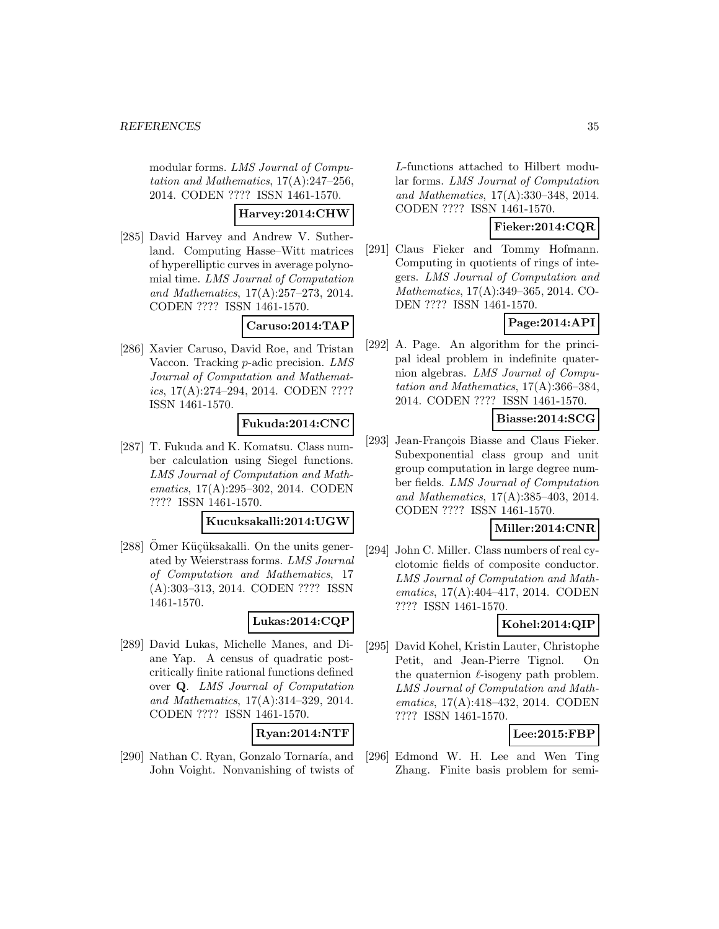modular forms. LMS Journal of Computation and Mathematics, 17(A):247–256, 2014. CODEN ???? ISSN 1461-1570.

### **Harvey:2014:CHW**

[285] David Harvey and Andrew V. Sutherland. Computing Hasse–Witt matrices of hyperelliptic curves in average polynomial time. LMS Journal of Computation and Mathematics, 17(A):257–273, 2014. CODEN ???? ISSN 1461-1570.

**Caruso:2014:TAP**

[286] Xavier Caruso, David Roe, and Tristan Vaccon. Tracking p-adic precision. LMS Journal of Computation and Mathematics, 17(A):274–294, 2014. CODEN ???? ISSN 1461-1570.

#### **Fukuda:2014:CNC**

[287] T. Fukuda and K. Komatsu. Class number calculation using Siegel functions. LMS Journal of Computation and Mathematics, 17(A):295–302, 2014. CODEN ???? ISSN 1461-1570.

### **Kucuksakalli:2014:UGW**

[288] Omer Küçüksakalli. On the units generated by Weierstrass forms. LMS Journal of Computation and Mathematics, 17 (A):303–313, 2014. CODEN ???? ISSN 1461-1570.

#### **Lukas:2014:CQP**

[289] David Lukas, Michelle Manes, and Diane Yap. A census of quadratic postcritically finite rational functions defined over **Q**. LMS Journal of Computation and Mathematics, 17(A):314–329, 2014. CODEN ???? ISSN 1461-1570.

#### **Ryan:2014:NTF**

[290] Nathan C. Ryan, Gonzalo Tornaría, and John Voight. Nonvanishing of twists of L-functions attached to Hilbert modular forms. LMS Journal of Computation and Mathematics, 17(A):330–348, 2014. CODEN ???? ISSN 1461-1570.

## **Fieker:2014:CQR**

[291] Claus Fieker and Tommy Hofmann. Computing in quotients of rings of integers. LMS Journal of Computation and Mathematics, 17(A):349–365, 2014. CO-DEN ???? ISSN 1461-1570.

## **Page:2014:API**

[292] A. Page. An algorithm for the principal ideal problem in indefinite quaternion algebras. LMS Journal of Computation and Mathematics, 17(A):366–384, 2014. CODEN ???? ISSN 1461-1570.

### **Biasse:2014:SCG**

[293] Jean-François Biasse and Claus Fieker. Subexponential class group and unit group computation in large degree number fields. LMS Journal of Computation and Mathematics, 17(A):385–403, 2014. CODEN ???? ISSN 1461-1570.

## **Miller:2014:CNR**

[294] John C. Miller. Class numbers of real cyclotomic fields of composite conductor. LMS Journal of Computation and Mathematics, 17(A):404–417, 2014. CODEN ???? ISSN 1461-1570.

## **Kohel:2014:QIP**

[295] David Kohel, Kristin Lauter, Christophe Petit, and Jean-Pierre Tignol. On the quaternion  $\ell$ -isogeny path problem. LMS Journal of Computation and Mathematics, 17(A):418–432, 2014. CODEN ???? ISSN 1461-1570.

## **Lee:2015:FBP**

[296] Edmond W. H. Lee and Wen Ting Zhang. Finite basis problem for semi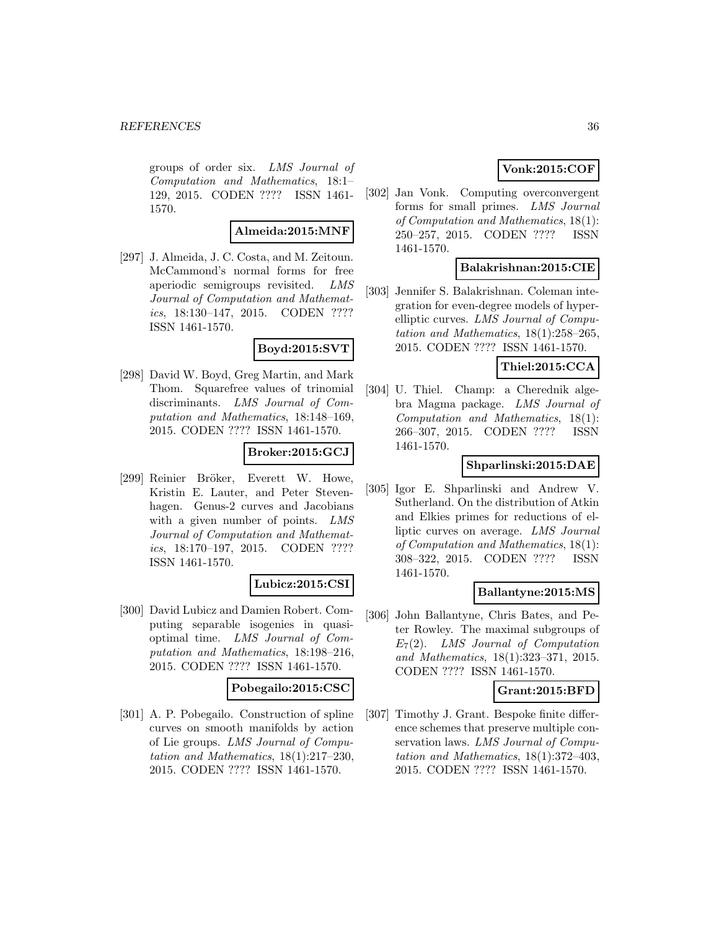groups of order six. LMS Journal of Computation and Mathematics, 18:1– 129, 2015. CODEN ???? ISSN 1461- 1570.

### **Almeida:2015:MNF**

[297] J. Almeida, J. C. Costa, and M. Zeitoun. McCammond's normal forms for free aperiodic semigroups revisited. LMS Journal of Computation and Mathematics, 18:130–147, 2015. CODEN ???? ISSN 1461-1570.

#### **Boyd:2015:SVT**

[298] David W. Boyd, Greg Martin, and Mark Thom. Squarefree values of trinomial discriminants. LMS Journal of Computation and Mathematics, 18:148–169, 2015. CODEN ???? ISSN 1461-1570.

### **Broker:2015:GCJ**

[299] Reinier Bröker, Everett W. Howe, Kristin E. Lauter, and Peter Stevenhagen. Genus-2 curves and Jacobians with a given number of points. LMS Journal of Computation and Mathematics, 18:170–197, 2015. CODEN ???? ISSN 1461-1570.

#### **Lubicz:2015:CSI**

[300] David Lubicz and Damien Robert. Computing separable isogenies in quasioptimal time. LMS Journal of Computation and Mathematics, 18:198–216, 2015. CODEN ???? ISSN 1461-1570.

#### **Pobegailo:2015:CSC**

[301] A. P. Pobegailo. Construction of spline curves on smooth manifolds by action of Lie groups. LMS Journal of Computation and Mathematics, 18(1):217–230, 2015. CODEN ???? ISSN 1461-1570.

## **Vonk:2015:COF**

[302] Jan Vonk. Computing overconvergent forms for small primes. LMS Journal of Computation and Mathematics, 18(1): 250–257, 2015. CODEN ???? ISSN 1461-1570.

### **Balakrishnan:2015:CIE**

[303] Jennifer S. Balakrishnan. Coleman integration for even-degree models of hyperelliptic curves. LMS Journal of Computation and Mathematics, 18(1):258–265, 2015. CODEN ???? ISSN 1461-1570.

## **Thiel:2015:CCA**

[304] U. Thiel. Champ: a Cherednik algebra Magma package. LMS Journal of Computation and Mathematics, 18(1): 266–307, 2015. CODEN ???? ISSN 1461-1570.

## **Shparlinski:2015:DAE**

[305] Igor E. Shparlinski and Andrew V. Sutherland. On the distribution of Atkin and Elkies primes for reductions of elliptic curves on average. LMS Journal of Computation and Mathematics, 18(1): 308–322, 2015. CODEN ???? ISSN 1461-1570.

#### **Ballantyne:2015:MS**

[306] John Ballantyne, Chris Bates, and Peter Rowley. The maximal subgroups of  $E_7(2)$ . LMS Journal of Computation and Mathematics, 18(1):323–371, 2015. CODEN ???? ISSN 1461-1570.

## **Grant:2015:BFD**

[307] Timothy J. Grant. Bespoke finite difference schemes that preserve multiple conservation laws. LMS Journal of Computation and Mathematics, 18(1):372–403, 2015. CODEN ???? ISSN 1461-1570.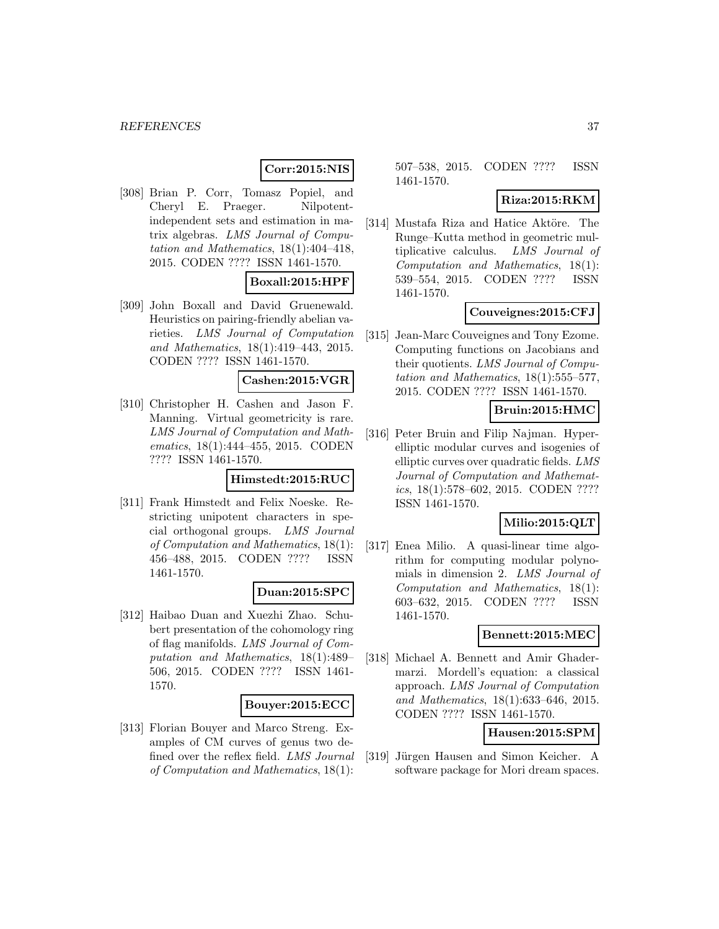## **Corr:2015:NIS**

[308] Brian P. Corr, Tomasz Popiel, and Cheryl E. Praeger. Nilpotentindependent sets and estimation in matrix algebras. LMS Journal of Computation and Mathematics, 18(1):404–418, 2015. CODEN ???? ISSN 1461-1570.

## **Boxall:2015:HPF**

[309] John Boxall and David Gruenewald. Heuristics on pairing-friendly abelian varieties. LMS Journal of Computation and Mathematics, 18(1):419–443, 2015. CODEN ???? ISSN 1461-1570.

#### **Cashen:2015:VGR**

[310] Christopher H. Cashen and Jason F. Manning. Virtual geometricity is rare. LMS Journal of Computation and Mathematics, 18(1):444–455, 2015. CODEN ???? ISSN 1461-1570.

#### **Himstedt:2015:RUC**

[311] Frank Himstedt and Felix Noeske. Restricting unipotent characters in special orthogonal groups. LMS Journal of Computation and Mathematics, 18(1): 456–488, 2015. CODEN ???? ISSN 1461-1570.

#### **Duan:2015:SPC**

[312] Haibao Duan and Xuezhi Zhao. Schubert presentation of the cohomology ring of flag manifolds. LMS Journal of Computation and Mathematics, 18(1):489– 506, 2015. CODEN ???? ISSN 1461- 1570.

#### **Bouyer:2015:ECC**

[313] Florian Bouyer and Marco Streng. Examples of CM curves of genus two defined over the reflex field. LMS Journal of Computation and Mathematics, 18(1):

507–538, 2015. CODEN ???? ISSN 1461-1570.

### **Riza:2015:RKM**

[314] Mustafa Riza and Hatice Aktöre. The Runge–Kutta method in geometric multiplicative calculus. LMS Journal of Computation and Mathematics, 18(1): 539–554, 2015. CODEN ???? ISSN 1461-1570.

### **Couveignes:2015:CFJ**

[315] Jean-Marc Couveignes and Tony Ezome. Computing functions on Jacobians and their quotients. LMS Journal of Computation and Mathematics, 18(1):555–577, 2015. CODEN ???? ISSN 1461-1570.

### **Bruin:2015:HMC**

[316] Peter Bruin and Filip Najman. Hyperelliptic modular curves and isogenies of elliptic curves over quadratic fields. LMS Journal of Computation and Mathematics, 18(1):578–602, 2015. CODEN ???? ISSN 1461-1570.

## **Milio:2015:QLT**

[317] Enea Milio. A quasi-linear time algorithm for computing modular polynomials in dimension 2. LMS Journal of Computation and Mathematics, 18(1): 603–632, 2015. CODEN ???? ISSN 1461-1570.

#### **Bennett:2015:MEC**

[318] Michael A. Bennett and Amir Ghadermarzi. Mordell's equation: a classical approach. LMS Journal of Computation and Mathematics, 18(1):633–646, 2015. CODEN ???? ISSN 1461-1570.

## **Hausen:2015:SPM**

[319] Jürgen Hausen and Simon Keicher. A software package for Mori dream spaces.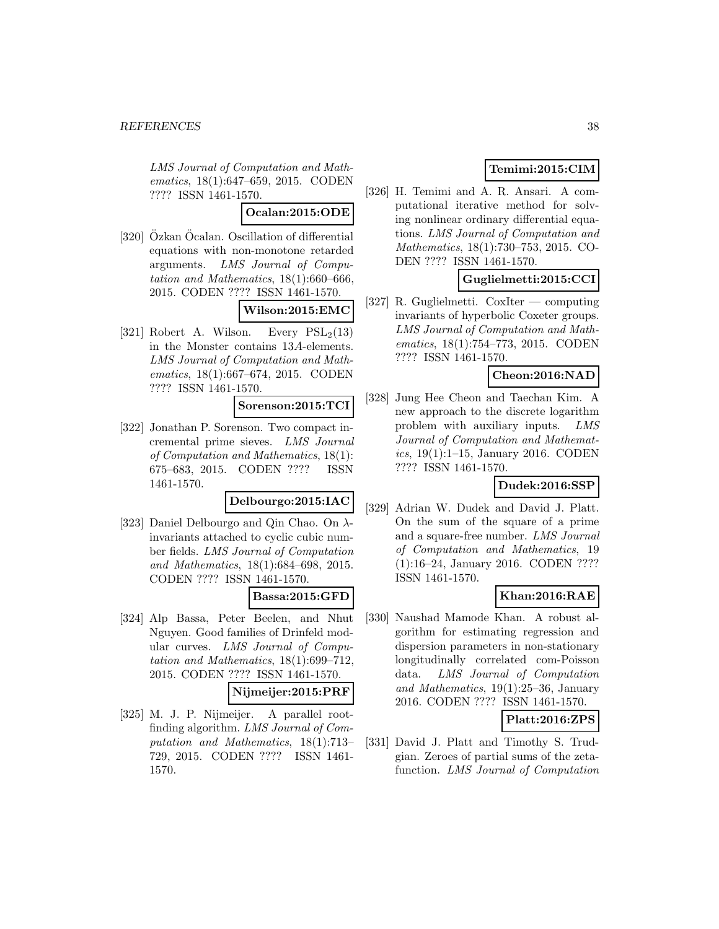LMS Journal of Computation and Mathematics, 18(1):647–659, 2015. CODEN ???? ISSN 1461-1570.

**Ocalan:2015:ODE**

 $[320]$  Özkan Öcalan. Oscillation of differential equations with non-monotone retarded arguments. LMS Journal of Computation and Mathematics, 18(1):660–666, 2015. CODEN ???? ISSN 1461-1570.

## **Wilson:2015:EMC**

[321] Robert A. Wilson. Every  $PSL_2(13)$ in the Monster contains 13A-elements. LMS Journal of Computation and Mathematics, 18(1):667–674, 2015. CODEN ???? ISSN 1461-1570.

## **Sorenson:2015:TCI**

[322] Jonathan P. Sorenson. Two compact incremental prime sieves. LMS Journal of Computation and Mathematics, 18(1): 675–683, 2015. CODEN ???? ISSN 1461-1570.

### **Delbourgo:2015:IAC**

[323] Daniel Delbourgo and Qin Chao. On  $\lambda$ invariants attached to cyclic cubic number fields. LMS Journal of Computation and Mathematics, 18(1):684–698, 2015. CODEN ???? ISSN 1461-1570.

## **Bassa:2015:GFD**

[324] Alp Bassa, Peter Beelen, and Nhut Nguyen. Good families of Drinfeld modular curves. LMS Journal of Computation and Mathematics, 18(1):699–712, 2015. CODEN ???? ISSN 1461-1570.

#### **Nijmeijer:2015:PRF**

[325] M. J. P. Nijmeijer. A parallel rootfinding algorithm. LMS Journal of Computation and Mathematics, 18(1):713– 729, 2015. CODEN ???? ISSN 1461- 1570.

## **Temimi:2015:CIM**

[326] H. Temimi and A. R. Ansari. A computational iterative method for solving nonlinear ordinary differential equations. LMS Journal of Computation and Mathematics, 18(1):730–753, 2015. CO-DEN ???? ISSN 1461-1570.

### **Guglielmetti:2015:CCI**

[327] R. Guglielmetti. CoxIter — computing invariants of hyperbolic Coxeter groups. LMS Journal of Computation and Mathematics, 18(1):754–773, 2015. CODEN ???? ISSN 1461-1570.

### **Cheon:2016:NAD**

[328] Jung Hee Cheon and Taechan Kim. A new approach to the discrete logarithm problem with auxiliary inputs. LMS Journal of Computation and Mathematics, 19(1):1–15, January 2016. CODEN ???? ISSN 1461-1570.

### **Dudek:2016:SSP**

[329] Adrian W. Dudek and David J. Platt. On the sum of the square of a prime and a square-free number. LMS Journal of Computation and Mathematics, 19 (1):16–24, January 2016. CODEN ???? ISSN 1461-1570.

## **Khan:2016:RAE**

[330] Naushad Mamode Khan. A robust algorithm for estimating regression and dispersion parameters in non-stationary longitudinally correlated com-Poisson data. LMS Journal of Computation and Mathematics,  $19(1):25-36$ , January 2016. CODEN ???? ISSN 1461-1570.

## **Platt:2016:ZPS**

[331] David J. Platt and Timothy S. Trudgian. Zeroes of partial sums of the zetafunction. LMS Journal of Computation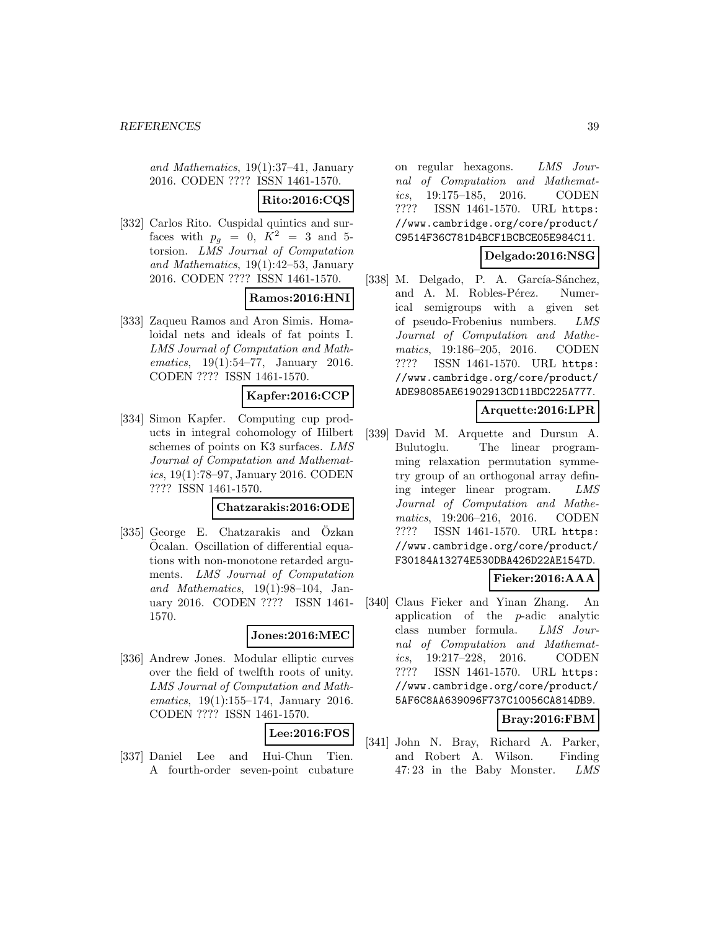and Mathematics, 19(1):37–41, January 2016. CODEN ???? ISSN 1461-1570.

## **Rito:2016:CQS**

[332] Carlos Rito. Cuspidal quintics and surfaces with  $p_q = 0$ ,  $K^2 = 3$  and 5torsion. LMS Journal of Computation and Mathematics, 19(1):42–53, January 2016. CODEN ???? ISSN 1461-1570.

## **Ramos:2016:HNI**

[333] Zaqueu Ramos and Aron Simis. Homaloidal nets and ideals of fat points I. LMS Journal of Computation and Mathematics, 19(1):54–77, January 2016. CODEN ???? ISSN 1461-1570.

#### **Kapfer:2016:CCP**

[334] Simon Kapfer. Computing cup products in integral cohomology of Hilbert schemes of points on K3 surfaces. LMS Journal of Computation and Mathematics, 19(1):78–97, January 2016. CODEN ???? ISSN 1461-1570.

#### **Chatzarakis:2016:ODE**

[335] George E. Chatzarakis and Ozkan Ocalan. Oscillation of differential equations with non-monotone retarded arguments. LMS Journal of Computation and Mathematics, 19(1):98–104, January 2016. CODEN ???? ISSN 1461- 1570.

#### **Jones:2016:MEC**

[336] Andrew Jones. Modular elliptic curves over the field of twelfth roots of unity. LMS Journal of Computation and Mathematics, 19(1):155–174, January 2016. CODEN ???? ISSN 1461-1570.

## **Lee:2016:FOS**

[337] Daniel Lee and Hui-Chun Tien. A fourth-order seven-point cubature on regular hexagons. LMS Journal of Computation and Mathematics, 19:175–185, 2016. CODEN ???? ISSN 1461-1570. URL https: //www.cambridge.org/core/product/ C9514F36C781D4BCF1BCBCE05E984C11.

### **Delgado:2016:NSG**

[338] M. Delgado, P. A. García-Sánchez, and A. M. Robles-Pérez. Numerical semigroups with a given set of pseudo-Frobenius numbers. LMS Journal of Computation and Mathematics, 19:186–205, 2016. CODEN ???? ISSN 1461-1570. URL https: //www.cambridge.org/core/product/ ADE98085AE61902913CD11BDC225A777.

#### **Arquette:2016:LPR**

[339] David M. Arquette and Dursun A. Bulutoglu. The linear programming relaxation permutation symmetry group of an orthogonal array defining integer linear program. LMS Journal of Computation and Mathematics, 19:206–216, 2016. CODEN ???? ISSN 1461-1570. URL https: //www.cambridge.org/core/product/ F30184A13274E530DBA426D22AE1547D.

### **Fieker:2016:AAA**

[340] Claus Fieker and Yinan Zhang. An application of the p-adic analytic class number formula. LMS Journal of Computation and Mathematics, 19:217–228, 2016. CODEN ???? ISSN 1461-1570. URL https: //www.cambridge.org/core/product/ 5AF6C8AA639096F737C10056CA814DB9.

## **Bray:2016:FBM**

[341] John N. Bray, Richard A. Parker, and Robert A. Wilson. Finding 47: 23 in the Baby Monster. LMS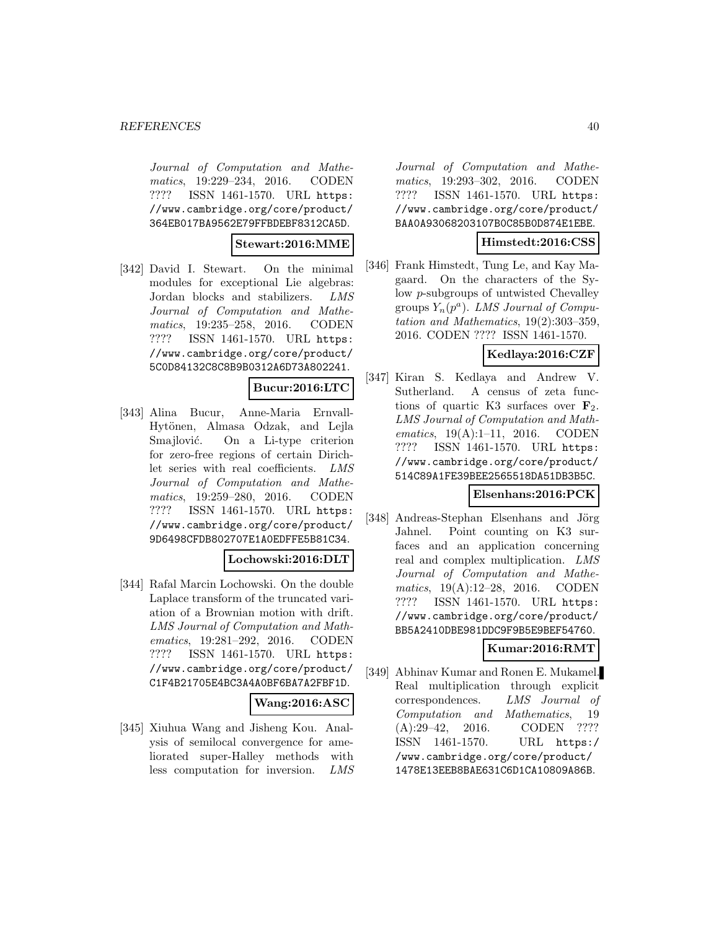Journal of Computation and Mathematics, 19:229–234, 2016. CODEN ???? ISSN 1461-1570. URL https: //www.cambridge.org/core/product/ 364EB017BA9562E79FFBDEBF8312CA5D.

#### **Stewart:2016:MME**

[342] David I. Stewart. On the minimal modules for exceptional Lie algebras: Jordan blocks and stabilizers. LMS Journal of Computation and Mathematics, 19:235–258, 2016. CODEN ???? ISSN 1461-1570. URL https: //www.cambridge.org/core/product/ 5C0D84132C8C8B9B0312A6D73A802241.

## **Bucur:2016:LTC**

[343] Alina Bucur, Anne-Maria Ernvall-Hytönen, Almasa Odzak, and Lejla Smajlović. On a Li-type criterion for zero-free regions of certain Dirichlet series with real coefficients. LMS Journal of Computation and Mathematics, 19:259–280, 2016. CODEN ???? ISSN 1461-1570. URL https: //www.cambridge.org/core/product/ 9D6498CFDB802707E1A0EDFFE5B81C34.

#### **Lochowski:2016:DLT**

[344] Rafal Marcin Lochowski. On the double Laplace transform of the truncated variation of a Brownian motion with drift. LMS Journal of Computation and Mathematics, 19:281–292, 2016. CODEN ???? ISSN 1461-1570. URL https: //www.cambridge.org/core/product/ C1F4B21705E4BC3A4A0BF6BA7A2FBF1D.

#### **Wang:2016:ASC**

[345] Xiuhua Wang and Jisheng Kou. Analysis of semilocal convergence for ameliorated super-Halley methods with less computation for inversion. LMS

Journal of Computation and Mathematics, 19:293–302, 2016. CODEN ???? ISSN 1461-1570. URL https: //www.cambridge.org/core/product/ BAA0A93068203107B0C85B0D874E1EBE.

### **Himstedt:2016:CSS**

[346] Frank Himstedt, Tung Le, and Kay Magaard. On the characters of the Sylow p-subgroups of untwisted Chevalley groups  $Y_n(p^a)$ . LMS Journal of Computation and Mathematics, 19(2):303–359, 2016. CODEN ???? ISSN 1461-1570.

## **Kedlaya:2016:CZF**

[347] Kiran S. Kedlaya and Andrew V. Sutherland. A census of zeta functions of quartic K3 surfaces over  $\mathbf{F}_2$ . LMS Journal of Computation and Mathematics, 19(A):1-11, 2016. CODEN ???? ISSN 1461-1570. URL https: //www.cambridge.org/core/product/ 514C89A1FE39BEE2565518DA51DB3B5C.

#### **Elsenhans:2016:PCK**

[348] Andreas-Stephan Elsenhans and Jörg Jahnel. Point counting on K3 surfaces and an application concerning real and complex multiplication. LMS Journal of Computation and Mathematics, 19(A):12–28, 2016. CODEN ???? ISSN 1461-1570. URL https: //www.cambridge.org/core/product/ BB5A2410DBE981DDC9F9B5E9BEF54760.

### **Kumar:2016:RMT**

[349] Abhinav Kumar and Ronen E. Mukamel. Real multiplication through explicit correspondences. LMS Journal of Computation and Mathematics, 19 (A):29–42, 2016. CODEN ???? ISSN 1461-1570. URL https:/ /www.cambridge.org/core/product/ 1478E13EEB8BAE631C6D1CA10809A86B.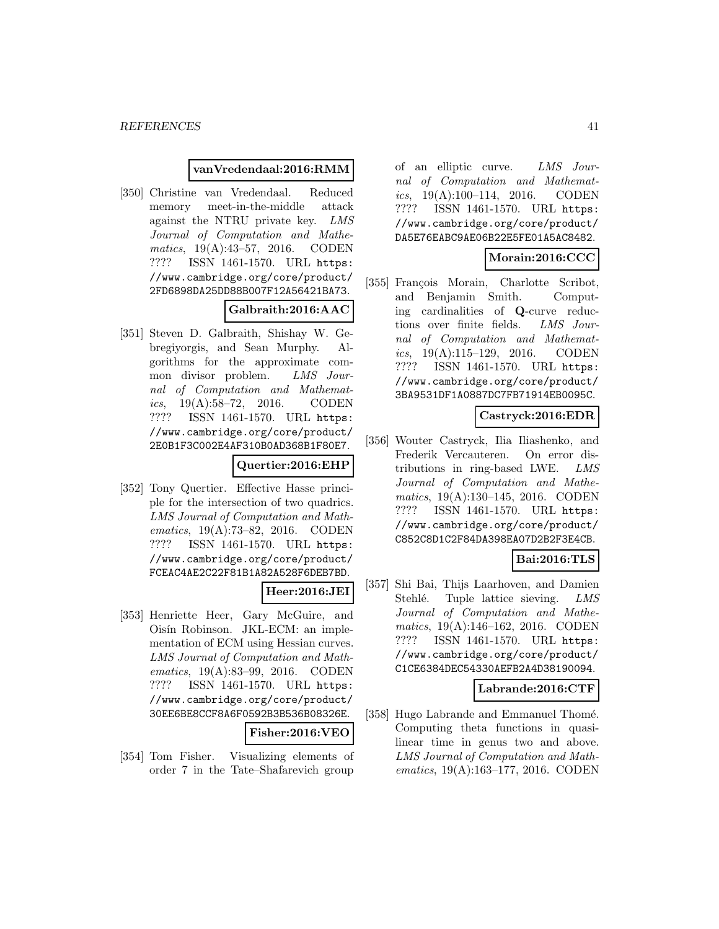#### **vanVredendaal:2016:RMM**

[350] Christine van Vredendaal. Reduced memory meet-in-the-middle attack against the NTRU private key. LMS Journal of Computation and Mathematics, 19(A):43–57, 2016. CODEN ???? ISSN 1461-1570. URL https: //www.cambridge.org/core/product/ 2FD6898DA25DD88B007F12A56421BA73.

## **Galbraith:2016:AAC**

[351] Steven D. Galbraith, Shishay W. Gebregiyorgis, and Sean Murphy. Algorithms for the approximate common divisor problem. LMS Journal of Computation and Mathematics, 19(A):58–72, 2016. CODEN ???? ISSN 1461-1570. URL https: //www.cambridge.org/core/product/ 2E0B1F3C002E4AF310B0AD368B1F80E7.

## **Quertier:2016:EHP**

[352] Tony Quertier. Effective Hasse principle for the intersection of two quadrics. LMS Journal of Computation and Mathematics, 19(A):73–82, 2016. CODEN ???? ISSN 1461-1570. URL https: //www.cambridge.org/core/product/ FCEAC4AE2C22F81B1A82A528F6DEB7BD.

#### **Heer:2016:JEI**

[353] Henriette Heer, Gary McGuire, and Oisín Robinson. JKL-ECM: an implementation of ECM using Hessian curves. LMS Journal of Computation and Mathematics, 19(A):83–99, 2016. CODEN ???? ISSN 1461-1570. URL https: //www.cambridge.org/core/product/ 30EE6BE8CCF8A6F0592B3B536B08326E.

#### **Fisher:2016:VEO**

[354] Tom Fisher. Visualizing elements of order 7 in the Tate–Shafarevich group

of an elliptic curve. LMS Journal of Computation and Mathematics,  $19(A):100-114$ ,  $2016$ . CODEN ???? ISSN 1461-1570. URL https: //www.cambridge.org/core/product/ DA5E76EABC9AE06B22E5FE01A5AC8482.

## **Morain:2016:CCC**

[355] François Morain, Charlotte Scribot, and Benjamin Smith. Computing cardinalities of **Q**-curve reductions over finite fields. LMS Journal of Computation and Mathematics,  $19(A):115-129$ ,  $2016.$  CODEN ???? ISSN 1461-1570. URL https: //www.cambridge.org/core/product/ 3BA9531DF1A0887DC7FB71914EB0095C.

#### **Castryck:2016:EDR**

[356] Wouter Castryck, Ilia Iliashenko, and Frederik Vercauteren. On error distributions in ring-based LWE. LMS Journal of Computation and Mathematics, 19(A):130–145, 2016. CODEN ???? ISSN 1461-1570. URL https: //www.cambridge.org/core/product/ C852C8D1C2F84DA398EA07D2B2F3E4CB.

## **Bai:2016:TLS**

[357] Shi Bai, Thijs Laarhoven, and Damien Stehlé. Tuple lattice sieving. LMS Journal of Computation and Mathematics, 19(A):146–162, 2016. CODEN ???? ISSN 1461-1570. URL https: //www.cambridge.org/core/product/ C1CE6384DEC54330AEFB2A4D38190094.

### **Labrande:2016:CTF**

[358] Hugo Labrande and Emmanuel Thomé. Computing theta functions in quasilinear time in genus two and above. LMS Journal of Computation and Mathematics, 19(A):163–177, 2016. CODEN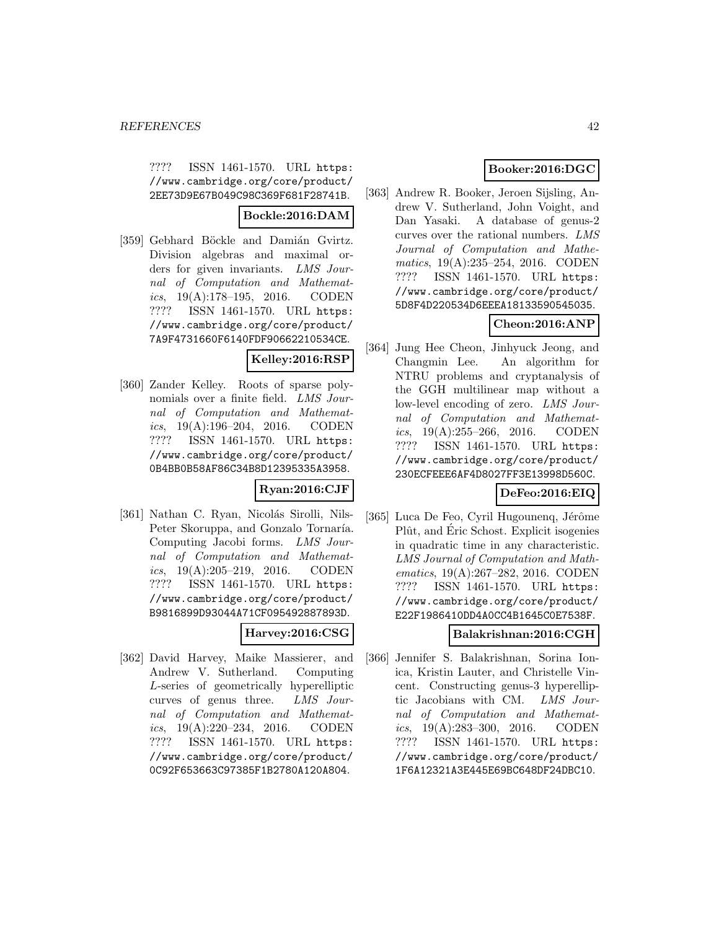???? ISSN 1461-1570. URL https: //www.cambridge.org/core/product/ 2EE73D9E67B049C98C369F681F28741B.

## **Bockle:2016:DAM**

[359] Gebhard Böckle and Damián Gvirtz. Division algebras and maximal orders for given invariants. LMS Journal of Computation and Mathematics,  $19(A):178-195$ ,  $2016.$  CODEN ???? ISSN 1461-1570. URL https: //www.cambridge.org/core/product/ 7A9F4731660F6140FDF90662210534CE.

## **Kelley:2016:RSP**

[360] Zander Kelley. Roots of sparse polynomials over a finite field. LMS Journal of Computation and Mathematics, 19(A):196–204, 2016. CODEN ???? ISSN 1461-1570. URL https: //www.cambridge.org/core/product/ 0B4BB0B58AF86C34B8D12395335A3958.

## **Ryan:2016:CJF**

[361] Nathan C. Ryan, Nicolás Sirolli, Nils-Peter Skoruppa, and Gonzalo Tornaría. Computing Jacobi forms. LMS Journal of Computation and Mathemat*ics*,  $19(A):205-219$ ,  $2016$ . CODEN ???? ISSN 1461-1570. URL https: //www.cambridge.org/core/product/ B9816899D93044A71CF095492887893D.

## **Harvey:2016:CSG**

[362] David Harvey, Maike Massierer, and Andrew V. Sutherland. Computing L-series of geometrically hyperelliptic curves of genus three. LMS Journal of Computation and Mathematics,  $19(A):220-234$ ,  $2016$ . CODEN ???? ISSN 1461-1570. URL https: //www.cambridge.org/core/product/ 0C92F653663C97385F1B2780A120A804.

## **Booker:2016:DGC**

[363] Andrew R. Booker, Jeroen Sijsling, Andrew V. Sutherland, John Voight, and Dan Yasaki. A database of genus-2 curves over the rational numbers. LMS Journal of Computation and Mathematics, 19(A):235–254, 2016. CODEN ???? ISSN 1461-1570. URL https: //www.cambridge.org/core/product/ 5D8F4D220534D6EEEA18133590545035.

## **Cheon:2016:ANP**

[364] Jung Hee Cheon, Jinhyuck Jeong, and Changmin Lee. An algorithm for NTRU problems and cryptanalysis of the GGH multilinear map without a low-level encoding of zero. LMS Journal of Computation and Mathematics,  $19(A):255-266$ ,  $2016$ . CODEN ???? ISSN 1461-1570. URL https: //www.cambridge.org/core/product/ 230ECFEEE6AF4D8027FF3E13998D560C.

## **DeFeo:2016:EIQ**

[365] Luca De Feo, Cyril Hugounenq, Jérôme Plût, and Eric Schost. Explicit isogenies in quadratic time in any characteristic. LMS Journal of Computation and Mathematics, 19(A):267–282, 2016. CODEN ???? ISSN 1461-1570. URL https: //www.cambridge.org/core/product/ E22F1986410DD4A0CC4B1645C0E7538F.

## **Balakrishnan:2016:CGH**

[366] Jennifer S. Balakrishnan, Sorina Ionica, Kristin Lauter, and Christelle Vincent. Constructing genus-3 hyperelliptic Jacobians with CM. LMS Journal of Computation and Mathematics, 19(A):283–300, 2016. CODEN ???? ISSN 1461-1570. URL https: //www.cambridge.org/core/product/ 1F6A12321A3E445E69BC648DF24DBC10.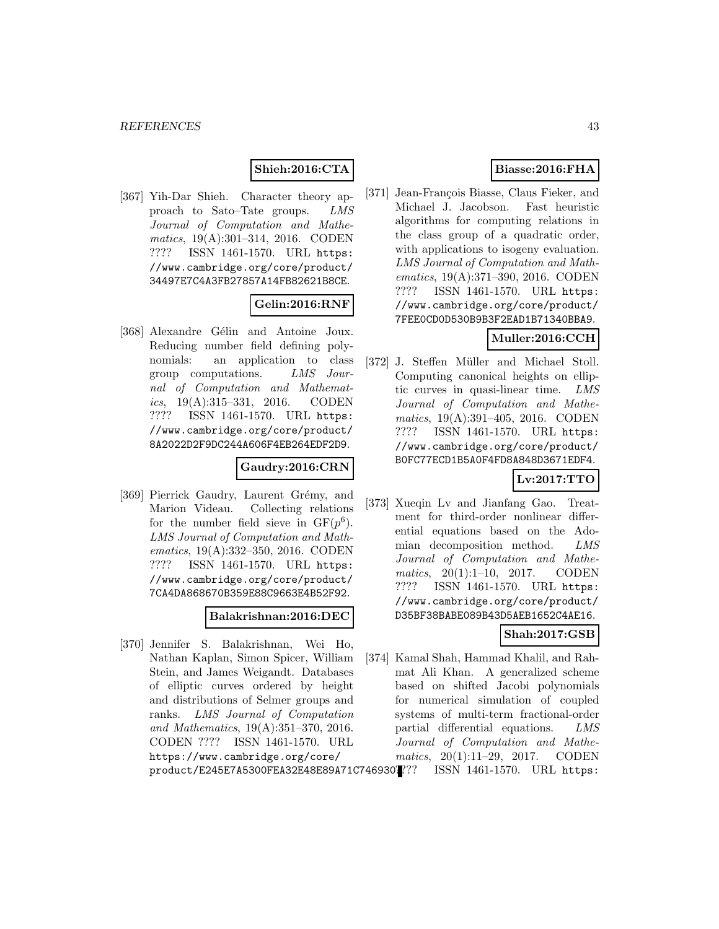## **Shieh:2016:CTA**

[367] Yih-Dar Shieh. Character theory approach to Sato–Tate groups. LMS Journal of Computation and Mathematics, 19(A):301–314, 2016. CODEN ???? ISSN 1461-1570. URL https: //www.cambridge.org/core/product/ 34497E7C4A3FB27857A14FB82621B8CE.

### **Gelin:2016:RNF**

[368] Alexandre Gélin and Antoine Joux. Reducing number field defining polynomials: an application to class group computations. LMS Journal of Computation and Mathematics,  $19(A):315-331$ ,  $2016$ . CODEN ???? ISSN 1461-1570. URL https: //www.cambridge.org/core/product/ 8A2022D2F9DC244A606F4EB264EDF2D9.

### **Gaudry:2016:CRN**

[369] Pierrick Gaudry, Laurent Grémy, and Marion Videau. Collecting relations for the number field sieve in  $GF(p^6)$ . LMS Journal of Computation and Mathematics, 19(A):332–350, 2016. CODEN ???? ISSN 1461-1570. URL https: //www.cambridge.org/core/product/ 7CA4DA868670B359E88C9663E4B52F92.

### **Balakrishnan:2016:DEC**

[370] Jennifer S. Balakrishnan, Wei Ho, Nathan Kaplan, Simon Spicer, William Stein, and James Weigandt. Databases of elliptic curves ordered by height and distributions of Selmer groups and ranks. LMS Journal of Computation and Mathematics, 19(A):351–370, 2016. CODEN ???? ISSN 1461-1570. URL https://www.cambridge.org/core/ product/E245E7A5300FEA32E48E89A71C746930.

## **Biasse:2016:FHA**

[371] Jean-François Biasse, Claus Fieker, and Michael J. Jacobson. Fast heuristic algorithms for computing relations in the class group of a quadratic order, with applications to isogeny evaluation. LMS Journal of Computation and Mathematics, 19(A):371–390, 2016. CODEN ???? ISSN 1461-1570. URL https: //www.cambridge.org/core/product/ 7FEE0CD0D530B9B3F2EAD1B71340BBA9.

## **Muller:2016:CCH**

[372] J. Steffen Müller and Michael Stoll. Computing canonical heights on elliptic curves in quasi-linear time. LMS Journal of Computation and Mathematics, 19(A):391–405, 2016. CODEN ???? ISSN 1461-1570. URL https: //www.cambridge.org/core/product/ B0FC77ECD1B5A0F4FD8A848D3671EDF4.

## **Lv:2017:TTO**

[373] Xueqin Lv and Jianfang Gao. Treatment for third-order nonlinear differential equations based on the Adomian decomposition method. LMS Journal of Computation and Mathematics, 20(1):1-10, 2017. CODEN ???? ISSN 1461-1570. URL https: //www.cambridge.org/core/product/ D35BF38BABE089B43D5AEB1652C4AE16.

## **Shah:2017:GSB**

[374] Kamal Shah, Hammad Khalil, and Rahmat Ali Khan. A generalized scheme based on shifted Jacobi polynomials for numerical simulation of coupled systems of multi-term fractional-order partial differential equations. LMS Journal of Computation and Mathematics, 20(1):11–29, 2017. CODEN